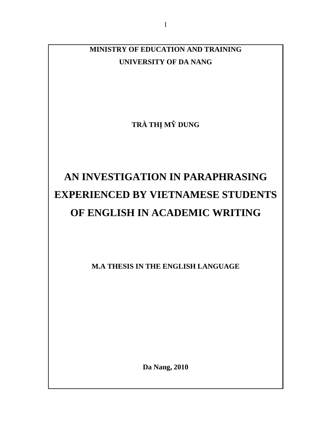**MINISTRY OF EDUCATION AND TRAINING UNIVERSITY OF DA NANG** 

**TRÀ TH**Ị **M**Ỹ **DUNG** 

# **AN INVESTIGATION IN PARAPHRASING EXPERIENCED BY VIETNAMESE STUDENTS OF ENGLISH IN ACADEMIC WRITING**

**M.A THESIS IN THE ENGLISH LANGUAGE** 

**Da Nang, 2010**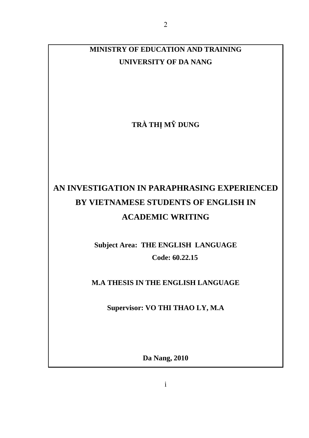**MINISTRY OF EDUCATION AND TRAINING UNIVERSITY OF DA NANG** 

**TRÀ TH**Ị **M**Ỹ **DUNG** 

## **AN INVESTIGATION IN PARAPHRASING EXPERIENCED BY VIETNAMESE STUDENTS OF ENGLISH IN ACADEMIC WRITING**

**Subject Area: THE ENGLISH LANGUAGE Code: 60.22.15** 

**M.A THESIS IN THE ENGLISH LANGUAGE** 

**Supervisor: VO THI THAO LY, M.A** 

**Da Nang, 2010**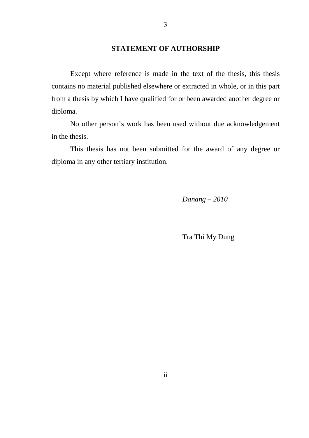## **STATEMENT OF AUTHORSHIP**

Except where reference is made in the text of the thesis, this thesis contains no material published elsewhere or extracted in whole, or in this part from a thesis by which I have qualified for or been awarded another degree or diploma.

No other person's work has been used without due acknowledgement in the thesis.

This thesis has not been submitted for the award of any degree or diploma in any other tertiary institution.

*Danang – 2010* 

Tra Thi My Dung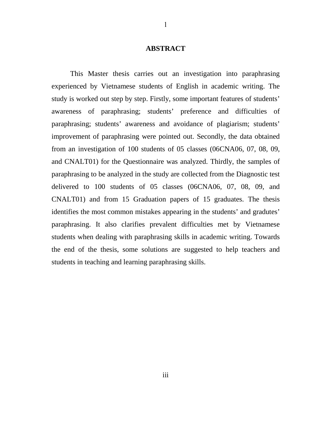#### **ABSTRACT**

This Master thesis carries out an investigation into paraphrasing experienced by Vietnamese students of English in academic writing. The study is worked out step by step. Firstly, some important features of students' awareness of paraphrasing; students' preference and difficulties of paraphrasing; students' awareness and avoidance of plagiarism; students' improvement of paraphrasing were pointed out. Secondly, the data obtained from an investigation of 100 students of 05 classes (06CNA06, 07, 08, 09, and CNALT01) for the Questionnaire was analyzed. Thirdly, the samples of paraphrasing to be analyzed in the study are collected from the Diagnostic test delivered to 100 students of 05 classes (06CNA06, 07, 08, 09, and CNALT01) and from 15 Graduation papers of 15 graduates. The thesis identifies the most common mistakes appearing in the students' and gradutes' paraphrasing. It also clarifies prevalent difficulties met by Vietnamese students when dealing with paraphrasing skills in academic writing. Towards the end of the thesis, some solutions are suggested to help teachers and students in teaching and learning paraphrasing skills.

1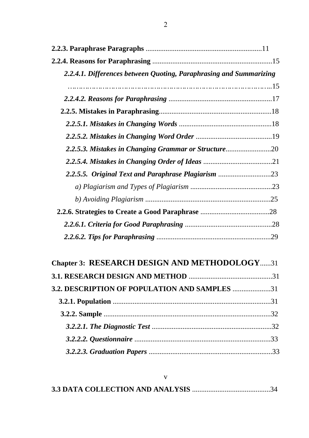| 2.2.4.1. Differences between Quoting, Paraphrasing and Summarizing |  |
|--------------------------------------------------------------------|--|
|                                                                    |  |
|                                                                    |  |
|                                                                    |  |
|                                                                    |  |
|                                                                    |  |
| 2.2.5.3. Mistakes in Changing Grammar or Structure20               |  |
|                                                                    |  |
| 2.2.5.5. Original Text and Paraphrase Plagiarism 23                |  |
|                                                                    |  |
|                                                                    |  |
|                                                                    |  |
|                                                                    |  |
|                                                                    |  |

# **Chapter 3: RESEARCH DESIGN AND METHODOLOGY**......31

| 3.2. DESCRIPTION OF POPULATION AND SAMPLES 31 |  |
|-----------------------------------------------|--|
|                                               |  |
|                                               |  |
|                                               |  |
|                                               |  |
|                                               |  |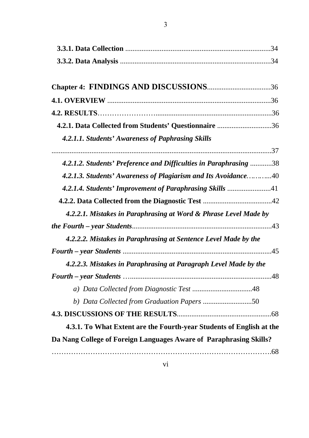| 4.2.1. Data Collected from Students' Questionnaire 36<br>4.2.1.1. Students' Awareness of Paphrasing Skills<br>4.2.1.2. Students' Preference and Difficulties in Paraphrasing 38<br>4.2.1.3. Students' Awareness of Plagiarism and Its Avoidance40<br>4.2.1.4. Students' Improvement of Paraphrasing Skills 41<br>4.2.2.1. Mistakes in Paraphrasing at Word & Phrase Level Made by<br>4.2.2.2. Mistakes in Paraphrasing at Sentence Level Made by the<br>4.2.2.3. Mistakes in Paraphrasing at Paragraph Level Made by the<br>b) Data Collected from Graduation Papers 50<br>4.3.1. To What Extent are the Fourth-year Students of English at the<br>Da Nang College of Foreign Languages Aware of Paraphrasing Skills? |  |
|-----------------------------------------------------------------------------------------------------------------------------------------------------------------------------------------------------------------------------------------------------------------------------------------------------------------------------------------------------------------------------------------------------------------------------------------------------------------------------------------------------------------------------------------------------------------------------------------------------------------------------------------------------------------------------------------------------------------------|--|
|                                                                                                                                                                                                                                                                                                                                                                                                                                                                                                                                                                                                                                                                                                                       |  |
|                                                                                                                                                                                                                                                                                                                                                                                                                                                                                                                                                                                                                                                                                                                       |  |
|                                                                                                                                                                                                                                                                                                                                                                                                                                                                                                                                                                                                                                                                                                                       |  |
|                                                                                                                                                                                                                                                                                                                                                                                                                                                                                                                                                                                                                                                                                                                       |  |
|                                                                                                                                                                                                                                                                                                                                                                                                                                                                                                                                                                                                                                                                                                                       |  |
|                                                                                                                                                                                                                                                                                                                                                                                                                                                                                                                                                                                                                                                                                                                       |  |
|                                                                                                                                                                                                                                                                                                                                                                                                                                                                                                                                                                                                                                                                                                                       |  |
|                                                                                                                                                                                                                                                                                                                                                                                                                                                                                                                                                                                                                                                                                                                       |  |
|                                                                                                                                                                                                                                                                                                                                                                                                                                                                                                                                                                                                                                                                                                                       |  |
|                                                                                                                                                                                                                                                                                                                                                                                                                                                                                                                                                                                                                                                                                                                       |  |
|                                                                                                                                                                                                                                                                                                                                                                                                                                                                                                                                                                                                                                                                                                                       |  |
|                                                                                                                                                                                                                                                                                                                                                                                                                                                                                                                                                                                                                                                                                                                       |  |
|                                                                                                                                                                                                                                                                                                                                                                                                                                                                                                                                                                                                                                                                                                                       |  |
|                                                                                                                                                                                                                                                                                                                                                                                                                                                                                                                                                                                                                                                                                                                       |  |
|                                                                                                                                                                                                                                                                                                                                                                                                                                                                                                                                                                                                                                                                                                                       |  |
|                                                                                                                                                                                                                                                                                                                                                                                                                                                                                                                                                                                                                                                                                                                       |  |
|                                                                                                                                                                                                                                                                                                                                                                                                                                                                                                                                                                                                                                                                                                                       |  |
|                                                                                                                                                                                                                                                                                                                                                                                                                                                                                                                                                                                                                                                                                                                       |  |
|                                                                                                                                                                                                                                                                                                                                                                                                                                                                                                                                                                                                                                                                                                                       |  |
|                                                                                                                                                                                                                                                                                                                                                                                                                                                                                                                                                                                                                                                                                                                       |  |
|                                                                                                                                                                                                                                                                                                                                                                                                                                                                                                                                                                                                                                                                                                                       |  |
|                                                                                                                                                                                                                                                                                                                                                                                                                                                                                                                                                                                                                                                                                                                       |  |
|                                                                                                                                                                                                                                                                                                                                                                                                                                                                                                                                                                                                                                                                                                                       |  |
|                                                                                                                                                                                                                                                                                                                                                                                                                                                                                                                                                                                                                                                                                                                       |  |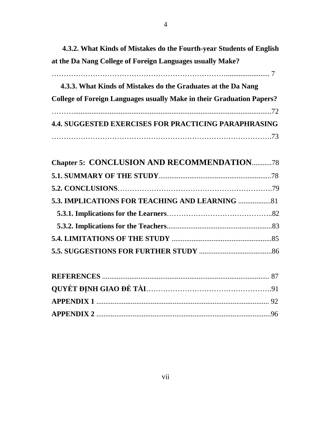**4.3.2. What Kinds of Mistakes do the Fourth-year Students of English at the Da Nang College of Foreign Languages usually Make?**

| 4.3.3. What Kinds of Mistakes do the Graduates at the Da Nang                |
|------------------------------------------------------------------------------|
| <b>College of Foreign Languages usually Make in their Graduation Papers?</b> |
|                                                                              |
| <b>4.4. SUGGESTED EXERCISES FOR PRACTICING PARAPHRASING</b>                  |
|                                                                              |

| <b>Chapter 5: CONCLUSION AND RECOMMENDATION78</b>      |  |
|--------------------------------------------------------|--|
|                                                        |  |
|                                                        |  |
| <b>5.3. IMPLICATIONS FOR TEACHING AND LEARNING  81</b> |  |
|                                                        |  |
|                                                        |  |
|                                                        |  |
|                                                        |  |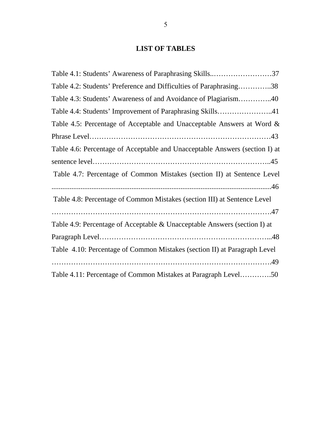## **LIST OF TABLES**

| Table 4.1: Students' Awareness of Paraphrasing Skills37                     |
|-----------------------------------------------------------------------------|
| Table 4.2: Students' Preference and Difficulties of Paraphrasing38          |
| Table 4.3: Students' Awareness of and Avoidance of Plagiarism40             |
| Table 4.4: Students' Improvement of Paraphrasing Skills41                   |
| Table 4.5: Percentage of Acceptable and Unacceptable Answers at Word &      |
|                                                                             |
| Table 4.6: Percentage of Acceptable and Unacceptable Answers (section I) at |
|                                                                             |
| Table 4.7: Percentage of Common Mistakes (section II) at Sentence Level     |
|                                                                             |
| Table 4.8: Percentage of Common Mistakes (section III) at Sentence Level    |
|                                                                             |
| Table 4.9: Percentage of Acceptable & Unacceptable Answers (section I) at   |
|                                                                             |
| Table 4.10: Percentage of Common Mistakes (section II) at Paragraph Level   |
|                                                                             |
| Table 4.11: Percentage of Common Mistakes at Paragraph Level50              |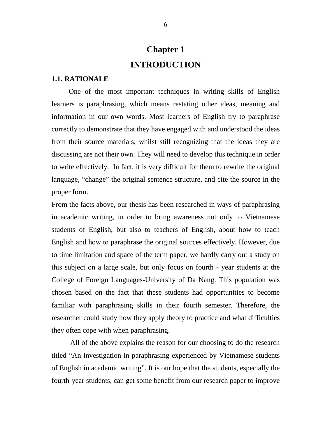## **Chapter 1 INTRODUCTION**

#### **1.1. RATIONALE**

One of the most important techniques in writing skills of English learners is paraphrasing, which means restating other ideas, meaning and information in our own words. Most learners of English try to paraphrase correctly to demonstrate that they have engaged with and understood the ideas from their source materials, whilst still recognizing that the ideas they are discussing are not their own. They will need to develop this technique in order to write effectively. In fact, it is very difficult for them to rewrite the original language, "change" the original sentence structure, and cite the source in the proper form.

From the facts above, our thesis has been researched in ways of paraphrasing in academic writing, in order to bring awareness not only to Vietnamese students of English, but also to teachers of English, about how to teach English and how to paraphrase the original sources effectively. However, due to time limitation and space of the term paper, we hardly carry out a study on this subject on a large scale, but only focus on fourth - year students at the College of Foreign Languages-University of Da Nang. This population was chosen based on the fact that these students had opportunities to become familiar with paraphrasing skills in their fourth semester. Therefore, the researcher could study how they apply theory to practice and what difficulties they often cope with when paraphrasing.

All of the above explains the reason for our choosing to do the research titled "An investigation in paraphrasing experienced by Vietnamese students of English in academic writing". It is our hope that the students, especially the fourth-year students, can get some benefit from our research paper to improve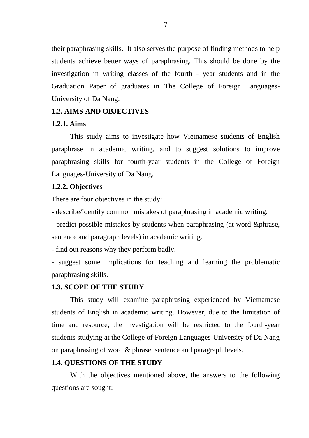their paraphrasing skills. It also serves the purpose of finding methods to help students achieve better ways of paraphrasing. This should be done by the investigation in writing classes of the fourth - year students and in the Graduation Paper of graduates in The College of Foreign Languages-University of Da Nang.

## **1.2. AIMS AND OBJECTIVES**

### **1.2.1. Aims**

This study aims to investigate how Vietnamese students of English paraphrase in academic writing, and to suggest solutions to improve paraphrasing skills for fourth-year students in the College of Foreign Languages-University of Da Nang.

## **1.2.2. Objectives**

There are four objectives in the study:

- describe/identify common mistakes of paraphrasing in academic writing.

- predict possible mistakes by students when paraphrasing (at word &phrase, sentence and paragraph levels) in academic writing.

- find out reasons why they perform badly.

- suggest some implications for teaching and learning the problematic paraphrasing skills.

### **1.3. SCOPE OF THE STUDY**

This study will examine paraphrasing experienced by Vietnamese students of English in academic writing. However, due to the limitation of time and resource, the investigation will be restricted to the fourth-year students studying at the College of Foreign Languages-University of Da Nang on paraphrasing of word & phrase, sentence and paragraph levels.

## **1.4. QUESTIONS OF THE STUDY**

With the objectives mentioned above, the answers to the following questions are sought: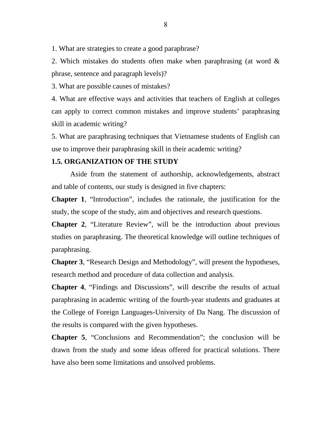1. What are strategies to create a good paraphrase?

2. Which mistakes do students often make when paraphrasing (at word & phrase, sentence and paragraph levels)?

3. What are possible causes of mistakes?

4. What are effective ways and activities that teachers of English at colleges can apply to correct common mistakes and improve students' paraphrasing skill in academic writing?

5. What are paraphrasing techniques that Vietnamese students of English can use to improve their paraphrasing skill in their academic writing?

## **1.5. ORGANIZATION OF THE STUDY**

Aside from the statement of authorship, acknowledgements, abstract and table of contents, our study is designed in five chapters:

**Chapter 1**, "Introduction", includes the rationale, the justification for the study, the scope of the study, aim and objectives and research questions.

**Chapter 2**, "Literature Review", will be the introduction about previous studies on paraphrasing. The theoretical knowledge will outline techniques of paraphrasing.

**Chapter 3**, "Research Design and Methodology", will present the hypotheses, research method and procedure of data collection and analysis.

**Chapter 4**, "Findings and Discussions", will describe the results of actual paraphrasing in academic writing of the fourth-year students and graduates at the College of Foreign Languages-University of Da Nang. The discussion of the results is compared with the given hypotheses.

**Chapter 5**, "Conclusions and Recommendation"; the conclusion will be drawn from the study and some ideas offered for practical solutions. There have also been some limitations and unsolved problems.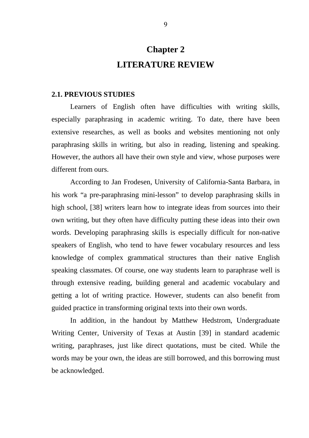## **Chapter 2 LITERATURE REVIEW**

#### **2.1. PREVIOUS STUDIES**

 Learners of English often have difficulties with writing skills, especially paraphrasing in academic writing. To date, there have been extensive researches, as well as books and websites mentioning not only paraphrasing skills in writing, but also in reading, listening and speaking. However, the authors all have their own style and view, whose purposes were different from ours.

 According to Jan Frodesen, University of California-Santa Barbara, in his work "a pre-paraphrasing mini-lesson" to develop paraphrasing skills in high school, [38] writers learn how to integrate ideas from sources into their own writing, but they often have difficulty putting these ideas into their own words. Developing paraphrasing skills is especially difficult for non-native speakers of English, who tend to have fewer vocabulary resources and less knowledge of complex grammatical structures than their native English speaking classmates. Of course, one way students learn to paraphrase well is through extensive reading, building general and academic vocabulary and getting a lot of writing practice. However, students can also benefit from guided practice in transforming original texts into their own words.

 In addition, in the handout by Matthew Hedstrom, Undergraduate Writing Center, University of Texas at Austin [39] in standard academic writing, paraphrases, just like direct quotations, must be cited. While the words may be your own, the ideas are still borrowed, and this borrowing must be acknowledged.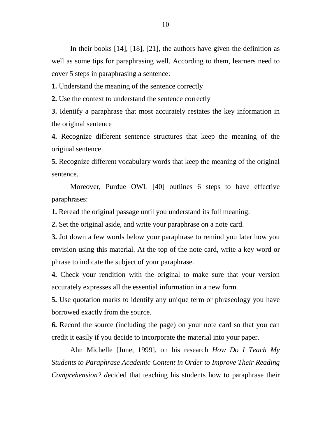In their books [14], [18], [21], the authors have given the definition as well as some tips for paraphrasing well. According to them, learners need to cover 5 steps in paraphrasing a sentence:

**1.** Understand the meaning of the sentence correctly

**2.** Use the context to understand the sentence correctly

**3.** Identify a paraphrase that most accurately restates the key information in the original sentence

**4.** Recognize different sentence structures that keep the meaning of the original sentence

**5.** Recognize different vocabulary words that keep the meaning of the original sentence.

Moreover, Purdue OWL [40] outlines 6 steps to have effective paraphrases:

**1.** Reread the original passage until you understand its full meaning.

**2.** Set the original aside, and write your paraphrase on a note card.

**3.** Jot down a few words below your paraphrase to remind you later how you envision using this material. At the top of the note card, write a key word or phrase to indicate the subject of your paraphrase.

**4.** Check your rendition with the original to make sure that your version accurately expresses all the essential information in a new form.

**5.** Use quotation marks to identify any unique term or phraseology you have borrowed exactly from the source.

**6.** Record the source (including the page) on your note card so that you can credit it easily if you decide to incorporate the material into your paper.

Ahn Michelle [June, 1999], on his research *How Do I Teach My Students to Paraphrase Academic Content in Order to Improve Their Reading Comprehension? d*ecided that teaching his students how to paraphrase their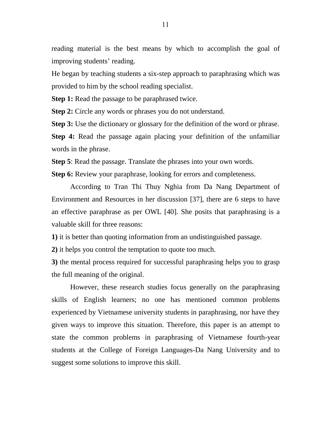reading material is the best means by which to accomplish the goal of improving students' reading.

He began by teaching students a six-step approach to paraphrasing which was provided to him by the school reading specialist.

**Step 1:** Read the passage to be paraphrased twice.

**Step 2:** Circle any words or phrases you do not understand.

**Step 3:** Use the dictionary or glossary for the definition of the word or phrase.

**Step 4:** Read the passage again placing your definition of the unfamiliar words in the phrase.

**Step 5**: Read the passage. Translate the phrases into your own words.

**Step 6:** Review your paraphrase, looking for errors and completeness.

According to Tran Thi Thuy Nghia from Da Nang Department of Environment and Resources in her discussion [37], there are 6 steps to have an effective paraphrase as per OWL [40]. She posits that paraphrasing is a valuable skill for three reasons:

**1)** it is better than quoting information from an undistinguished passage.

**2)** it helps you control the temptation to quote too much.

**3)** the mental process required for successful paraphrasing helps you to grasp the full meaning of the original.

However, these research studies focus generally on the paraphrasing skills of English learners; no one has mentioned common problems experienced by Vietnamese university students in paraphrasing, nor have they given ways to improve this situation. Therefore, this paper is an attempt to state the common problems in paraphrasing of Vietnamese fourth-year students at the College of Foreign Languages-Da Nang University and to suggest some solutions to improve this skill.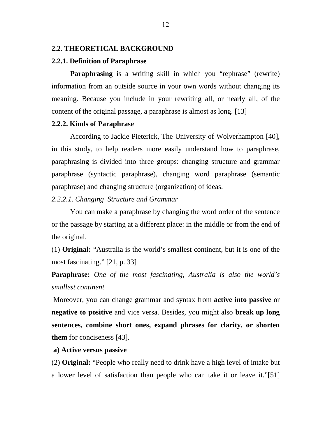#### **2.2. THEORETICAL BACKGROUND**

#### **2.2.1. Definition of Paraphrase**

**Paraphrasing** is a writing skill in which you "rephrase" (rewrite) information from an outside source in your own words without changing its meaning. Because you include in your rewriting all, or nearly all, of the content of the original passage, a paraphrase is almost as long. [13]

## **2.2.2. Kinds of Paraphrase**

According to Jackie Pieterick, The University of Wolverhampton [40], in this study, to help readers more easily understand how to paraphrase, paraphrasing is divided into three groups: changing structure and grammar paraphrase (syntactic paraphrase), changing word paraphrase (semantic paraphrase) and changing structure (organization) of ideas.

*2.2.2.1. Changing Structure and Grammar* 

You can make a paraphrase by changing the word order of the sentence or the passage by starting at a different place: in the middle or from the end of the original.

(1) **Original:** "Australia is the world's smallest continent, but it is one of the most fascinating." [21, p. 33]

**Paraphrase:** *One of the most fascinating, Australia is also the world's smallest continent.* 

 Moreover, you can change grammar and syntax from **active into passive** or **negative to positive** and vice versa. Besides, you might also **break up long sentences, combine short ones, expand phrases for clarity, or shorten them** for conciseness [43].

## **a) Active versus passive**

(2) **Original:** "People who really need to drink have a high level of intake but a lower level of satisfaction than people who can take it or leave it."[51]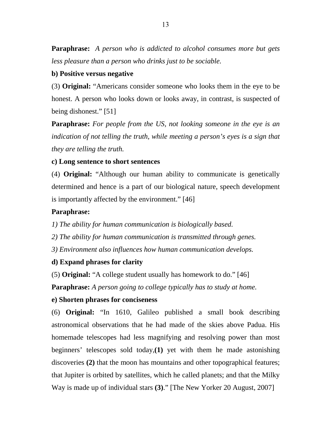**Paraphrase:** *A person who is addicted to alcohol consumes more but gets less pleasure than a person who drinks just to be sociable.*

## **b) Positive versus negative**

(3) **Original:** "Americans consider someone who looks them in the eye to be honest. A person who looks down or looks away, in contrast, is suspected of being dishonest." [51]

**Paraphrase:** *For people from the US, not looking someone in the eye is an indication of not telling the truth, while meeting a person's eyes is a sign that they are telling the truth.* 

## **c) Long sentence to short sentences**

(4) **Original:** "Although our human ability to communicate is genetically determined and hence is a part of our biological nature, speech development is importantly affected by the environment." [46]

## **Paraphrase:**

*1) The ability for human communication is biologically based.* 

*2) The ability for human communication is transmitted through genes.* 

*3) Environment also influences how human communication develops.* 

## **d) Expand phrases for clarity**

(5) **Original:** "A college student usually has homework to do." [46]

**Paraphrase:** *A person going to college typically has to study at home.* 

## **e) Shorten phrases for conciseness**

(6) **Original:** "In 1610, Galileo published a small book describing astronomical observations that he had made of the skies above Padua. His homemade telescopes had less magnifying and resolving power than most beginners' telescopes sold today,**(1)** yet with them he made astonishing discoveries **(2)** that the moon has mountains and other topographical features; that Jupiter is orbited by satellites, which he called planets; and that the Milky Way is made up of individual stars **(3)**." [The New Yorker 20 August, 2007]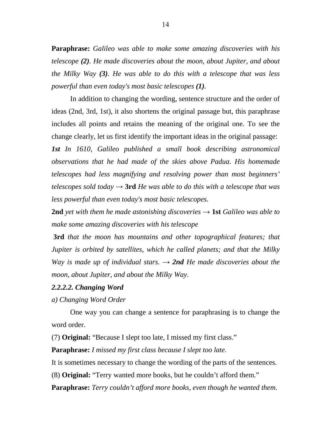**Paraphrase:** *Galileo was able to make some amazing discoveries with his telescope (2). He made discoveries about the moon, about Jupiter, and about the Milky Way (3). He was able to do this with a telescope that was less powerful than even today's most basic telescopes (1).* 

In addition to changing the wording, sentence structure and the order of ideas (2nd, 3rd, 1st), it also shortens the original passage but, this paraphrase includes all points and retains the meaning of the original one. To see the change clearly, let us first identify the important ideas in the original passage:

*1st In 1610, Galileo published a small book describing astronomical observations that he had made of the skies above Padua. His homemade telescopes had less magnifying and resolving power than most beginners' telescopes sold today*  $\rightarrow$  **3rd** *He was able to do this with a telescope that was less powerful than even today's most basic telescopes.*

**2nd** *yet with them he made astonishing discoveries*  $\rightarrow$  **1st** *Galileo was able to make some amazing discoveries with his telescope* 

 **3rd** *that the moon has mountains and other topographical features; that Jupiter is orbited by satellites, which he called planets; and that the Milky Way is made up of individual stars.*  $\rightarrow$  **2nd** *He made discoveries about the moon, about Jupiter, and about the Milky Way.* 

#### *2.2.2.2. Changing Word*

*a) Changing Word Order* 

 One way you can change a sentence for paraphrasing is to change the word order.

(7) **Original:** "Because I slept too late, I missed my first class."

**Paraphrase:** *I missed my first class because I slept too late.* 

It is sometimes necessary to change the wording of the parts of the sentences.

(8) **Original:** "Terry wanted more books, but he couldn't afford them."

**Paraphrase:** *Terry couldn't afford more books, even though he wanted them.*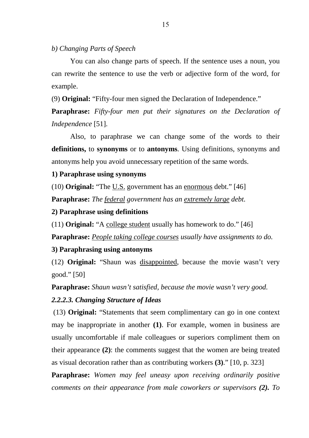## *b) Changing Parts of Speech*

You can also change parts of speech. If the sentence uses a noun, you can rewrite the sentence to use the verb or adjective form of the word, for example.

(9) **Original:** "Fifty-four men signed the Declaration of Independence."

**Paraphrase:** *Fifty-four men put their signatures on the Declaration of Independence* [51].

Also, to paraphrase we can change some of the words to their **definitions,** to **synonyms** or to **antonyms**. Using definitions, synonyms and antonyms help you avoid unnecessary repetition of the same words.

## **1) Paraphrase using synonyms**

(10) **Original:** "The U.S. government has an enormous debt." [46]

**Paraphrase:** *The federal government has an extremely large debt.*

## **2) Paraphrase using definitions**

(11) **Original:** "A college student usually has homework to do." [46]

**Paraphrase:** *People taking college courses usually have assignments to do.* 

## **3) Paraphrasing using antonyms**

(12) **Original:** "Shaun was disappointed, because the movie wasn't very good." [50]

**Paraphrase:** *Shaun wasn't satisfied, because the movie wasn't very good.* 

## *2.2.2.3. Changing Structure of Ideas*

 (13) **Original:** "Statements that seem complimentary can go in one context may be inappropriate in another **(1)**. For example, women in business are usually uncomfortable if male colleagues or superiors compliment them on their appearance **(2)**: the comments suggest that the women are being treated as visual decoration rather than as contributing workers **(3)**." [10, p. 323]

**Paraphrase:** *Women may feel uneasy upon receiving ordinarily positive comments on their appearance from male coworkers or supervisors (2). To*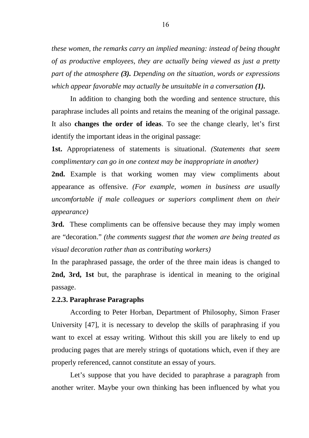*these women, the remarks carry an implied meaning: instead of being thought of as productive employees, they are actually being viewed as just a pretty part of the atmosphere (3). Depending on the situation, words or expressions which appear favorable may actually be unsuitable in a conversation (1).*

In addition to changing both the wording and sentence structure, this paraphrase includes all points and retains the meaning of the original passage. It also **changes the order of ideas**. To see the change clearly, let's first identify the important ideas in the original passage:

**1st.** Appropriateness of statements is situational. *(Statements that seem complimentary can go in one context may be inappropriate in another)* 

**2nd.** Example is that working women may view compliments about appearance as offensive. *(For example, women in business are usually uncomfortable if male colleagues or superiors compliment them on their appearance)* 

**3rd.** These compliments can be offensive because they may imply women are "decoration." *(the comments suggest that the women are being treated as visual decoration rather than as contributing workers)* 

In the paraphrased passage, the order of the three main ideas is changed to **2nd, 3rd, 1st** but, the paraphrase is identical in meaning to the original passage.

### **2.2.3. Paraphrase Paragraphs**

According to Peter Horban, Department of Philosophy, Simon Fraser University [47], it is necessary to develop the skills of paraphrasing if you want to excel at essay writing. Without this skill you are likely to end up producing pages that are merely strings of quotations which, even if they are properly referenced, cannot constitute an essay of yours.

 Let's suppose that you have decided to paraphrase a paragraph from another writer. Maybe your own thinking has been influenced by what you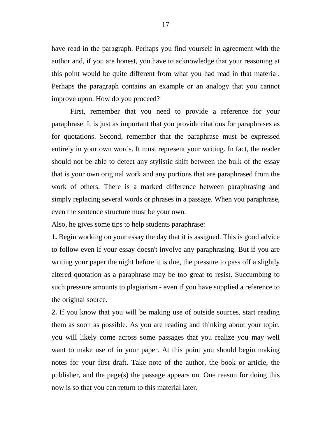have read in the paragraph. Perhaps you find yourself in agreement with the author and, if you are honest, you have to acknowledge that your reasoning at this point would be quite different from what you had read in that material. Perhaps the paragraph contains an example or an analogy that you cannot improve upon. How do you proceed?

First, remember that you need to provide a reference for your paraphrase. It is just as important that you provide citations for paraphrases as for quotations. Second, remember that the paraphrase must be expressed entirely in your own words. It must represent your writing. In fact, the reader should not be able to detect any stylistic shift between the bulk of the essay that is your own original work and any portions that are paraphrased from the work of others. There is a marked difference between paraphrasing and simply replacing several words or phrases in a passage. When you paraphrase, even the sentence structure must be your own.

Also, he gives some tips to help students paraphrase:

**1.** Begin working on your essay the day that it is assigned. This is good advice to follow even if your essay doesn't involve any paraphrasing. But if you are writing your paper the night before it is due, the pressure to pass off a slightly altered quotation as a paraphrase may be too great to resist. Succumbing to such pressure amounts to plagiarism - even if you have supplied a reference to the original source.

**2.** If you know that you will be making use of outside sources, start reading them as soon as possible. As you are reading and thinking about your topic, you will likely come across some passages that you realize you may well want to make use of in your paper. At this point you should begin making notes for your first draft. Take note of the author, the book or article, the publisher, and the page(s) the passage appears on. One reason for doing this now is so that you can return to this material later.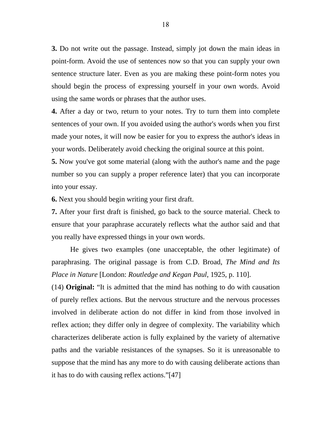**3.** Do not write out the passage. Instead, simply jot down the main ideas in point-form. Avoid the use of sentences now so that you can supply your own sentence structure later. Even as you are making these point-form notes you should begin the process of expressing yourself in your own words. Avoid using the same words or phrases that the author uses.

**4.** After a day or two, return to your notes. Try to turn them into complete sentences of your own. If you avoided using the author's words when you first made your notes, it will now be easier for you to express the author's ideas in your words. Deliberately avoid checking the original source at this point.

**5.** Now you've got some material (along with the author's name and the page number so you can supply a proper reference later) that you can incorporate into your essay.

**6.** Next you should begin writing your first draft.

**7.** After your first draft is finished, go back to the source material. Check to ensure that your paraphrase accurately reflects what the author said and that you really have expressed things in your own words.

He gives two examples (one unacceptable, the other legitimate) of paraphrasing. The original passage is from C.D. Broad, *The Mind and Its Place in Nature* [London: *Routledge and Kegan Paul*, 1925, p. 110].

(14) **Original:** "It is admitted that the mind has nothing to do with causation of purely reflex actions. But the nervous structure and the nervous processes involved in deliberate action do not differ in kind from those involved in reflex action; they differ only in degree of complexity. The variability which characterizes deliberate action is fully explained by the variety of alternative paths and the variable resistances of the synapses. So it is unreasonable to suppose that the mind has any more to do with causing deliberate actions than it has to do with causing reflex actions."[47]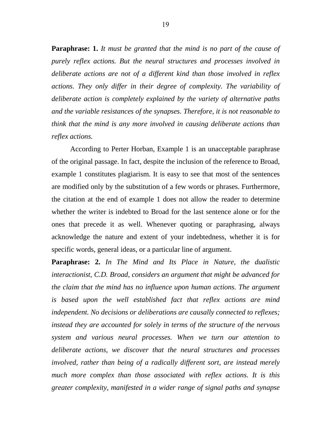**Paraphrase: 1.** *It must be granted that the mind is no part of the cause of purely reflex actions. But the neural structures and processes involved in deliberate actions are not of a different kind than those involved in reflex actions. They only differ in their degree of complexity. The variability of deliberate action is completely explained by the variety of alternative paths and the variable resistances of the synapses. Therefore, it is not reasonable to think that the mind is any more involved in causing deliberate actions than reflex actions.* 

According to Perter Horban, Example 1 is an unacceptable paraphrase of the original passage. In fact, despite the inclusion of the reference to Broad, example 1 constitutes plagiarism. It is easy to see that most of the sentences are modified only by the substitution of a few words or phrases. Furthermore, the citation at the end of example 1 does not allow the reader to determine whether the writer is indebted to Broad for the last sentence alone or for the ones that precede it as well. Whenever quoting or paraphrasing, always acknowledge the nature and extent of your indebtedness, whether it is for specific words, general ideas, or a particular line of argument.

**Paraphrase: 2.** *In The Mind and Its Place in Nature, the dualistic interactionist, C.D. Broad, considers an argument that might be advanced for the claim that the mind has no influence upon human actions. The argument is based upon the well established fact that reflex actions are mind independent. No decisions or deliberations are causally connected to reflexes; instead they are accounted for solely in terms of the structure of the nervous system and various neural processes. When we turn our attention to deliberate actions, we discover that the neural structures and processes involved, rather than being of a radically different sort, are instead merely much more complex than those associated with reflex actions. It is this greater complexity, manifested in a wider range of signal paths and synapse*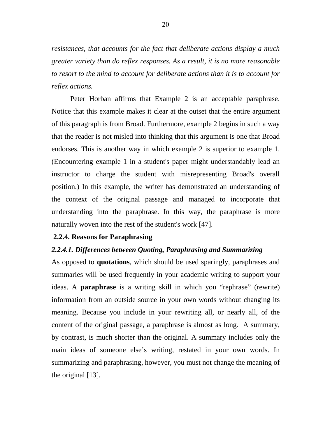*resistances, that accounts for the fact that deliberate actions display a much greater variety than do reflex responses. As a result, it is no more reasonable to resort to the mind to account for deliberate actions than it is to account for reflex actions.* 

Peter Horban affirms that Example 2 is an acceptable paraphrase. Notice that this example makes it clear at the outset that the entire argument of this paragraph is from Broad. Furthermore, example 2 begins in such a way that the reader is not misled into thinking that this argument is one that Broad endorses. This is another way in which example 2 is superior to example 1. (Encountering example 1 in a student's paper might understandably lead an instructor to charge the student with misrepresenting Broad's overall position.) In this example, the writer has demonstrated an understanding of the context of the original passage and managed to incorporate that understanding into the paraphrase. In this way, the paraphrase is more naturally woven into the rest of the student's work [47].

## **2.2.4. Reasons for Paraphrasing**

## *2.2.4.1. Differences between Quoting, Paraphrasing and Summarizing*

As opposed to **quotations**, which should be used sparingly, paraphrases and summaries will be used frequently in your academic writing to support your ideas. A **paraphrase** is a writing skill in which you "rephrase" (rewrite) information from an outside source in your own words without changing its meaning. Because you include in your rewriting all, or nearly all, of the content of the original passage, a paraphrase is almost as long. A summary, by contrast, is much shorter than the original. A summary includes only the main ideas of someone else's writing, restated in your own words. In summarizing and paraphrasing, however, you must not change the meaning of the original [13].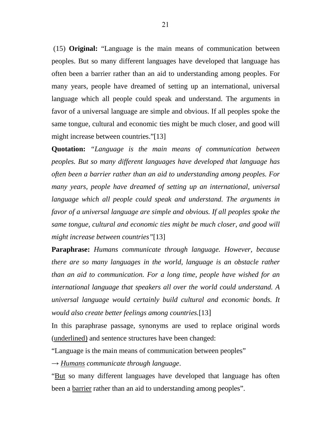(15) **Original:** "Language is the main means of communication between peoples. But so many different languages have developed that language has often been a barrier rather than an aid to understanding among peoples. For many years, people have dreamed of setting up an international, universal language which all people could speak and understand. The arguments in favor of a universal language are simple and obvious. If all peoples spoke the same tongue, cultural and economic ties might be much closer, and good will might increase between countries."[13]

**Quotation:** *"Language is the main means of communication between peoples. But so many different languages have developed that language has often been a barrier rather than an aid to understanding among peoples. For many years, people have dreamed of setting up an international, universal language which all people could speak and understand. The arguments in favor of a universal language are simple and obvious. If all peoples spoke the same tongue, cultural and economic ties might be much closer, and good will might increase between countries"*[13]

**Paraphrase:** *Humans communicate through language. However, because there are so many languages in the world, language is an obstacle rather than an aid to communication. For a long time, people have wished for an international language that speakers all over the world could understand. A universal language would certainly build cultural and economic bonds. It would also create better feelings among countries.*[13]

In this paraphrase passage, synonyms are used to replace original words (underlined) and sentence structures have been changed:

"Language is the main means of communication between peoples"

→ *Humans communicate through language*.

"But so many different languages have developed that language has often been a barrier rather than an aid to understanding among peoples".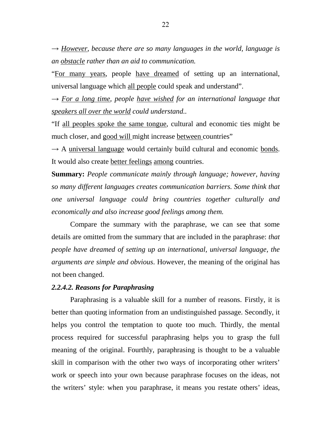$\rightarrow$  *However, because there are so many languages in the world, language is an obstacle rather than an aid to communication.* 

"For many years, people have dreamed of setting up an international, universal language which all people could speak and understand".

 $\rightarrow$  For a long time, people have wished for an international language that *speakers all over the world could understand..* 

"If all peoples spoke the same tongue, cultural and economic ties might be much closer, and good will might increase between countries"

 $\rightarrow$  A universal language would certainly build cultural and economic bonds. It would also create better feelings among countries.

**Summary:** *People communicate mainly through language; however, having so many different languages creates communication barriers. Some think that one universal language could bring countries together culturally and economically and also increase good feelings among them.* 

Compare the summary with the paraphrase, we can see that some details are omitted from the summary that are included in the paraphrase: *that people have dreamed of setting up an international, universal language, the arguments are simple and obvious*. However, the meaning of the original has not been changed.

## *2.2.4.2. Reasons for Paraphrasing*

Paraphrasing is a valuable skill for a number of reasons. Firstly, it is better than quoting information from an undistinguished passage. Secondly, it helps you control the temptation to quote too much. Thirdly, the mental process required for successful paraphrasing helps you to grasp the full meaning of the original. Fourthly, paraphrasing is thought to be a valuable skill in comparison with the other two ways of incorporating other writers' work or speech into your own because paraphrase focuses on the ideas, not the writers' style: when you paraphrase, it means you restate others' ideas,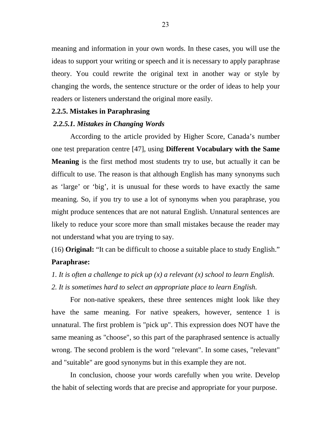meaning and information in your own words. In these cases, you will use the ideas to support your writing or speech and it is necessary to apply paraphrase theory. You could rewrite the original text in another way or style by changing the words, the sentence structure or the order of ideas to help your readers or listeners understand the original more easily.

## **2.2.5. Mistakes in Paraphrasing**

## *2.2.5.1. Mistakes in Changing Words*

According to the article provided by Higher Score, Canada's number one test preparation centre [47], using **Different Vocabulary with the Same Meaning** is the first method most students try to use, but actually it can be difficult to use. The reason is that although English has many synonyms such as 'large' or 'big', it is unusual for these words to have exactly the same meaning. So, if you try to use a lot of synonyms when you paraphrase, you might produce sentences that are not natural English. Unnatural sentences are likely to reduce your score more than small mistakes because the reader may not understand what you are trying to say.

(16) **Original:** "It can be difficult to choose a suitable place to study English." **Paraphrase:** 

*1. It is often a challenge to pick up (x) a relevant (x) school to learn English.* 

*2. It is sometimes hard to select an appropriate place to learn English.* 

For non-native speakers, these three sentences might look like they have the same meaning. For native speakers, however, sentence 1 is unnatural. The first problem is "pick up". This expression does NOT have the same meaning as "choose", so this part of the paraphrased sentence is actually wrong. The second problem is the word "relevant". In some cases, "relevant" and "suitable" are good synonyms but in this example they are not.

 In conclusion, choose your words carefully when you write. Develop the habit of selecting words that are precise and appropriate for your purpose.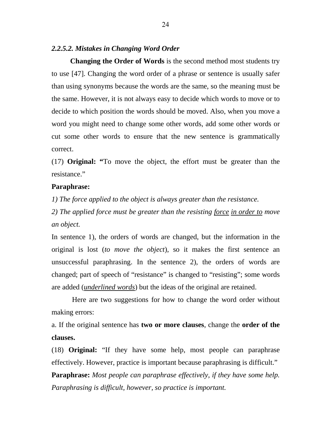## *2.2.5.2. Mistakes in Changing Word Order*

**Changing the Order of Words** is the second method most students try to use [47]. Changing the word order of a phrase or sentence is usually safer than using synonyms because the words are the same, so the meaning must be the same. However, it is not always easy to decide which words to move or to decide to which position the words should be moved. Also, when you move a word you might need to change some other words, add some other words or cut some other words to ensure that the new sentence is grammatically correct.

(17) **Original: "**To move the object, the effort must be greater than the resistance"

### **Paraphrase:**

*1) The force applied to the object is always greater than the resistance.* 

*2) The applied force must be greater than the resisting force in order to move an object.* 

In sentence 1), the orders of words are changed, but the information in the original is lost (*to move the object*), so it makes the first sentence an unsuccessful paraphrasing. In the sentence 2), the orders of words are changed; part of speech of "resistance" is changed to "resisting"; some words are added (*underlined words*) but the ideas of the original are retained.

 Here are two suggestions for how to change the word order without making errors:

a. If the original sentence has **two or more clauses**, change the **order of the clauses.** 

(18) **Original:** "If they have some help, most people can paraphrase effectively. However, practice is important because paraphrasing is difficult."

**Paraphrase:** *Most people can paraphrase effectively, if they have some help. Paraphrasing is difficult, however, so practice is important.*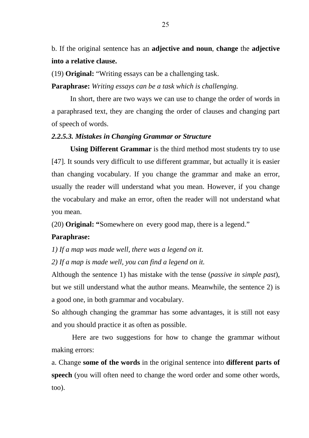b. If the original sentence has an **adjective and noun**, **change** the **adjective into a relative clause.** 

(19) **Original:** "Writing essays can be a challenging task.

**Paraphrase:** *Writing essays can be a task which is challenging.* 

 In short, there are two ways we can use to change the order of words in a paraphrased text, they are changing the order of clauses and changing part of speech of words.

### *2.2.5.3. Mistakes in Changing Grammar or Structure*

 **Using Different Grammar** is the third method most students try to use [47]. It sounds very difficult to use different grammar, but actually it is easier than changing vocabulary. If you change the grammar and make an error, usually the reader will understand what you mean. However, if you change the vocabulary and make an error, often the reader will not understand what you mean.

(20) **Original: "**Somewhere on every good map, there is a legend."

## **Paraphrase:**

*1) If a map was made well, there was a legend on it.* 

*2) If a map is made well, you can find a legend on it.* 

Although the sentence 1) has mistake with the tense (*passive in simple past*), but we still understand what the author means. Meanwhile, the sentence 2) is a good one, in both grammar and vocabulary.

So although changing the grammar has some advantages, it is still not easy and you should practice it as often as possible.

 Here are two suggestions for how to change the grammar without making errors:

a. Change **some of the words** in the original sentence into **different parts of speech** (you will often need to change the word order and some other words, too).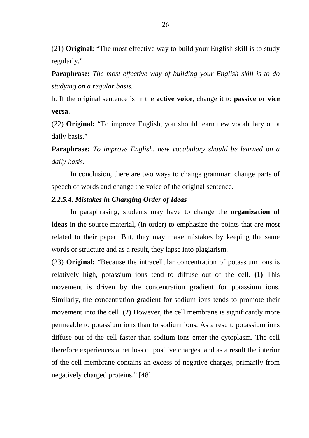(21) **Original:** "The most effective way to build your English skill is to study regularly."

**Paraphrase:** *The most effective way of building your English skill is to do studying on a regular basis.* 

b. If the original sentence is in the **active voice**, change it to **passive or vice versa.** 

(22) **Original:** "To improve English, you should learn new vocabulary on a daily basis."

**Paraphrase:** *To improve English, new vocabulary should be learned on a daily basis.* 

In conclusion, there are two ways to change grammar: change parts of speech of words and change the voice of the original sentence.

## *2.2.5.4. Mistakes in Changing Order of Ideas*

In paraphrasing, students may have to change the **organization of ideas** in the source material, (in order) to emphasize the points that are most related to their paper. But, they may make mistakes by keeping the same words or structure and as a result, they lapse into plagiarism.

(23) **Original:** "Because the intracellular concentration of potassium ions is relatively high, potassium ions tend to diffuse out of the cell. **(1)** This movement is driven by the concentration gradient for potassium ions. Similarly, the concentration gradient for sodium ions tends to promote their movement into the cell. **(2)** However, the cell membrane is significantly more permeable to potassium ions than to sodium ions. As a result, potassium ions diffuse out of the cell faster than sodium ions enter the cytoplasm. The cell therefore experiences a net loss of positive charges, and as a result the interior of the cell membrane contains an excess of negative charges, primarily from negatively charged proteins." [48]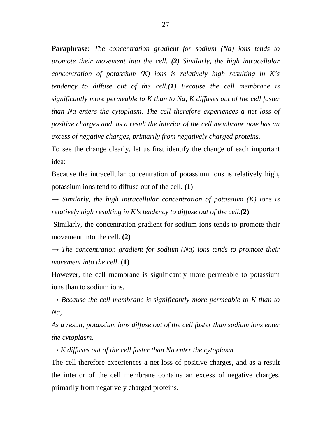**Paraphrase:** *The concentration gradient for sodium (Na) ions tends to promote their movement into the cell. (2) Similarly, the high intracellular concentration of potassium (K) ions is relatively high resulting in K's tendency to diffuse out of the cell.(1) Because the cell membrane is significantly more permeable to K than to Na, K diffuses out of the cell faster than Na enters the cytoplasm. The cell therefore experiences a net loss of positive charges and, as a result the interior of the cell membrane now has an excess of negative charges, primarily from negatively charged proteins.*

To see the change clearly, let us first identify the change of each important idea:

Because the intracellular concentration of potassium ions is relatively high, potassium ions tend to diffuse out of the cell. **(1)**

 $\rightarrow$  *Similarly, the high intracellular concentration of potassium (K) ions is relatively high resulting in K's tendency to diffuse out of the cell.***(2)**

 Similarly, the concentration gradient for sodium ions tends to promote their movement into the cell. **(2)**

 $\rightarrow$  *The concentration gradient for sodium (Na) ions tends to promote their movement into the cell*. **(1)** 

However, the cell membrane is significantly more permeable to potassium ions than to sodium ions.

 $\rightarrow$  *Because the cell membrane is significantly more permeable to K than to Na,* 

*As a result, potassium ions diffuse out of the cell faster than sodium ions enter the cytoplasm.* 

 $\rightarrow$  *K* diffuses out of the cell faster than Na enter the cytoplasm

The cell therefore experiences a net loss of positive charges, and as a result the interior of the cell membrane contains an excess of negative charges, primarily from negatively charged proteins.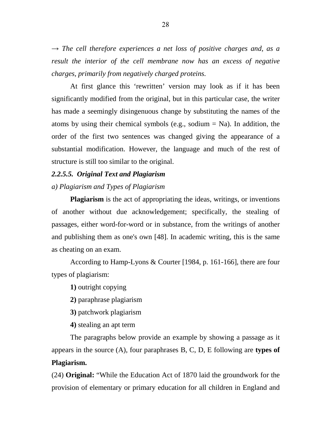$\rightarrow$  *The cell therefore experiences a net loss of positive charges and, as a result the interior of the cell membrane now has an excess of negative charges, primarily from negatively charged proteins.* 

At first glance this 'rewritten' version may look as if it has been significantly modified from the original, but in this particular case, the writer has made a seemingly disingenuous change by substituting the names of the atoms by using their chemical symbols (e.g., sodium  $=$  Na). In addition, the order of the first two sentences was changed giving the appearance of a substantial modification. However, the language and much of the rest of structure is still too similar to the original.

## *2.2.5.5. Original Text and Plagiarism*

## *a) Plagiarism and Types of Plagiarism*

**Plagiarism** is the act of appropriating the ideas, writings, or inventions of another without due acknowledgement; specifically, the stealing of passages, either word-for-word or in substance, from the writings of another and publishing them as one's own [48]. In academic writing, this is the same as cheating on an exam.

According to Hamp-Lyons & Courter [1984, p. 161-166], there are four types of plagiarism:

**1)** outright copying

**2)** paraphrase plagiarism

**3)** patchwork plagiarism

**4)** stealing an apt term

The paragraphs below provide an example by showing a passage as it appears in the source (A), four paraphrases B, C, D, E following are **types of Plagiarism.** 

(24) **Original:** "While the Education Act of 1870 laid the groundwork for the provision of elementary or primary education for all children in England and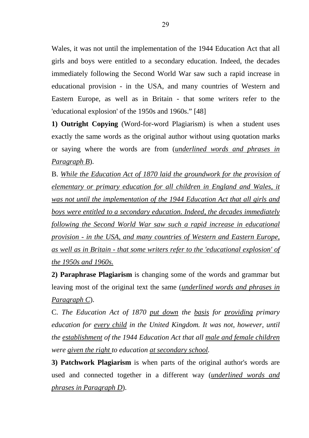Wales, it was not until the implementation of the 1944 Education Act that all girls and boys were entitled to a secondary education. Indeed, the decades immediately following the Second World War saw such a rapid increase in educational provision - in the USA, and many countries of Western and Eastern Europe, as well as in Britain - that some writers refer to the 'educational explosion' of the 1950s and 1960s." [48]

**1) Outright Copying** (Word-for-word Plagiarism) is when a student uses exactly the same words as the original author without using quotation marks or saying where the words are from (*underlined words and phrases in Paragraph B*).

B. *While the Education Act of 1870 laid the groundwork for the provision of elementary or primary education for all children in England and Wales, it was not until the implementation of the 1944 Education Act that all girls and boys were entitled to a secondary education. Indeed, the decades immediately following the Second World War saw such a rapid increase in educational provision - in the USA, and many countries of Western and Eastern Europe, as well as in Britain - that some writers refer to the 'educational explosion' of the 1950s and 1960s.*

**2) Paraphrase Plagiarism** is changing some of the words and grammar but leaving most of the original text the same (*underlined words and phrases in Paragraph C*).

C. *The Education Act of 1870 put down the basis for providing primary education for every child in the United Kingdom. It was not, however, until the establishment of the 1944 Education Act that all male and female children were given the right to education at secondary school.* 

**3) Patchwork Plagiarism** is when parts of the original author's words are used and connected together in a different way (*underlined words and phrases in Paragraph D*).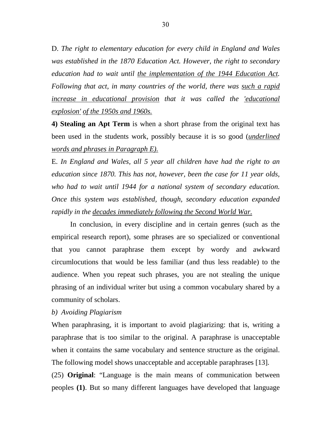D. *The right to elementary education for every child in England and Wales was established in the 1870 Education Act. However, the right to secondary education had to wait until the implementation of the 1944 Education Act. Following that act, in many countries of the world, there was such a rapid increase in educational provision that it was called the 'educational explosion' of the 1950s and 1960s.*

**4) Stealing an Apt Term** is when a short phrase from the original text has been used in the students work, possibly because it is so good (*underlined words and phrases in Paragraph E).*

E. *In England and Wales, all 5 year all children have had the right to an education since 1870. This has not, however, been the case for 11 year olds, who had to wait until 1944 for a national system of secondary education. Once this system was established, though, secondary education expanded rapidly in the decades immediately following the Second World War.*

 In conclusion, in every discipline and in certain genres (such as the empirical research report), some phrases are so specialized or conventional that you cannot paraphrase them except by wordy and awkward circumlocutions that would be less familiar (and thus less readable) to the audience. When you repeat such phrases, you are not stealing the unique phrasing of an individual writer but using a common vocabulary shared by a community of scholars.

## *b) Avoiding Plagiarism*

When paraphrasing, it is important to avoid plagiarizing: that is, writing a paraphrase that is too similar to the original. A paraphrase is unacceptable when it contains the same vocabulary and sentence structure as the original. The following model shows unacceptable and acceptable paraphrases [13].

(25) **Original**: "Language is the main means of communication between peoples **(1)**. But so many different languages have developed that language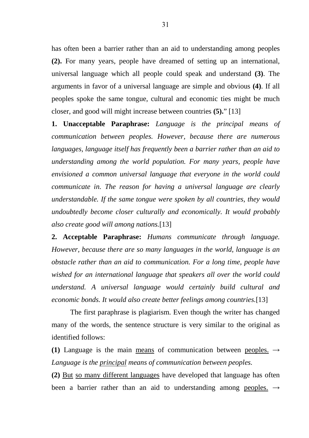has often been a barrier rather than an aid to understanding among peoples **(2).** For many years, people have dreamed of setting up an international, universal language which all people could speak and understand **(3)**. The arguments in favor of a universal language are simple and obvious **(4)**. If all peoples spoke the same tongue, cultural and economic ties might be much closer, and good will might increase between countries **(5).**" [13]

**1. Unacceptable Paraphrase:** *Language is the principal means of communication between peoples. However, because there are numerous languages, language itself has frequently been a barrier rather than an aid to understanding among the world population. For many years, people have envisioned a common universal language that everyone in the world could communicate in. The reason for having a universal language are clearly understandable. If the same tongue were spoken by all countries, they would undoubtedly become closer culturally and economically. It would probably also create good will among nations.*[13]

**2. Acceptable Paraphrase:** *Humans communicate through language. However, because there are so many languages in the world, language is an obstacle rather than an aid to communication. For a long time, people have wished for an international language that speakers all over the world could understand. A universal language would certainly build cultural and economic bonds. It would also create better feelings among countries.*[13]

The first paraphrase is plagiarism. Even though the writer has changed many of the words, the sentence structure is very similar to the original as identified follows:

(1) Language is the main means of communication between peoples.  $\rightarrow$ *Language is the principal means of communication between peoples.* 

**(2)** But so many different languages have developed that language has often been a barrier rather than an aid to understanding among peoples.  $\rightarrow$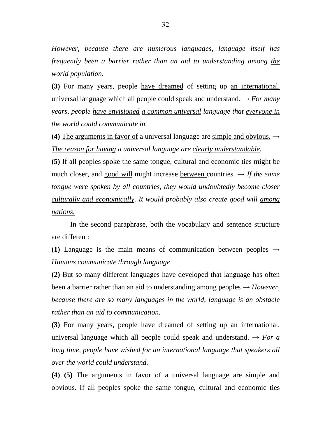*However, because there are numerous languages, language itself has frequently been a barrier rather than an aid to understanding among the world population.* 

**(3)** For many years, people have dreamed of setting up an international, universal language which all people could speak and understand.  $\rightarrow$  *For many years, people have envisioned a common universal language that everyone in the world could communicate in.*

**(4)** The arguments in favor of a universal language are simple and obvious.  $\rightarrow$ *The reason for having a universal language are clearly understandable.* 

**(5)** If all peoples spoke the same tongue, cultural and economic ties might be much closer, and good will might increase between countries.  $\rightarrow$  *If the same tongue were spoken by all countries, they would undoubtedly become closer culturally and economically. It would probably also create good will among nations.*

In the second paraphrase, both the vocabulary and sentence structure are different:

(1) Language is the main means of communication between peoples  $\rightarrow$ *Humans communicate through language* 

**(2)** But so many different languages have developed that language has often been a barrier rather than an aid to understanding among peoples  $\rightarrow$  *However*. *because there are so many languages in the world, language is an obstacle rather than an aid to communication.* 

**(3)** For many years, people have dreamed of setting up an international, universal language which all people could speak and understand.  $\rightarrow$  *For a long time, people have wished for an international language that speakers all over the world could understand.* 

**(4) (5)** The arguments in favor of a universal language are simple and obvious. If all peoples spoke the same tongue, cultural and economic ties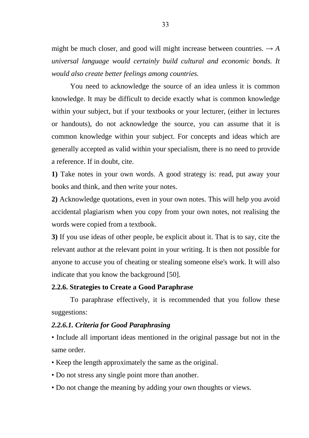might be much closer, and good will might increase between countries.  $\rightarrow$  *A universal language would certainly build cultural and economic bonds. It would also create better feelings among countries.*

You need to acknowledge the source of an idea unless it is common knowledge. It may be difficult to decide exactly what is common knowledge within your subject, but if your textbooks or your lecturer, (either in lectures or handouts), do not acknowledge the source, you can assume that it is common knowledge within your subject. For concepts and ideas which are generally accepted as valid within your specialism, there is no need to provide a reference. If in doubt, cite.

**1)** Take notes in your own words. A good strategy is: read, put away your books and think, and then write your notes.

**2)** Acknowledge quotations, even in your own notes. This will help you avoid accidental plagiarism when you copy from your own notes, not realising the words were copied from a textbook.

**3)** If you use ideas of other people, be explicit about it. That is to say, cite the relevant author at the relevant point in your writing. It is then not possible for anyone to accuse you of cheating or stealing someone else's work. It will also indicate that you know the background [50].

#### **2.2.6. Strategies to Create a Good Paraphrase**

To paraphrase effectively, it is recommended that you follow these suggestions:

#### *2.2.6.1. Criteria for Good Paraphrasing*

• Include all important ideas mentioned in the original passage but not in the same order.

- Keep the length approximately the same as the original.
- Do not stress any single point more than another.
- Do not change the meaning by adding your own thoughts or views.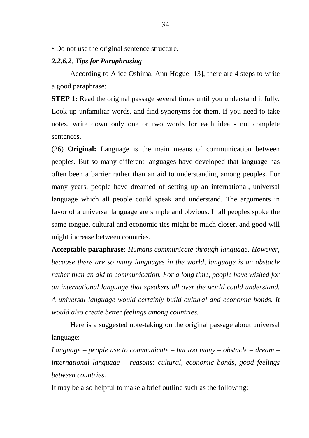• Do not use the original sentence structure.

#### *2.2.6.2*. *Tips for Paraphrasing*

According to Alice Oshima, Ann Hogue [13], there are 4 steps to write a good paraphrase:

**STEP 1:** Read the original passage several times until you understand it fully. Look up unfamiliar words, and find synonyms for them. If you need to take notes, write down only one or two words for each idea - not complete sentences.

(26) **Original:** Language is the main means of communication between peoples. But so many different languages have developed that language has often been a barrier rather than an aid to understanding among peoples. For many years, people have dreamed of setting up an international, universal language which all people could speak and understand. The arguments in favor of a universal language are simple and obvious. If all peoples spoke the same tongue, cultural and economic ties might be much closer, and good will might increase between countries.

**Acceptable paraphrase**: *Humans communicate through language. However, because there are so many languages in the world, language is an obstacle rather than an aid to communication. For a long time, people have wished for an international language that speakers all over the world could understand. A universal language would certainly build cultural and economic bonds. It would also create better feelings among countries.*

Here is a suggested note-taking on the original passage about universal language:

*Language – people use to communicate – but too many – obstacle – dream – international language – reasons: cultural, economic bonds, good feelings between countries.* 

It may be also helpful to make a brief outline such as the following: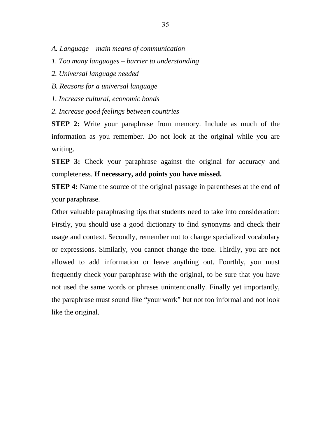- *A. Language main means of communication*
- *1. Too many languages barrier to understanding*
- *2. Universal language needed*
- *B. Reasons for a universal language*
- *1. Increase cultural, economic bonds*
- *2. Increase good feelings between countries*

**STEP 2:** Write your paraphrase from memory. Include as much of the information as you remember. Do not look at the original while you are writing.

**STEP 3:** Check your paraphrase against the original for accuracy and completeness. **If necessary, add points you have missed.** 

**STEP 4:** Name the source of the original passage in parentheses at the end of your paraphrase.

Other valuable paraphrasing tips that students need to take into consideration: Firstly, you should use a good dictionary to find synonyms and check their usage and context. Secondly, remember not to change specialized vocabulary or expressions. Similarly, you cannot change the tone. Thirdly, you are not allowed to add information or leave anything out. Fourthly, you must frequently check your paraphrase with the original, to be sure that you have not used the same words or phrases unintentionally. Finally yet importantly, the paraphrase must sound like "your work" but not too informal and not look like the original.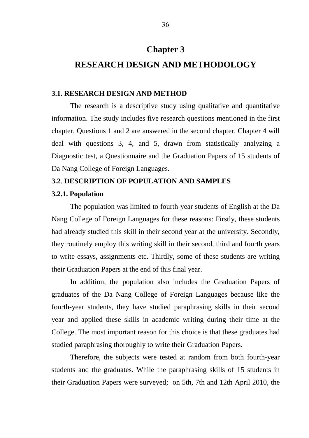# **Chapter 3**

# **RESEARCH DESIGN AND METHODOLOGY**

#### **3.1. RESEARCH DESIGN AND METHOD**

The research is a descriptive study using qualitative and quantitative information. The study includes five research questions mentioned in the first chapter. Questions 1 and 2 are answered in the second chapter. Chapter 4 will deal with questions 3, 4, and 5, drawn from statistically analyzing a Diagnostic test, a Questionnaire and the Graduation Papers of 15 students of Da Nang College of Foreign Languages.

# **3.2**. **DESCRIPTION OF POPULATION AND SAMPLES**

#### **3.2.1. Population**

The population was limited to fourth-year students of English at the Da Nang College of Foreign Languages for these reasons: Firstly, these students had already studied this skill in their second year at the university. Secondly, they routinely employ this writing skill in their second, third and fourth years to write essays, assignments etc. Thirdly, some of these students are writing their Graduation Papers at the end of this final year.

In addition, the population also includes the Graduation Papers of graduates of the Da Nang College of Foreign Languages because like the fourth-year students, they have studied paraphrasing skills in their second year and applied these skills in academic writing during their time at the College. The most important reason for this choice is that these graduates had studied paraphrasing thoroughly to write their Graduation Papers.

Therefore, the subjects were tested at random from both fourth-year students and the graduates. While the paraphrasing skills of 15 students in their Graduation Papers were surveyed; on 5th, 7th and 12th April 2010, the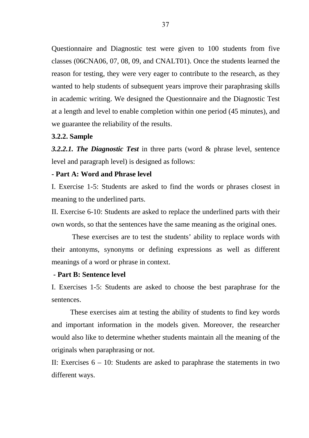Questionnaire and Diagnostic test were given to 100 students from five classes (06CNA06, 07, 08, 09, and CNALT01). Once the students learned the reason for testing, they were very eager to contribute to the research, as they wanted to help students of subsequent years improve their paraphrasing skills in academic writing. We designed the Questionnaire and the Diagnostic Test at a length and level to enable completion within one period (45 minutes), and we guarantee the reliability of the results.

#### **3.2.2. Sample**

*3.2.2.1. The Diagnostic Test* in three parts (word & phrase level, sentence level and paragraph level) is designed as follows:

### **- Part A: Word and Phrase level**

I. Exercise 1-5: Students are asked to find the words or phrases closest in meaning to the underlined parts.

II. Exercise 6-10: Students are asked to replace the underlined parts with their own words, so that the sentences have the same meaning as the original ones.

 These exercises are to test the students' ability to replace words with their antonyms, synonyms or defining expressions as well as different meanings of a word or phrase in context.

#### **- Part B: Sentence level**

I. Exercises 1-5: Students are asked to choose the best paraphrase for the sentences.

These exercises aim at testing the ability of students to find key words and important information in the models given. Moreover, the researcher would also like to determine whether students maintain all the meaning of the originals when paraphrasing or not.

II: Exercises  $6 - 10$ : Students are asked to paraphrase the statements in two different ways.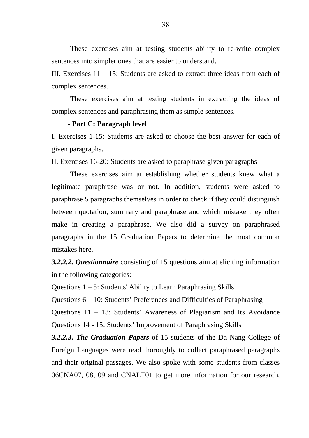These exercises aim at testing students ability to re-write complex sentences into simpler ones that are easier to understand.

III. Exercises 11 – 15: Students are asked to extract three ideas from each of complex sentences.

 These exercises aim at testing students in extracting the ideas of complex sentences and paraphrasing them as simple sentences.

#### **- Part C: Paragraph level**

I. Exercises 1-15: Students are asked to choose the best answer for each of given paragraphs.

II. Exercises 16-20: Students are asked to paraphrase given paragraphs

These exercises aim at establishing whether students knew what a legitimate paraphrase was or not. In addition, students were asked to paraphrase 5 paragraphs themselves in order to check if they could distinguish between quotation, summary and paraphrase and which mistake they often make in creating a paraphrase. We also did a survey on paraphrased paragraphs in the 15 Graduation Papers to determine the most common mistakes here.

*3.2.2.2. Questionnaire* consisting of 15 questions aim at eliciting information in the following categories:

Questions 1 – 5: Students' Ability to Learn Paraphrasing Skills

Questions 6 – 10: Students' Preferences and Difficulties of Paraphrasing

Questions 11 – 13: Students' Awareness of Plagiarism and Its Avoidance Questions 14 - 15: Students' Improvement of Paraphrasing Skills

*3.2.2.3. The Graduation Papers* of 15 students of the Da Nang College of Foreign Languages were read thoroughly to collect paraphrased paragraphs and their original passages. We also spoke with some students from classes 06CNA07, 08, 09 and CNALT01 to get more information for our research,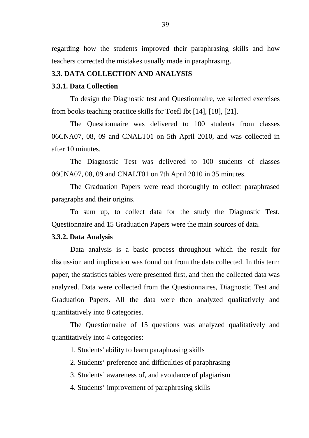regarding how the students improved their paraphrasing skills and how teachers corrected the mistakes usually made in paraphrasing.

#### **3.3. DATA COLLECTION AND ANALYSIS**

#### **3.3.1. Data Collection**

To design the Diagnostic test and Questionnaire, we selected exercises from books teaching practice skills for Toefl Ibt [14], [18], [21].

The Questionnaire was delivered to 100 students from classes 06CNA07, 08, 09 and CNALT01 on 5th April 2010, and was collected in after 10 minutes.

The Diagnostic Test was delivered to 100 students of classes 06CNA07, 08, 09 and CNALT01 on 7th April 2010 in 35 minutes.

The Graduation Papers were read thoroughly to collect paraphrased paragraphs and their origins.

To sum up, to collect data for the study the Diagnostic Test, Questionnaire and 15 Graduation Papers were the main sources of data.

#### **3.3.2. Data Analysis**

Data analysis is a basic process throughout which the result for discussion and implication was found out from the data collected. In this term paper, the statistics tables were presented first, and then the collected data was analyzed. Data were collected from the Questionnaires, Diagnostic Test and Graduation Papers. All the data were then analyzed qualitatively and quantitatively into 8 categories.

The Questionnaire of 15 questions was analyzed qualitatively and quantitatively into 4 categories:

1. Students' ability to learn paraphrasing skills

2. Students' preference and difficulties of paraphrasing

3. Students' awareness of, and avoidance of plagiarism

4. Students' improvement of paraphrasing skills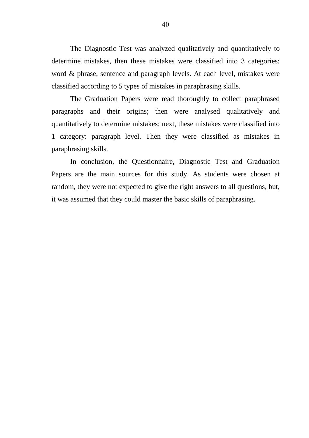The Diagnostic Test was analyzed qualitatively and quantitatively to determine mistakes, then these mistakes were classified into 3 categories: word & phrase, sentence and paragraph levels. At each level, mistakes were classified according to 5 types of mistakes in paraphrasing skills.

The Graduation Papers were read thoroughly to collect paraphrased paragraphs and their origins; then were analysed qualitatively and quantitatively to determine mistakes; next, these mistakes were classified into 1 category: paragraph level. Then they were classified as mistakes in paraphrasing skills.

In conclusion, the Questionnaire, Diagnostic Test and Graduation Papers are the main sources for this study. As students were chosen at random, they were not expected to give the right answers to all questions, but, it was assumed that they could master the basic skills of paraphrasing.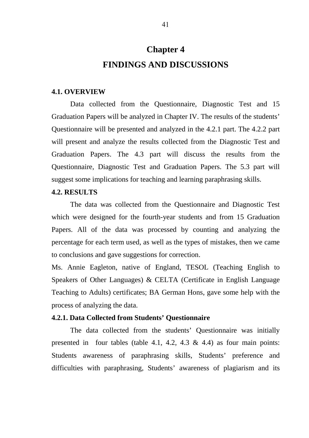# **Chapter 4 FINDINGS AND DISCUSSIONS**

#### **4.1. OVERVIEW**

Data collected from the Questionnaire, Diagnostic Test and 15 Graduation Papers will be analyzed in Chapter IV. The results of the students' Questionnaire will be presented and analyzed in the 4.2.1 part. The 4.2.2 part will present and analyze the results collected from the Diagnostic Test and Graduation Papers. The 4.3 part will discuss the results from the Questionnaire, Diagnostic Test and Graduation Papers. The 5.3 part will suggest some implications for teaching and learning paraphrasing skills.

#### **4.2. RESULTS**

The data was collected from the Questionnaire and Diagnostic Test which were designed for the fourth-year students and from 15 Graduation Papers. All of the data was processed by counting and analyzing the percentage for each term used, as well as the types of mistakes, then we came to conclusions and gave suggestions for correction.

Ms. Annie Eagleton, native of England, TESOL (Teaching English to Speakers of Other Languages) & CELTA (Certificate in English Language Teaching to Adults) certificates; BA German Hons, gave some help with the process of analyzing the data.

#### **4.2.1. Data Collected from Students' Questionnaire**

The data collected from the students' Questionnaire was initially presented in four tables (table 4.1, 4.2, 4.3  $\&$  4.4) as four main points: Students awareness of paraphrasing skills, Students' preference and difficulties with paraphrasing, Students' awareness of plagiarism and its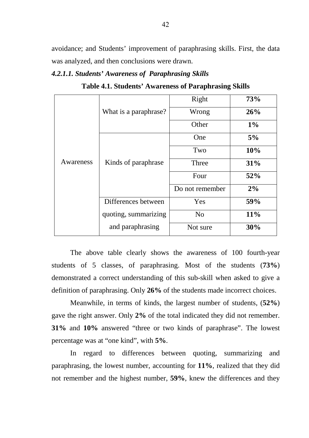avoidance; and Students' improvement of paraphrasing skills. First, the data was analyzed, and then conclusions were drawn.

#### *4.2.1.1. Students' Awareness of Paraphrasing Skills*

**Table 4.1. Students' Awareness of Paraphrasing Skills**

|           |                       | Right           | 73%   |
|-----------|-----------------------|-----------------|-------|
|           | What is a paraphrase? | Wrong           | 26%   |
|           |                       | Other           | $1\%$ |
|           |                       | One             | 5%    |
|           |                       | Two             | 10%   |
| Awareness | Kinds of paraphrase   | Three           | 31%   |
|           |                       | Four            | 52%   |
|           |                       | Do not remember | 2%    |
|           | Differences between   | Yes             | 59%   |
|           | quoting, summarizing  | N <sub>o</sub>  | 11%   |
|           | and paraphrasing      | Not sure        | 30%   |

The above table clearly shows the awareness of 100 fourth-year students of 5 classes, of paraphrasing. Most of the students (**73%**) demonstrated a correct understanding of this sub-skill when asked to give a definition of paraphrasing. Only **26%** of the students made incorrect choices.

Meanwhile, in terms of kinds, the largest number of students, (**52%**) gave the right answer. Only **2%** of the total indicated they did not remember. **31%** and **10%** answered "three or two kinds of paraphrase". The lowest percentage was at "one kind", with **5%**.

 In regard to differences between quoting, summarizing and paraphrasing, the lowest number, accounting for **11%**, realized that they did not remember and the highest number, **59%**, knew the differences and they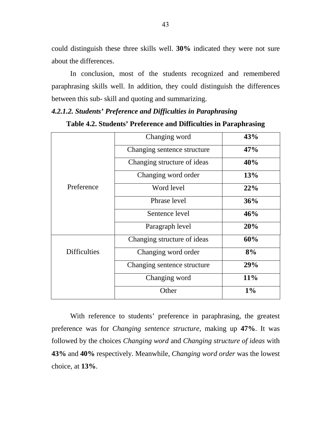could distinguish these three skills well. **30%** indicated they were not sure about the differences.

In conclusion, most of the students recognized and remembered paraphrasing skills well. In addition, they could distinguish the differences between this sub- skill and quoting and summarizing.

#### *4.2.1.2. Students' Preference and Difficulties in Paraphrasing*

|                     | Changing word               | 43% |
|---------------------|-----------------------------|-----|
|                     | Changing sentence structure | 47% |
|                     | Changing structure of ideas | 40% |
|                     | Changing word order         | 13% |
| Preference          | Word level                  | 22% |
|                     | Phrase level                | 36% |
|                     | Sentence level              | 46% |
|                     | Paragraph level             | 20% |
|                     | Changing structure of ideas | 60% |
| <b>Difficulties</b> | Changing word order         | 8%  |
|                     | Changing sentence structure | 29% |
|                     | Changing word               | 11% |
|                     | Other                       | 1%  |

**Table 4.2. Students' Preference and Difficulties in Paraphrasing** 

With reference to students' preference in paraphrasing, the greatest preference was for *Changing sentence structure*, making up **47%**. It was followed by the choices *Changing word* and *Changing structure of ideas* with **43%** and **40%** respectively. Meanwhile, *Changing word order* was the lowest choice, at **13%**.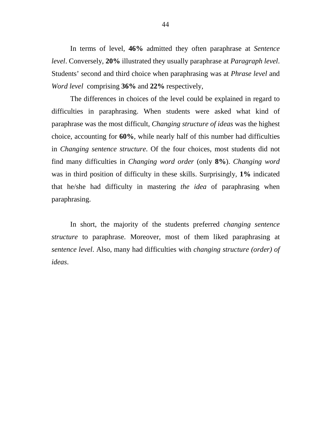In terms of level, **46%** admitted they often paraphrase at *Sentence level*. Conversely, **20%** illustrated they usually paraphrase at *Paragraph level*. Students' second and third choice when paraphrasing was at *Phrase level* and *Word level* comprising **36%** and **22%** respectively,

The differences in choices of the level could be explained in regard to difficulties in paraphrasing. When students were asked what kind of paraphrase was the most difficult, *Changing structure of ideas* was the highest choice, accounting for **60%**, while nearly half of this number had difficulties in *Changing sentence structure*. Of the four choices, most students did not find many difficulties in *Changing word order* (only **8%**). *Changing word* was in third position of difficulty in these skills. Surprisingly, **1%** indicated that he/she had difficulty in mastering *the idea* of paraphrasing when paraphrasing.

In short, the majority of the students preferred *changing sentence structure* to paraphrase. Moreover, most of them liked paraphrasing at *sentence level*. Also, many had difficulties with *changing structure (order) of ideas*.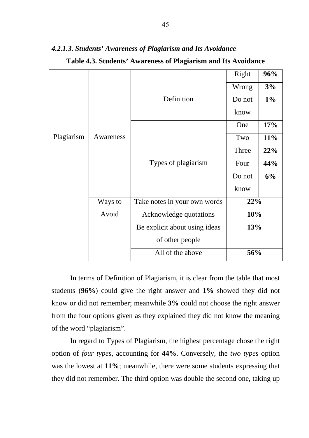|            |           |                               | Right  | 96%   |
|------------|-----------|-------------------------------|--------|-------|
|            |           |                               | Wrong  | 3%    |
|            |           | Definition                    | Do not | $1\%$ |
|            |           |                               | know   |       |
|            |           |                               | One    | 17%   |
| Plagiarism | Awareness |                               | Two    | 11%   |
|            |           |                               | Three  | 22%   |
|            |           | Types of plagiarism           | Four   | 44%   |
|            |           |                               | Do not | 6%    |
|            |           |                               | know   |       |
|            | Ways to   | Take notes in your own words  | 22%    |       |
|            | Avoid     | Acknowledge quotations        | 10%    |       |
|            |           | Be explicit about using ideas | 13%    |       |
|            |           | of other people               |        |       |
|            |           | All of the above              | 56%    |       |

*4.2.1.3*. *Students' Awareness of Plagiarism and Its Avoidance* 

| Table 4.3. Students' Awareness of Plagiarism and Its Avoidance |  |  |  |
|----------------------------------------------------------------|--|--|--|
|----------------------------------------------------------------|--|--|--|

In terms of Definition of Plagiarism, it is clear from the table that most students (**96%**) could give the right answer and **1%** showed they did not know or did not remember; meanwhile **3%** could not choose the right answer from the four options given as they explained they did not know the meaning of the word "plagiarism".

In regard to Types of Plagiarism, the highest percentage chose the right option of *four types*, accounting for **44%**. Conversely, the *two types* option was the lowest at **11%**; meanwhile, there were some students expressing that they did not remember. The third option was double the second one, taking up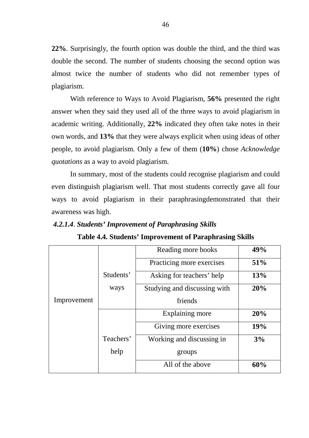**22%**. Surprisingly, the fourth option was double the third, and the third was double the second. The number of students choosing the second option was almost twice the number of students who did not remember types of plagiarism.

With reference to Ways to Avoid Plagiarism, **56%** presented the right answer when they said they used all of the three ways to avoid plagiarism in academic writing. Additionally, **22%** indicated they often take notes in their own words, and **13%** that they were always explicit when using ideas of other people, to avoid plagiarism. Only a few of them (**10%**) chose *Acknowledge quotations* as a way to avoid plagiarism.

In summary, most of the students could recognise plagiarism and could even distinguish plagiarism well. That most students correctly gave all four ways to avoid plagiarism in their paraphrasingdemonstrated that their awareness was high.

#### *4.2.1.4*. *Students' Improvement of Paraphrasing Skills*

|             |           | Reading more books           | 49% |
|-------------|-----------|------------------------------|-----|
|             |           | Practicing more exercises    | 51% |
|             | Students' | Asking for teachers' help    | 13% |
|             | ways      | Studying and discussing with | 20% |
| Improvement |           | friends                      |     |
|             |           | Explaining more              | 20% |
|             |           | Giving more exercises        | 19% |
|             | Teachers' | Working and discussing in    | 3%  |
|             | help      | groups                       |     |
|             |           | All of the above             | 60% |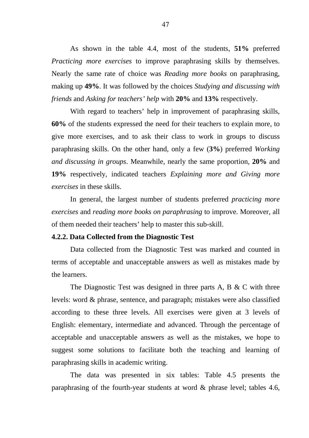As shown in the table 4.4, most of the students, **51%** preferred *Practicing more exercises* to improve paraphrasing skills by themselves. Nearly the same rate of choice was *Reading more books* on paraphrasing, making up **49%**. It was followed by the choices *Studying and discussing with friends* and *Asking for teachers' help* with **20%** and **13%** respectively.

 With regard to teachers' help in improvement of paraphrasing skills, **60%** of the students expressed the need for their teachers to explain more, to give more exercises, and to ask their class to work in groups to discuss paraphrasing skills. On the other hand, only a few (**3%**) preferred *Working and discussing in groups*. Meanwhile, nearly the same proportion, **20%** and **19%** respectively, indicated teachers *Explaining more and Giving more exercises* in these skills.

 In general, the largest number of students preferred *practicing more exercises* and *reading more books on paraphrasing* to improve. Moreover, all of them needed their teachers' help to master this sub-skill.

#### **4.2.2. Data Collected from the Diagnostic Test**

Data collected from the Diagnostic Test was marked and counted in terms of acceptable and unacceptable answers as well as mistakes made by the learners.

The Diagnostic Test was designed in three parts A, B & C with three levels: word & phrase, sentence, and paragraph; mistakes were also classified according to these three levels. All exercises were given at 3 levels of English: elementary, intermediate and advanced. Through the percentage of acceptable and unacceptable answers as well as the mistakes, we hope to suggest some solutions to facilitate both the teaching and learning of paraphrasing skills in academic writing.

The data was presented in six tables: Table 4.5 presents the paraphrasing of the fourth-year students at word & phrase level; tables 4.6,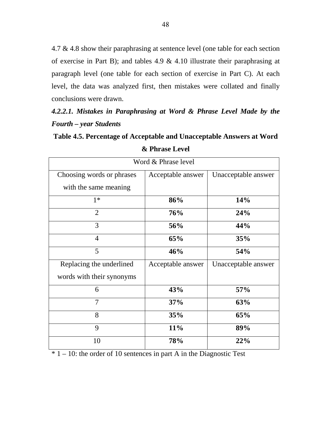4.7 & 4.8 show their paraphrasing at sentence level (one table for each section of exercise in Part B); and tables 4.9 & 4.10 illustrate their paraphrasing at paragraph level (one table for each section of exercise in Part C). At each level, the data was analyzed first, then mistakes were collated and finally conclusions were drawn.

*4.2.2.1. Mistakes in Paraphrasing at Word & Phrase Level Made by the Fourth – year Students*

**Table 4.5. Percentage of Acceptable and Unacceptable Answers at Word & Phrase Level** 

| Word & Phrase level       |                   |                     |  |  |
|---------------------------|-------------------|---------------------|--|--|
| Choosing words or phrases | Acceptable answer | Unacceptable answer |  |  |
| with the same meaning     |                   |                     |  |  |
| $1*$                      | 86%               | 14%                 |  |  |
| $\overline{2}$            | 76%               | 24%                 |  |  |
| 3                         | 56%               | 44%                 |  |  |
| $\overline{4}$            | 65%               | 35%                 |  |  |
| 5                         | 46%               | 54%                 |  |  |
| Replacing the underlined  | Acceptable answer | Unacceptable answer |  |  |
| words with their synonyms |                   |                     |  |  |
| 6                         | 43%               | 57%                 |  |  |
| $\overline{7}$            | 37%               | 63%                 |  |  |
| 8                         | 35%               | 65%                 |  |  |
| 9                         | 11%               | 89%                 |  |  |
| 10                        | 78%               | 22%                 |  |  |

 $* 1 - 10$ : the order of 10 sentences in part A in the Diagnostic Test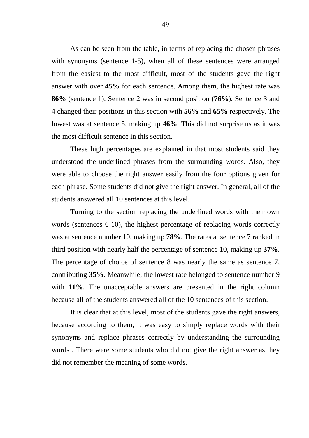As can be seen from the table, in terms of replacing the chosen phrases with synonyms (sentence 1-5), when all of these sentences were arranged from the easiest to the most difficult, most of the students gave the right answer with over **45%** for each sentence. Among them, the highest rate was **86%** (sentence 1). Sentence 2 was in second position (**76%**). Sentence 3 and 4 changed their positions in this section with **56%** and **65%** respectively. The lowest was at sentence 5, making up **46%**. This did not surprise us as it was the most difficult sentence in this section.

These high percentages are explained in that most students said they understood the underlined phrases from the surrounding words. Also, they were able to choose the right answer easily from the four options given for each phrase. Some students did not give the right answer. In general, all of the students answered all 10 sentences at this level.

Turning to the section replacing the underlined words with their own words (sentences 6-10), the highest percentage of replacing words correctly was at sentence number 10, making up **78%**. The rates at sentence 7 ranked in third position with nearly half the percentage of sentence 10, making up **37%**. The percentage of choice of sentence 8 was nearly the same as sentence 7, contributing **35%**. Meanwhile, the lowest rate belonged to sentence number 9 with **11%**. The unacceptable answers are presented in the right column because all of the students answered all of the 10 sentences of this section.

It is clear that at this level, most of the students gave the right answers, because according to them, it was easy to simply replace words with their synonyms and replace phrases correctly by understanding the surrounding words . There were some students who did not give the right answer as they did not remember the meaning of some words.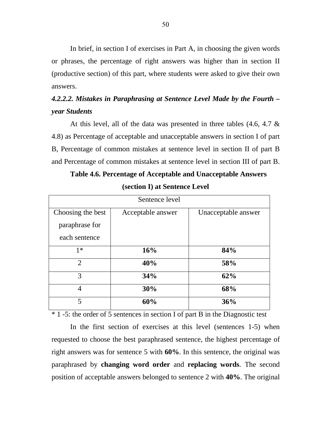In brief, in section I of exercises in Part A, in choosing the given words or phrases, the percentage of right answers was higher than in section II (productive section) of this part, where students were asked to give their own answers.

# *4.2.2.2. Mistakes in Paraphrasing at Sentence Level Made by the Fourth – year Students*

At this level, all of the data was presented in three tables (4.6, 4.7 & 4.8) as Percentage of acceptable and unacceptable answers in section I of part B, Percentage of common mistakes at sentence level in section II of part B and Percentage of common mistakes at sentence level in section III of part B.

| Sentence level    |                   |                     |  |  |
|-------------------|-------------------|---------------------|--|--|
| Choosing the best | Acceptable answer | Unacceptable answer |  |  |
| paraphrase for    |                   |                     |  |  |
| each sentence     |                   |                     |  |  |
| $1*$              | 16%               | 84%                 |  |  |
| $\overline{2}$    | 40%               | 58%                 |  |  |
| 3                 | 34%               | 62%                 |  |  |
| $\overline{4}$    | 30%               | 68%                 |  |  |
| 5                 | 60%               | 36%                 |  |  |

**Table 4.6. Percentage of Acceptable and Unacceptable Answers** 

**(section I) at Sentence Level** 

\* 1 -5: the order of 5 sentences in section I of part B in the Diagnostic test

In the first section of exercises at this level (sentences 1-5) when requested to choose the best paraphrased sentence, the highest percentage of right answers was for sentence 5 with **60%**. In this sentence, the original was paraphrased by **changing word order** and **replacing words**. The second position of acceptable answers belonged to sentence 2 with **40%**. The original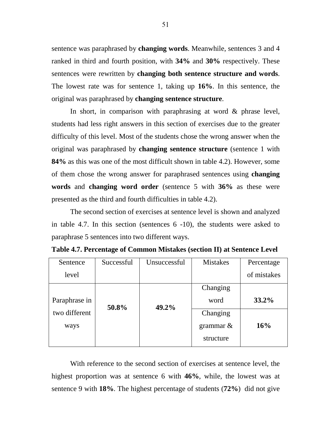sentence was paraphrased by **changing words**. Meanwhile, sentences 3 and 4 ranked in third and fourth position, with **34%** and **30%** respectively. These sentences were rewritten by **changing both sentence structure and words**. The lowest rate was for sentence 1, taking up **16%**. In this sentence, the original was paraphrased by **changing sentence structure**.

In short, in comparison with paraphrasing at word & phrase level, students had less right answers in this section of exercises due to the greater difficulty of this level. Most of the students chose the wrong answer when the original was paraphrased by **changing sentence structure** (sentence 1 with **84%** as this was one of the most difficult shown in table 4.2). However, some of them chose the wrong answer for paraphrased sentences using **changing words** and **changing word order** (sentence 5 with **36%** as these were presented as the third and fourth difficulties in table 4.2).

The second section of exercises at sentence level is shown and analyzed in table 4.7. In this section (sentences 6 -10), the students were asked to paraphrase 5 sentences into two different ways.

| Sentence      | Successful | Unsuccessful | <b>Mistakes</b> | Percentage  |
|---------------|------------|--------------|-----------------|-------------|
| level         |            |              |                 | of mistakes |
|               |            |              | Changing        |             |
| Paraphrase in | 50.8%      | 49.2%        | word            | $33.2\%$    |
| two different |            |              | Changing        |             |
| ways          |            |              | grammar $\&$    | 16%         |
|               |            |              | structure       |             |

**Table 4.7. Percentage of Common Mistakes (section II) at Sentence Level**

With reference to the second section of exercises at sentence level, the highest proportion was at sentence 6 with **46%**, while, the lowest was at sentence 9 with **18%**. The highest percentage of students (**72%**) did not give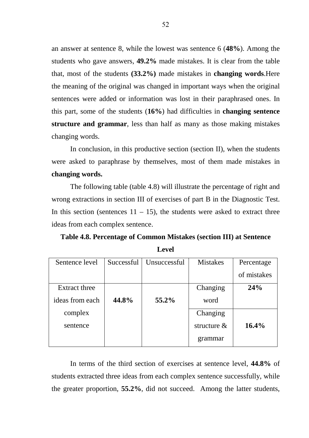an answer at sentence 8, while the lowest was sentence 6 (**48%**). Among the students who gave answers, **49.2%** made mistakes. It is clear from the table that, most of the students **(33.2%)** made mistakes in **changing words**.Here the meaning of the original was changed in important ways when the original sentences were added or information was lost in their paraphrased ones. In this part, some of the students (**16%**) had difficulties in **changing sentence structure and grammar**, less than half as many as those making mistakes changing words.

In conclusion, in this productive section (section II), when the students were asked to paraphrase by themselves, most of them made mistakes in **changing words.** 

The following table (table 4.8) will illustrate the percentage of right and wrong extractions in section III of exercises of part B in the Diagnostic Test. In this section (sentences  $11 - 15$ ), the students were asked to extract three ideas from each complex sentence.

**Table 4.8. Percentage of Common Mistakes (section III) at Sentence Level** 

| Sentence level  | Successful | Unsuccessful | <b>Mistakes</b> | Percentage  |
|-----------------|------------|--------------|-----------------|-------------|
|                 |            |              |                 | of mistakes |
| Extract three   |            |              | Changing        | 24%         |
| ideas from each | 44.8%      | 55.2%        | word            |             |
| complex         |            |              | Changing        |             |
| sentence        |            |              | structure $\&$  | 16.4%       |
|                 |            |              | grammar         |             |

In terms of the third section of exercises at sentence level, **44.8%** of students extracted three ideas from each complex sentence successfully, while the greater proportion, **55.2%**, did not succeed. Among the latter students,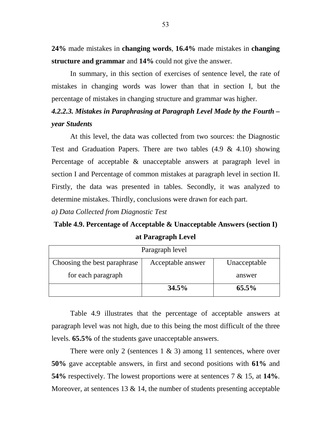**24%** made mistakes in **changing words**, **16.4%** made mistakes in **changing structure and grammar** and **14%** could not give the answer.

In summary, in this section of exercises of sentence level, the rate of mistakes in changing words was lower than that in section I, but the percentage of mistakes in changing structure and grammar was higher.

# *4.2.2.3. Mistakes in Paraphrasing at Paragraph Level Made by the Fourth – year Students*

At this level, the data was collected from two sources: the Diagnostic Test and Graduation Papers. There are two tables  $(4.9 \& 4.10)$  showing Percentage of acceptable & unacceptable answers at paragraph level in section I and Percentage of common mistakes at paragraph level in section II. Firstly, the data was presented in tables. Secondly, it was analyzed to determine mistakes. Thirdly, conclusions were drawn for each part.

*a) Data Collected from Diagnostic Test*

**Table 4.9. Percentage of Acceptable & Unacceptable Answers (section I) at Paragraph Level** 

| Paragraph level                                                   |       |          |  |  |
|-------------------------------------------------------------------|-------|----------|--|--|
| Choosing the best paraphrase<br>Acceptable answer<br>Unacceptable |       |          |  |  |
| for each paragraph                                                |       | answer   |  |  |
|                                                                   | 34.5% | $65.5\%$ |  |  |

Table 4.9 illustrates that the percentage of acceptable answers at paragraph level was not high, due to this being the most difficult of the three levels. **65.5%** of the students gave unacceptable answers.

There were only 2 (sentences  $1 \& 3$ ) among 11 sentences, where over **50%** gave acceptable answers, in first and second positions with **61%** and **54%** respectively. The lowest proportions were at sentences 7 & 15, at **14%**. Moreover, at sentences  $13 \& 14$ , the number of students presenting acceptable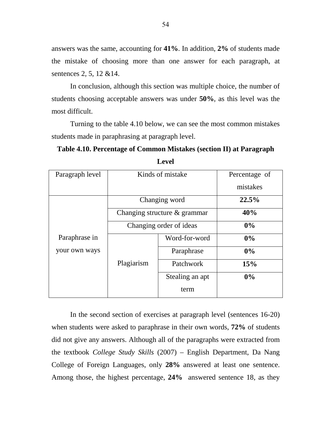answers was the same, accounting for **41%**. In addition, **2%** of students made the mistake of choosing more than one answer for each paragraph, at sentences 2, 5, 12 &14.

In conclusion, although this section was multiple choice, the number of students choosing acceptable answers was under **50%**, as this level was the most difficult.

Turning to the table 4.10 below, we can see the most common mistakes students made in paraphrasing at paragraph level.

**Table 4.10. Percentage of Common Mistakes (section II) at Paragraph** 

| Paragraph level              | Kinds of mistake        |                 | Percentage of |
|------------------------------|-------------------------|-----------------|---------------|
|                              |                         |                 |               |
|                              |                         |                 | mistakes      |
|                              |                         |                 |               |
|                              |                         | Changing word   | 22.5%         |
| Changing structure & grammar |                         | 40%             |               |
|                              | Changing order of ideas |                 | $0\%$         |
| Paraphrase in                | Word-for-word           |                 | 0%            |
| your own ways                |                         | Paraphrase      | $0\%$         |
|                              | Plagiarism              | Patchwork       | 15%           |
|                              |                         | Stealing an apt | $0\%$         |
|                              |                         | term            |               |

**Level** 

In the second section of exercises at paragraph level (sentences 16-20) when students were asked to paraphrase in their own words, **72%** of students did not give any answers. Although all of the paragraphs were extracted from the textbook *College Study Skills* (2007) – English Department, Da Nang College of Foreign Languages, only **28%** answered at least one sentence. Among those, the highest percentage, **24%** answered sentence 18, as they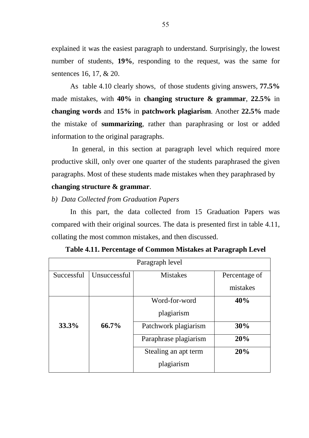explained it was the easiest paragraph to understand. Surprisingly, the lowest number of students, **19%**, responding to the request, was the same for sentences 16, 17, & 20.

As table 4.10 clearly shows, of those students giving answers, **77.5%** made mistakes, with **40%** in **changing structure & grammar**, **22.5%** in **changing words** and **15%** in **patchwork plagiarism**. Another **22.5%** made the mistake of **summarizing**, rather than paraphrasing or lost or added information to the original paragraphs.

 In general, in this section at paragraph level which required more productive skill, only over one quarter of the students paraphrased the given paragraphs. Most of these students made mistakes when they paraphrased by

# **changing structure & grammar**.

### *b) Data Collected from Graduation Papers*

In this part, the data collected from 15 Graduation Papers was compared with their original sources. The data is presented first in table 4.11, collating the most common mistakes, and then discussed.

| Paragraph level |              |                       |               |
|-----------------|--------------|-----------------------|---------------|
| Successful      | Unsuccessful | <b>Mistakes</b>       | Percentage of |
|                 |              |                       | mistakes      |
|                 |              | Word-for-word         | 40%           |
|                 |              | plagiarism            |               |
| 33.3%           | 66.7%        | Patchwork plagiarism  | 30%           |
|                 |              | Paraphrase plagiarism | 20%           |
|                 |              | Stealing an apt term  | 20%           |
|                 |              | plagiarism            |               |

**Table 4.11. Percentage of Common Mistakes at Paragraph Level**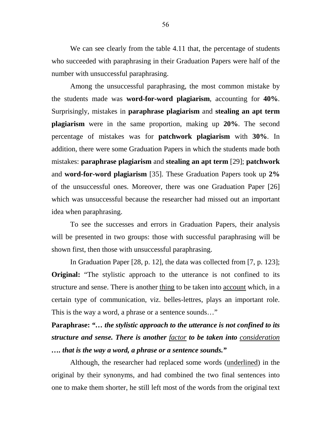We can see clearly from the table 4.11 that, the percentage of students who succeeded with paraphrasing in their Graduation Papers were half of the number with unsuccessful paraphrasing.

Among the unsuccessful paraphrasing, the most common mistake by the students made was **word-for-word plagiarism**, accounting for **40%**. Surprisingly, mistakes in **paraphrase plagiarism** and **stealing an apt term plagiarism** were in the same proportion, making up **20%**. The second percentage of mistakes was for **patchwork plagiarism** with **30%**. In addition, there were some Graduation Papers in which the students made both mistakes: **paraphrase plagiarism** and **stealing an apt term** [29]; **patchwork**  and **word-for-word plagiarism** [35]. These Graduation Papers took up **2%** of the unsuccessful ones. Moreover, there was one Graduation Paper [26] which was unsuccessful because the researcher had missed out an important idea when paraphrasing.

To see the successes and errors in Graduation Papers, their analysis will be presented in two groups: those with successful paraphrasing will be shown first, then those with unsuccessful paraphrasing.

In Graduation Paper [28, p. 12], the data was collected from [7, p. 123]; **Original:** "The stylistic approach to the utterance is not confined to its structure and sense. There is another thing to be taken into account which, in a certain type of communication, viz. belles-lettres, plays an important role. This is the way a word, a phrase or a sentence sounds…"

**Paraphrase:** *"… the stylistic approach to the utterance is not confined to its structure and sense. There is another factor to be taken into consideration …. that is the way a word, a phrase or a sentence sounds."* 

Although, the researcher had replaced some words (underlined) in the original by their synonyms, and had combined the two final sentences into one to make them shorter, he still left most of the words from the original text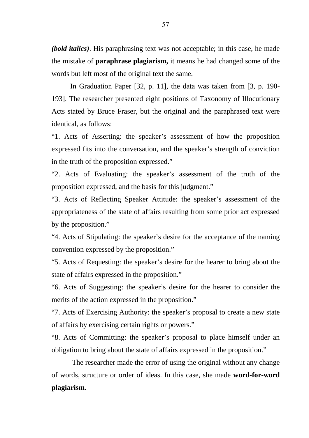*(bold italics)*. His paraphrasing text was not acceptable; in this case, he made the mistake of **paraphrase plagiarism,** it means he had changed some of the words but left most of the original text the same.

In Graduation Paper [32, p. 11], the data was taken from [3, p. 190- 193]. The researcher presented eight positions of Taxonomy of Illocutionary Acts stated by Bruce Fraser, but the original and the paraphrased text were identical, as follows:

"1. Acts of Asserting: the speaker's assessment of how the proposition expressed fits into the conversation, and the speaker's strength of conviction in the truth of the proposition expressed."

"2. Acts of Evaluating: the speaker's assessment of the truth of the proposition expressed, and the basis for this judgment."

"3. Acts of Reflecting Speaker Attitude: the speaker's assessment of the appropriateness of the state of affairs resulting from some prior act expressed by the proposition."

"4. Acts of Stipulating: the speaker's desire for the acceptance of the naming convention expressed by the proposition."

"5. Acts of Requesting: the speaker's desire for the hearer to bring about the state of affairs expressed in the proposition."

"6. Acts of Suggesting: the speaker's desire for the hearer to consider the merits of the action expressed in the proposition."

"7. Acts of Exercising Authority: the speaker's proposal to create a new state of affairs by exercising certain rights or powers."

"8. Acts of Committing: the speaker's proposal to place himself under an obligation to bring about the state of affairs expressed in the proposition."

 The researcher made the error of using the original without any change of words, structure or order of ideas. In this case, she made **word-for-word plagiarism**.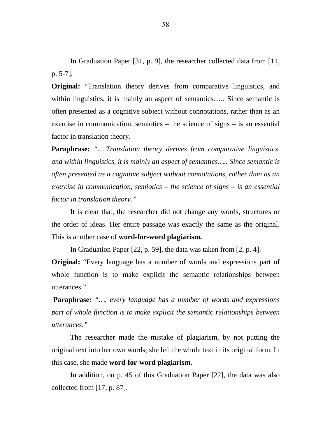In Graduation Paper [31, p. 9], the researcher collected data from [11, p. 5-7].

**Original:** "Translation theory derives from comparative linguistics, and within linguistics, it is mainly an aspect of semantics..... Since semantic is often presented as a cognitive subject without connotations, rather than as an exercise in communication, semiotics – the science of signs – is an essential factor in translation theory.

**Paraphrase:** *"….Translation theory derives from comparative linguistics, and within linguistics, it is mainly an aspect of semantics….. Since semantic is often presented as a cognitive subject without connotations, rather than as an exercise in communication, semiotics – the science of signs – is an essential factor in translation theory."* 

It is clear that, the researcher did not change any words, structures or the order of ideas. Her entire passage was exactly the same as the original. This is another case of **word-for-word plagiarism.**

In Graduation Paper [22, p. 59], the data was taken from [2, p. 4].

**Original:** "Every language has a number of words and expressions part of whole function is to make explicit the semantic relationships between utterances."

**Paraphrase:** *"…. every language has a number of words and expressions part of whole function is to make explicit the semantic relationships between utterances."* 

The researcher made the mistake of plagiarism, by not putting the original text into her own words; she left the whole text in its original form. In this case, she made **word-for-word plagiarism**.

In addition, on p. 45 of this Graduation Paper [22], the data was also collected from [17, p. 87].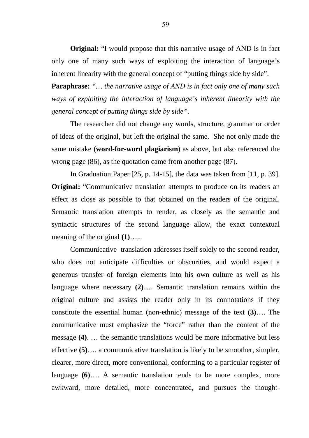**Original:** "I would propose that this narrative usage of AND is in fact only one of many such ways of exploiting the interaction of language's inherent linearity with the general concept of "putting things side by side".

**Paraphrase:** *"… the narrative usage of AND is in fact only one of many such ways of exploiting the interaction of language's inherent linearity with the general concept of putting things side by side".*

The researcher did not change any words, structure, grammar or order of ideas of the original, but left the original the same. She not only made the same mistake (**word-for-word plagiarism**) as above, but also referenced the wrong page (86), as the quotation came from another page (87).

 In Graduation Paper [25, p. 14-15], the data was taken from [11, p. 39]. **Original:** "Communicative translation attempts to produce on its readers an effect as close as possible to that obtained on the readers of the original. Semantic translation attempts to render, as closely as the semantic and syntactic structures of the second language allow, the exact contextual meaning of the original **(1)**…..

Communicative translation addresses itself solely to the second reader, who does not anticipate difficulties or obscurities, and would expect a generous transfer of foreign elements into his own culture as well as his language where necessary **(2)**…. Semantic translation remains within the original culture and assists the reader only in its connotations if they constitute the essential human (non-ethnic) message of the text **(3)**…. The communicative must emphasize the "force" rather than the content of the message **(4)**. … the semantic translations would be more informative but less effective **(5)**…. a communicative translation is likely to be smoother, simpler, clearer, more direct, more conventional, conforming to a particular register of language **(6)**…. A semantic translation tends to be more complex, more awkward, more detailed, more concentrated, and pursues the thought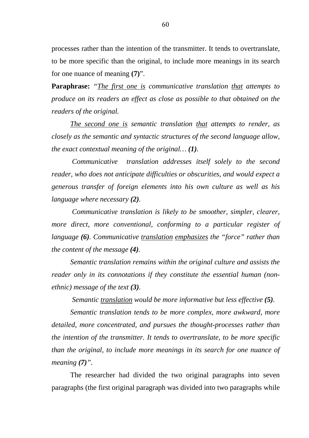processes rather than the intention of the transmitter. It tends to overtranslate, to be more specific than the original, to include more meanings in its search for one nuance of meaning **(7)**".

**Paraphrase:** *"The first one is communicative translation that attempts to produce on its readers an effect as close as possible to that obtained on the readers of the original.* 

*The second one is semantic translation that attempts to render, as closely as the semantic and syntactic structures of the second language allow, the exact contextual meaning of the original… (1).* 

 *Communicative translation addresses itself solely to the second reader, who does not anticipate difficulties or obscurities, and would expect a generous transfer of foreign elements into his own culture as well as his language where necessary (2).* 

 *Communicative translation is likely to be smoother, simpler, clearer, more direct, more conventional, conforming to a particular register of language (6). Communicative translation emphasizes the "force" rather than the content of the message (4).* 

*Semantic translation remains within the original culture and assists the reader only in its connotations if they constitute the essential human (nonethnic) message of the text (3).* 

 *Semantic translation would be more informative but less effective (5).* 

*Semantic translation tends to be more complex, more awkward, more detailed, more concentrated, and pursues the thought-processes rather than the intention of the transmitter. It tends to overtranslate, to be more specific than the original, to include more meanings in its search for one nuance of meaning (7)".*

The researcher had divided the two original paragraphs into seven paragraphs (the first original paragraph was divided into two paragraphs while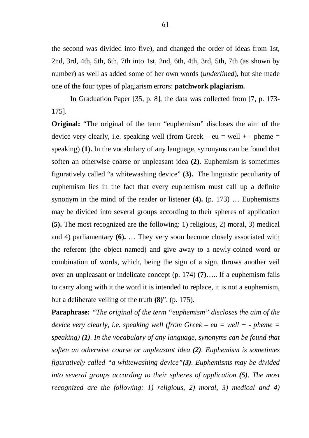the second was divided into five), and changed the order of ideas from 1st, 2nd, 3rd, 4th, 5th, 6th, 7th into 1st, 2nd, 6th, 4th, 3rd, 5th, 7th (as shown by number) as well as added some of her own words (*underlined*), but she made one of the four types of plagiarism errors: **patchwork plagiarism.** 

 In Graduation Paper [35, p. 8], the data was collected from [7, p. 173- 175].

**Original:** "The original of the term "euphemism" discloses the aim of the device very clearly, i.e. speaking well (from Greek – eu = well + - pheme = speaking) **(1).** In the vocabulary of any language, synonyms can be found that soften an otherwise coarse or unpleasant idea **(2).** Euphemism is sometimes figuratively called "a whitewashing device" **(3).** The linguistic peculiarity of euphemism lies in the fact that every euphemism must call up a definite synonym in the mind of the reader or listener **(4).** (p. 173) … Euphemisms may be divided into several groups according to their spheres of application **(5).** The most recognized are the following: 1) religious, 2) moral, 3) medical and 4) parliamentary **(6).** … They very soon become closely associated with the referent (the object named) and give away to a newly-coined word or combination of words, which, being the sign of a sign, throws another veil over an unpleasant or indelicate concept (p. 174) **(7)**….. If a euphemism fails to carry along with it the word it is intended to replace, it is not a euphemism, but a deliberate veiling of the truth **(8)**". (p. 175).

**Paraphrase:** *"The original of the term "euphemism" discloses the aim of the device very clearly, i.e. speaking well (from Greek – eu = well + - pheme = speaking) (1). In the vocabulary of any language, synonyms can be found that soften an otherwise coarse or unpleasant idea (2). Euphemism is sometimes figuratively called "a whitewashing device"(3). Euphemisms may be divided into several groups according to their spheres of application (5). The most recognized are the following: 1) religious, 2) moral, 3) medical and 4)*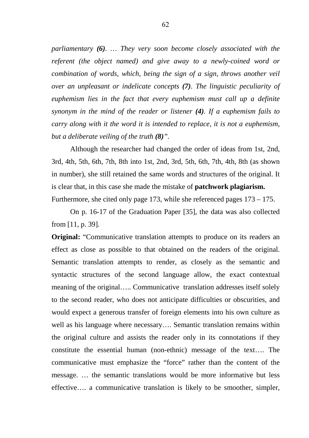*parliamentary (6). … They very soon become closely associated with the referent (the object named) and give away to a newly-coined word or combination of words, which, being the sign of a sign, throws another veil over an unpleasant or indelicate concepts (7). The linguistic peculiarity of euphemism lies in the fact that every euphemism must call up a definite synonym in the mind of the reader or listener (4). If a euphemism fails to carry along with it the word it is intended to replace, it is not a euphemism, but a deliberate veiling of the truth (8)".*

Although the researcher had changed the order of ideas from 1st, 2nd, 3rd, 4th, 5th, 6th, 7th, 8th into 1st, 2nd, 3rd, 5th, 6th, 7th, 4th, 8th (as shown in number), she still retained the same words and structures of the original. It is clear that, in this case she made the mistake of **patchwork plagiarism.**  Furthermore, she cited only page 173, while she referenced pages 173 – 175.

On p. 16-17 of the Graduation Paper [35], the data was also collected from [11, p. 39].

**Original:** "Communicative translation attempts to produce on its readers an effect as close as possible to that obtained on the readers of the original. Semantic translation attempts to render, as closely as the semantic and syntactic structures of the second language allow, the exact contextual meaning of the original….. Communicative translation addresses itself solely to the second reader, who does not anticipate difficulties or obscurities, and would expect a generous transfer of foreign elements into his own culture as well as his language where necessary…. Semantic translation remains within the original culture and assists the reader only in its connotations if they constitute the essential human (non-ethnic) message of the text…. The communicative must emphasize the "force" rather than the content of the message. … the semantic translations would be more informative but less effective…. a communicative translation is likely to be smoother, simpler,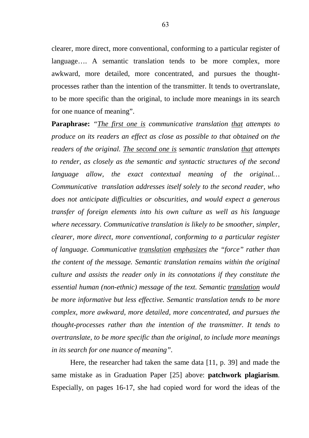clearer, more direct, more conventional, conforming to a particular register of language…. A semantic translation tends to be more complex, more awkward, more detailed, more concentrated, and pursues the thoughtprocesses rather than the intention of the transmitter. It tends to overtranslate, to be more specific than the original, to include more meanings in its search for one nuance of meaning".

**Paraphrase:** *"The first one is communicative translation that attempts to produce on its readers an effect as close as possible to that obtained on the readers of the original. The second one is semantic translation that attempts to render, as closely as the semantic and syntactic structures of the second language allow, the exact contextual meaning of the original… Communicative translation addresses itself solely to the second reader, who does not anticipate difficulties or obscurities, and would expect a generous transfer of foreign elements into his own culture as well as his language where necessary. Communicative translation is likely to be smoother, simpler, clearer, more direct, more conventional, conforming to a particular register of language. Communicative translation emphasizes the "force" rather than the content of the message. Semantic translation remains within the original culture and assists the reader only in its connotations if they constitute the essential human (non-ethnic) message of the text. Semantic translation would be more informative but less effective. Semantic translation tends to be more complex, more awkward, more detailed, more concentrated, and pursues the thought-processes rather than the intention of the transmitter. It tends to overtranslate, to be more specific than the original, to include more meanings in its search for one nuance of meaning".*

Here, the researcher had taken the same data [11, p. 39] and made the same mistake as in Graduation Paper [25] above: **patchwork plagiarism**. Especially, on pages 16-17, she had copied word for word the ideas of the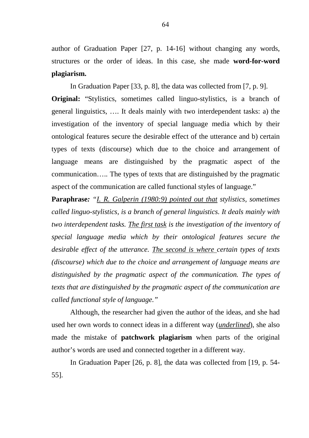author of Graduation Paper [27, p. 14-16] without changing any words, structures or the order of ideas. In this case, she made **word-for-word plagiarism.** 

In Graduation Paper [33, p. 8], the data was collected from [7, p. 9]. **Original:** "Stylistics, sometimes called linguo-stylistics, is a branch of general linguistics, …. It deals mainly with two interdependent tasks: a) the investigation of the inventory of special language media which by their ontological features secure the desirable effect of the utterance and b) certain types of texts (discourse) which due to the choice and arrangement of language means are distinguished by the pragmatic aspect of the communication….. The types of texts that are distinguished by the pragmatic aspect of the communication are called functional styles of language."

**Paraphrase***: "I. R. Galperin (1980:9) pointed out that stylistics, sometimes called linguo-stylistics, is a branch of general linguistics. It deals mainly with two interdependent tasks. The first task is the investigation of the inventory of special language media which by their ontological features secure the desirable effect of the utterance. The second is where certain types of texts (discourse) which due to the choice and arrangement of language means are distinguished by the pragmatic aspect of the communication. The types of texts that are distinguished by the pragmatic aspect of the communication are called functional style of language."*

Although, the researcher had given the author of the ideas, and she had used her own words to connect ideas in a different way (*underlined*), she also made the mistake of **patchwork plagiarism** when parts of the original author's words are used and connected together in a different way.

 In Graduation Paper [26, p. 8], the data was collected from [19, p. 54- 55].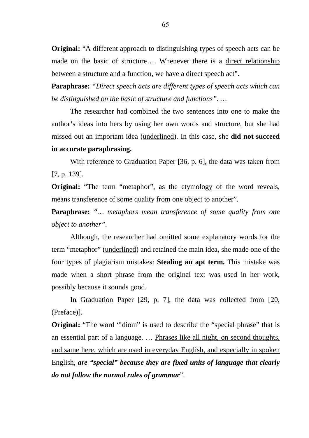**Original:** "A different approach to distinguishing types of speech acts can be made on the basic of structure…. Whenever there is a direct relationship between a structure and a function, we have a direct speech act".

**Paraphrase:** *"Direct speech acts are different types of speech acts which can be distinguished on the basic of structure and functions". …* 

The researcher had combined the two sentences into one to make the author's ideas into hers by using her own words and structure, but she had missed out an important idea (underlined). In this case, she **did not succeed in accurate paraphrasing.** 

With reference to Graduation Paper [36, p. 6], the data was taken from [7, p. 139].

**Original:** "The term "metaphor", as the etymology of the word reveals, means transference of some quality from one object to another".

**Paraphrase:** *"… metaphors mean transference of some quality from one object to another".*

Although, the researcher had omitted some explanatory words for the term "metaphor" (underlined) and retained the main idea, she made one of the four types of plagiarism mistakes: **Stealing an apt term.** This mistake was made when a short phrase from the original text was used in her work, possibly because it sounds good.

In Graduation Paper [29, p. 7], the data was collected from [20, (Preface)].

**Original:** "The word "idiom" is used to describe the "special phrase" that is an essential part of a language. … Phrases like all night, on second thoughts, and same here, which are used in everyday English, and especially in spoken English, *are "special" because they are fixed units of language that clearly do not follow the normal rules of grammar*".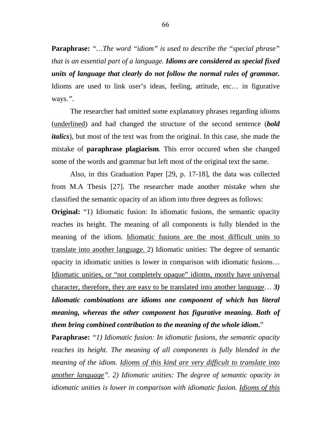**Paraphrase:** *"…The word "idiom" is used to describe the "special phrase" that is an essential part of a language. Idioms are considered as special fixed units of language that clearly do not follow the normal rules of grammar.*  Idioms are used to link user's ideas, feeling, attitude, etc… in figurative ways.*".*

The researcher had omitted some explanatory phrases regarding idioms (underlined) and had changed the structure of the second sentence (*bold italics*), but most of the text was from the original. In this case, she made the mistake of **paraphrase plagiarism**. This error occured when she changed some of the words and grammar but left most of the original text the same.

Also, in this Graduation Paper [29, p. 17-18], the data was collected from M.A Thesis [27]. The researcher made another mistake when she classified the semantic opacity of an idiom into three degrees as follows:

**Original:** "1) Idiomatic fusion: In idiomatic fusions, the semantic opacity reaches its height. The meaning of all components is fully blended in the meaning of the idiom. Idiomatic fusions are the most difficult units to translate into another language. 2) Idiomatic unities: The degree of semantic opacity in idiomatic unities is lower in comparison with idiomatic fusions… Idiomatic unities, or "not completely opaque" idioms, mostly have universal character, therefore, they are easy to be translated into another language… *3) Idiomatic combinations are idioms one component of which has literal meaning, whereas the other component has figurative meaning. Both of them bring combined contribution to the meaning of the whole idiom.*"

**Paraphrase:** *"1) Idiomatic fusion: In idiomatic fusions, the semantic opacity reaches its height. The meaning of all components is fully blended in the meaning of the idiom. Idioms of this kind are very difficult to translate into another language". 2) Idiomatic unities: The degree of semantic opacity in idiomatic unities is lower in comparison with idiomatic fusion. Idioms of this*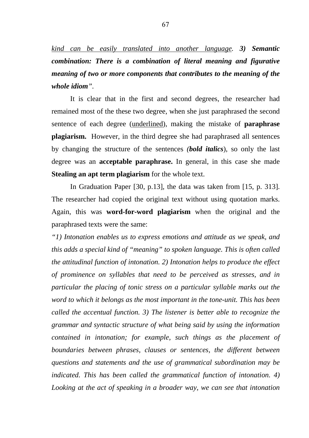*kind can be easily translated into another language. 3) Semantic combination: There is a combination of literal meaning and figurative meaning of two or more components that contributes to the meaning of the whole idiom".*

It is clear that in the first and second degrees, the researcher had remained most of the these two degree, when she just paraphrased the second sentence of each degree (underlined), making the mistake of **paraphrase plagiarism.** However, in the third degree she had paraphrased all sentences by changing the structure of the sentences *(bold italics*), so only the last degree was an **acceptable paraphrase.** In general, in this case she made **Stealing an apt term plagiarism** for the whole text.

In Graduation Paper [30, p.13], the data was taken from [15, p. 313]. The researcher had copied the original text without using quotation marks. Again, this was **word-for-word plagiarism** when the original and the paraphrased texts were the same:

*"1) Intonation enables us to express emotions and attitude as we speak, and this adds a special kind of "meaning" to spoken language. This is often called the attitudinal function of intonation. 2) Intonation helps to produce the effect of prominence on syllables that need to be perceived as stresses, and in particular the placing of tonic stress on a particular syllable marks out the word to which it belongs as the most important in the tone-unit. This has been called the accentual function. 3) The listener is better able to recognize the grammar and syntactic structure of what being said by using the information contained in intonation; for example, such things as the placement of boundaries between phrases, clauses or sentences, the different between questions and statements and the use of grammatical subordination may be indicated. This has been called the grammatical function of intonation. 4)*  Looking at the act of speaking in a broader way, we can see that intonation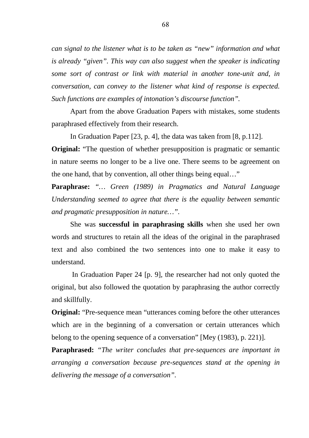*can signal to the listener what is to be taken as "new" information and what is already "given". This way can also suggest when the speaker is indicating some sort of contrast or link with material in another tone-unit and, in conversation, can convey to the listener what kind of response is expected. Such functions are examples of intonation's discourse function".* 

Apart from the above Graduation Papers with mistakes, some students paraphrased effectively from their research.

In Graduation Paper [23, p. 4], the data was taken from [8, p.112].

**Original:** "The question of whether presupposition is pragmatic or semantic in nature seems no longer to be a live one. There seems to be agreement on the one hand, that by convention, all other things being equal…"

**Paraphrase:** *"… Green (1989) in Pragmatics and Natural Language Understanding seemed to agree that there is the equality between semantic and pragmatic presupposition in nature…".*

She was **successful in paraphrasing skills** when she used her own words and structures to retain all the ideas of the original in the paraphrased text and also combined the two sentences into one to make it easy to understand.

 In Graduation Paper 24 [p. 9], the researcher had not only quoted the original, but also followed the quotation by paraphrasing the author correctly and skillfully.

**Original:** "Pre-sequence mean "utterances coming before the other utterances which are in the beginning of a conversation or certain utterances which belong to the opening sequence of a conversation" [Mey (1983), p. 221)].

**Paraphrased:** *"The writer concludes that pre-sequences are important in arranging a conversation because pre-sequences stand at the opening in delivering the message of a conversation".*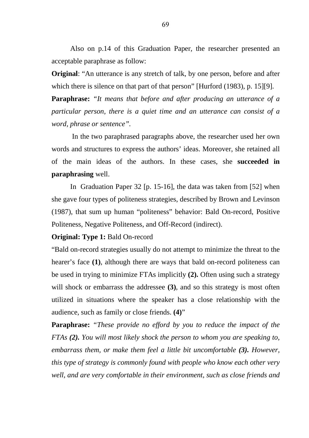Also on p.14 of this Graduation Paper, the researcher presented an acceptable paraphrase as follow:

**Original:** "An utterance is any stretch of talk, by one person, before and after which there is silence on that part of that person" [Hurford (1983), p. 15][9].

**Paraphrase:** *"It means that before and after producing an utterance of a particular person, there is a quiet time and an utterance can consist of a word, phrase or sentence".*

 In the two paraphrased paragraphs above, the researcher used her own words and structures to express the authors' ideas. Moreover, she retained all of the main ideas of the authors. In these cases, she **succeeded in paraphrasing** well.

In Graduation Paper 32 [p. 15-16], the data was taken from [52] when she gave four types of politeness strategies, described by Brown and Levinson (1987), that sum up human "politeness" behavior: Bald On-record, Positive Politeness, Negative Politeness, and Off-Record (indirect).

#### **Original: Type 1: Bald On-record**

"Bald on-record strategies usually do not attempt to minimize the threat to the hearer's face **(1)**, although there are ways that bald on-record politeness can be used in trying to minimize FTAs implicitly **(2).** Often using such a strategy will shock or embarrass the addressee **(3)**, and so this strategy is most often utilized in situations where the speaker has a close relationship with the audience, such as family or close friends. **(4)**"

**Paraphrase:** *"These provide no efford by you to reduce the impact of the FTAs (2). You will most likely shock the person to whom you are speaking to, embarrass them, or make them feel a little bit uncomfortable (3). However, this type of strategy is commonly found with people who know each other very well, and are very comfortable in their environment, such as close friends and*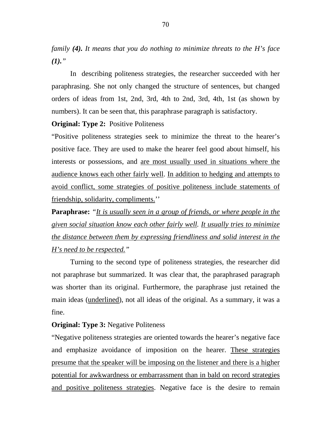*family (4). It means that you do nothing to minimize threats to the H's face*   $(1).$ 

In describing politeness strategies, the researcher succeeded with her paraphrasing. She not only changed the structure of sentences, but changed orders of ideas from 1st, 2nd, 3rd, 4th to 2nd, 3rd, 4th, 1st (as shown by numbers). It can be seen that, this paraphrase paragraph is satisfactory.

**Original: Type 2:** Positive Politeness

"Positive politeness strategies seek to minimize the threat to the hearer's positive face. They are used to make the hearer feel good about himself, his interests or possessions, and are most usually used in situations where the audience knows each other fairly well. In addition to hedging and attempts to avoid conflict, some strategies of positive politeness include statements of friendship, solidarity, compliments.''

**Paraphrase:** *"It is usually seen in a group of friends, or where people in the given social situation know each other fairly well. It usually tries to minimize the distance between them by expressing friendliness and solid interest in the H's need to be respected."* 

Turning to the second type of politeness strategies, the researcher did not paraphrase but summarized. It was clear that, the paraphrased paragraph was shorter than its original. Furthermore, the paraphrase just retained the main ideas (underlined), not all ideas of the original. As a summary, it was a fine.

#### **Original: Type 3:** Negative Politeness

"Negative politeness strategies are oriented towards the hearer's negative face and emphasize avoidance of imposition on the hearer. These strategies presume that the speaker will be imposing on the listener and there is a higher potential for awkwardness or embarrassment than in bald on record strategies and positive politeness strategies. Negative face is the desire to remain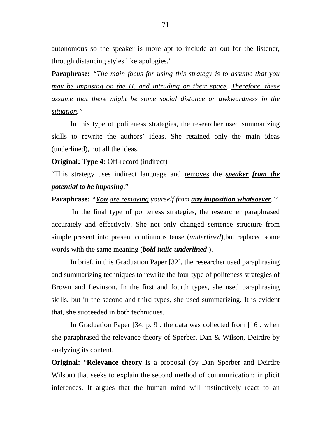autonomous so the speaker is more apt to include an out for the listener, through distancing styles like apologies."

**Paraphrase:** *"The main focus for using this strategy is to assume that you may be imposing on the H, and intruding on their space. Therefore, these assume that there might be some social distance or awkwardness in the situation."* 

 In this type of politeness strategies, the researcher used summarizing skills to rewrite the authors' ideas. She retained only the main ideas (underlined), not all the ideas.

**Original: Type 4: Off-record (indirect)** 

"This strategy uses indirect language and removes the *speaker from the potential to be imposing*."

#### **Paraphrase:** *"You are removing yourself from any imposition whatsoever.''*

 In the final type of politeness strategies, the researcher paraphrased accurately and effectively. She not only changed sentence structure from simple present into present continuous tense (*underlined*),but replaced some words with the same meaning (*bold italic underlined* ).

In brief, in this Graduation Paper [32], the researcher used paraphrasing and summarizing techniques to rewrite the four type of politeness strategies of Brown and Levinson. In the first and fourth types, she used paraphrasing skills, but in the second and third types, she used summarizing. It is evident that, she succeeded in both techniques.

In Graduation Paper [34, p. 9], the data was collected from [16], when she paraphrased the relevance theory of Sperber, Dan & Wilson, Deirdre by analyzing its content.

**Original:** "**Relevance theory** is a proposal (by Dan Sperber and Deirdre Wilson) that seeks to explain the second method of communication: implicit inferences. It argues that the human mind will instinctively react to an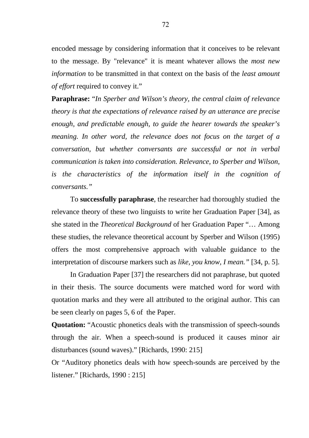encoded message by considering information that it conceives to be relevant to the message. By "relevance" it is meant whatever allows the *most new information* to be transmitted in that context on the basis of the *least amount of effort* required to convey it."

**Paraphrase:** "*In Sperber and Wilson's theory, the central claim of relevance theory is that the expectations of relevance raised by an utterance are precise enough, and predictable enough, to guide the hearer towards the speaker's meaning. In other word, the relevance does not focus on the target of a conversation, but whether conversants are successful or not in verbal communication is taken into consideration. Relevance, to Sperber and Wilson, is the characteristics of the information itself in the cognition of conversants."* 

To **successfully paraphrase**, the researcher had thoroughly studied the relevance theory of these two linguists to write her Graduation Paper [34], as she stated in the *Theoretical Background* of her Graduation Paper "… Among these studies, the relevance theoretical account by Sperber and Wilson (1995) offers the most comprehensive approach with valuable guidance to the interpretation of discourse markers such as *like, you know, I mean."* [34, p. 5].

In Graduation Paper [37] the researchers did not paraphrase, but quoted in their thesis. The source documents were matched word for word with quotation marks and they were all attributed to the original author. This can be seen clearly on pages 5, 6 of the Paper.

**Quotation:** "Acoustic phonetics deals with the transmission of speech-sounds through the air. When a speech-sound is produced it causes minor air disturbances (sound waves)." [Richards, 1990: 215]

Or "Auditory phonetics deals with how speech-sounds are perceived by the listener." [Richards, 1990 : 215]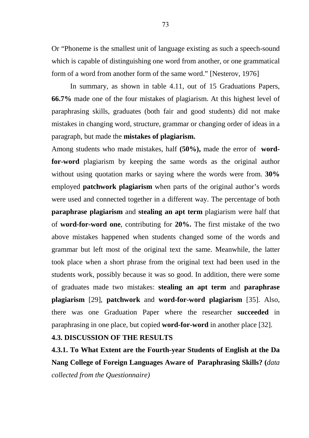Or "Phoneme is the smallest unit of language existing as such a speech-sound which is capable of distinguishing one word from another, or one grammatical form of a word from another form of the same word." [Nesterov, 1976]

In summary, as shown in table 4.11, out of 15 Graduations Papers, **66.7%** made one of the four mistakes of plagiarism. At this highest level of paraphrasing skills, graduates (both fair and good students) did not make mistakes in changing word, structure, grammar or changing order of ideas in a paragraph, but made the **mistakes of plagiarism.** 

Among students who made mistakes, half **(50%),** made the error of **wordfor-word** plagiarism by keeping the same words as the original author without using quotation marks or saying where the words were from. **30%** employed **patchwork plagiarism** when parts of the original author's words were used and connected together in a different way. The percentage of both **paraphrase plagiarism** and **stealing an apt term** plagiarism were half that of **word-for-word one**, contributing for **20%.** The first mistake of the two above mistakes happened when students changed some of the words and grammar but left most of the original text the same. Meanwhile, the latter took place when a short phrase from the original text had been used in the students work, possibly because it was so good. In addition, there were some of graduates made two mistakes: **stealing an apt term** and **paraphrase plagiarism** [29], **patchwork** and **word-for-word plagiarism** [35]. Also, there was one Graduation Paper where the researcher **succeeded** in paraphrasing in one place, but copied **word-for-word** in another place [32].

#### **4.3. DISCUSSION OF THE RESULTS**

**4.3.1. To What Extent are the Fourth-year Students of English at the Da Nang College of Foreign Languages Aware of Paraphrasing Skills? (***data collected from the Questionnaire)*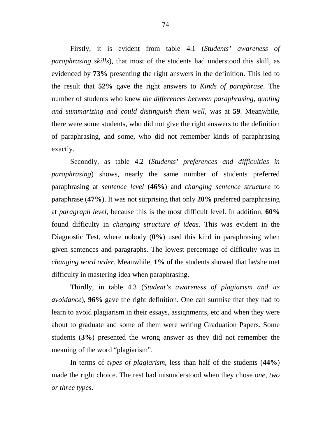Firstly, it is evident from table 4.1 (*Students' awareness of paraphrasing skills*), that most of the students had understood this skill, as evidenced by **73%** presenting the right answers in the definition. This led to the result that **52%** gave the right answers to *Kinds of paraphrase*. The number of students who knew *the differences between paraphrasing, quoting and summarizing and could distinguish them well,* was at **59**. Meanwhile, there were some students, who did not give the right answers to the definition of paraphrasing, and some, who did not remember kinds of paraphrasing exactly.

 Secondly, as table 4.2 (*Students' preferences and difficulties in paraphrasing*) shows, nearly the same number of students preferred paraphrasing at *sentence level* (**46%**) and *changing sentence structure* to paraphrase (**47%**). It was not surprising that only **20%** preferred paraphrasing at *paragraph level*, because this is the most difficult level. In addition, **60%** found difficulty in *changing structure of ideas*. This was evident in the Diagnostic Test, where nobody (**0%**) used this kind in paraphrasing when given sentences and paragraphs. The lowest percentage of difficulty was in *changing word order.* Meanwhile, **1%** of the students showed that he/she met difficulty in mastering idea when paraphrasing.

 Thirdly, in table 4.3 (*Student's awareness of plagiarism and its avoidance*), **96%** gave the right definition. One can surmise that they had to learn to avoid plagiarism in their essays, assignments, etc and when they were about to graduate and some of them were writing Graduation Papers. Some students (**3%**) presented the wrong answer as they did not remember the meaning of the word "plagiarism".

In terms of *types of plagiarism*, less than half of the students (**44%**) made the right choice. The rest had misunderstood when they chose *one, two or three types.*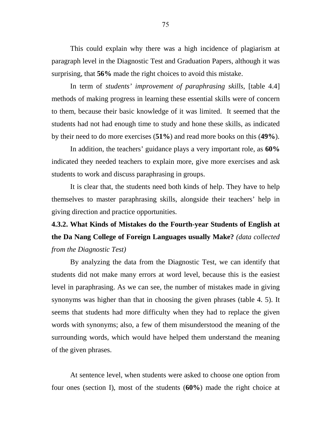This could explain why there was a high incidence of plagiarism at paragraph level in the Diagnostic Test and Graduation Papers, although it was surprising, that **56%** made the right choices to avoid this mistake.

 In term of *students' improvement of paraphrasing skills*, [table 4.4] methods of making progress in learning these essential skills were of concern to them, because their basic knowledge of it was limited. It seemed that the students had not had enough time to study and hone these skills, as indicated by their need to do more exercises (**51%**) and read more books on this (**49%**).

In addition, the teachers' guidance plays a very important role, as **60%** indicated they needed teachers to explain more, give more exercises and ask students to work and discuss paraphrasing in groups.

It is clear that, the students need both kinds of help. They have to help themselves to master paraphrasing skills, alongside their teachers' help in giving direction and practice opportunities.

**4.3.2. What Kinds of Mistakes do the Fourth-year Students of English at the Da Nang College of Foreign Languages usually Make?** *(data collected from the Diagnostic Test)* 

 By analyzing the data from the Diagnostic Test, we can identify that students did not make many errors at word level, because this is the easiest level in paraphrasing. As we can see, the number of mistakes made in giving synonyms was higher than that in choosing the given phrases (table 4. 5). It seems that students had more difficulty when they had to replace the given words with synonyms; also, a few of them misunderstood the meaning of the surrounding words, which would have helped them understand the meaning of the given phrases.

At sentence level, when students were asked to choose one option from four ones (section I), most of the students (**60%**) made the right choice at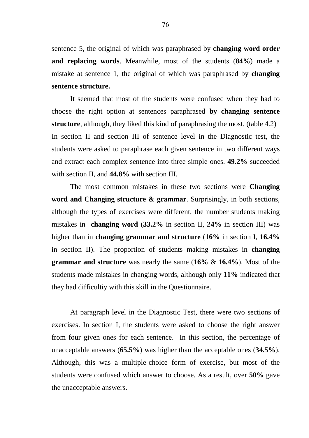sentence 5, the original of which was paraphrased by **changing word order and replacing words**. Meanwhile, most of the students (**84%**) made a mistake at sentence 1, the original of which was paraphrased by **changing sentence structure.** 

It seemed that most of the students were confused when they had to choose the right option at sentences paraphrased **by changing sentence structure**, although, they liked this kind of paraphrasing the most. (table 4.2) In section II and section III of sentence level in the Diagnostic test, the students were asked to paraphrase each given sentence in two different ways and extract each complex sentence into three simple ones. **49.2%** succeeded with section II, and **44.8%** with section III.

The most common mistakes in these two sections were **Changing word and Changing structure & grammar**. Surprisingly, in both sections, although the types of exercises were different, the number students making mistakes in **changing word** (**33.2%** in section II, **24%** in section III) was higher than in **changing grammar and structure** (**16%** in section I, **16.4%** in section II). The proportion of students making mistakes in **changing grammar and structure** was nearly the same (**16%** & **16.4%**). Most of the students made mistakes in changing words, although only **11%** indicated that they had difficultiy with this skill in the Questionnaire.

At paragraph level in the Diagnostic Test, there were two sections of exercises. In section I, the students were asked to choose the right answer from four given ones for each sentence. In this section, the percentage of unacceptable answers (**65.5%**) was higher than the acceptable ones (**34.5%**). Although, this was a multiple-choice form of exercise, but most of the students were confused which answer to choose. As a result, over **50%** gave the unacceptable answers.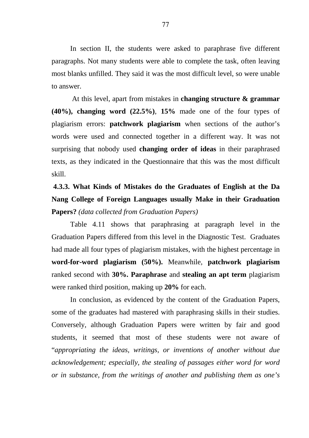In section II, the students were asked to paraphrase five different paragraphs. Not many students were able to complete the task, often leaving most blanks unfilled. They said it was the most difficult level, so were unable to answer.

 At this level, apart from mistakes in **changing structure & grammar (40%), changing word (22.5%)**, **15%** made one of the four types of plagiarism errors: **patchwork plagiarism** when sections of the author's words were used and connected together in a different way. It was not surprising that nobody used **changing order of ideas** in their paraphrased texts, as they indicated in the Questionnaire that this was the most difficult skill.

**4.3.3. What Kinds of Mistakes do the Graduates of English at the Da Nang College of Foreign Languages usually Make in their Graduation Papers?** *(data collected from Graduation Papers)* 

 Table 4.11 shows that paraphrasing at paragraph level in the Graduation Papers differed from this level in the Diagnostic Test. Graduates had made all four types of plagiarism mistakes, with the highest percentage in **word-for-word plagiarism (50%).** Meanwhile, **patchwork plagiarism** ranked second with **30%. Paraphrase** and **stealing an apt term** plagiarism were ranked third position, making up **20%** for each.

In conclusion, as evidenced by the content of the Graduation Papers, some of the graduates had mastered with paraphrasing skills in their studies. Conversely, although Graduation Papers were written by fair and good students, it seemed that most of these students were not aware of "*appropriating the ideas, writings, or inventions of another without due acknowledgement; especially, the stealing of passages either word for word or in substance, from the writings of another and publishing them as one's*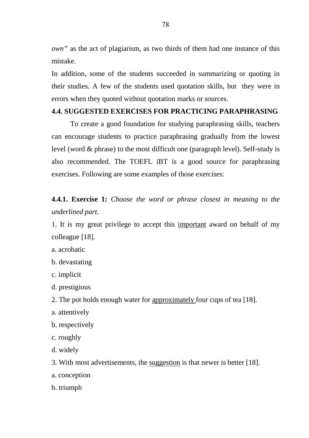*own"* as the act of plagiarism, as two thirds of them had one instance of this mistake.

In addition, some of the students succeeded in summarizing or quoting in their studies. A few of the students used quotation skills, but they were in errors when they quoted without quotation marks or sources.

#### **4.4. SUGGESTED EXERCISES FOR PRACTICING PARAPHRASING**

To create a good foundation for studying paraphrasing skills, teachers can encourage students to practice paraphrasing gradually from the lowest level (word & phrase) to the most difficult one (paragraph level). Self-study is also recommended. The TOEFL iBT is a good source for paraphrasing exercises. Following are some examples of those exercises:

**4.4.1. Exercise 1:** *Choose the word or phrase closest in meaning to the underlined part.* 

1. It is my great privilege to accept this important award on behalf of my colleague [18].

- a. acrobatic
- b. devastating
- c. implicit
- d. prestigious
- 2. The pot holds enough water for approximately four cups of tea [18].
- a. attentively
- b. respectively
- c. roughly
- d. widely
- 3. With most advertisements, the suggestion is that newer is better [18].
- a. conception
- b. triumph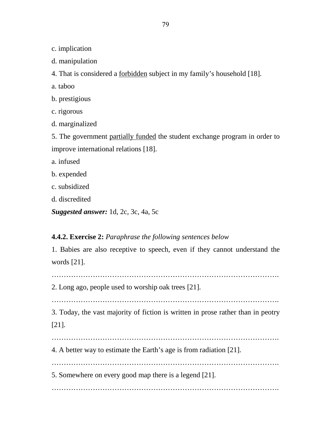c. implication

d. manipulation

4. That is considered a forbidden subject in my family's household [18].

a. taboo

b. prestigious

c. rigorous

d. marginalized

5. The government partially funded the student exchange program in order to improve international relations [18].

a. infused

b. expended

- c. subsidized
- d. discredited

*Suggested answer:* 1d, 2c, 3c, 4a, 5c

## **4.4.2. Exercise 2:** *Paraphrase the following sentences below*

1. Babies are also receptive to speech, even if they cannot understand the words [21].

………………………………………………………………………………….

2. Long ago, people used to worship oak trees [21].

………………………………………………………………………………….

3. Today, the vast majority of fiction is written in prose rather than in peotry [21].

………………………………………………………………………………….

4. A better way to estimate the Earth's age is from radiation [21].

………………………………………………………………………………….

5. Somewhere on every good map there is a legend [21].

………………………………………………………………………………….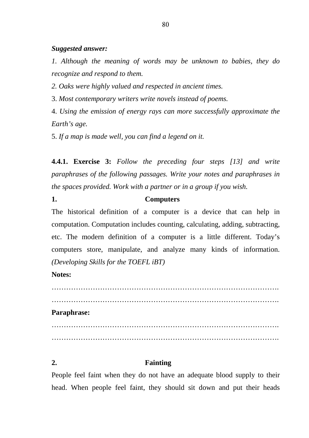#### *Suggested answer:*

*1. Although the meaning of words may be unknown to babies, they do recognize and respond to them.* 

*2. Oaks were highly valued and respected in ancient times.* 

3. *Most contemporary writers write novels instead of poems.* 

4. *Using the emission of energy rays can more successfully approximate the Earth's age.* 

5. *If a map is made well, you can find a legend on it.*

**4.4.1. Exercise 3:** *Follow the preceding four steps [13] and write paraphrases of the following passages. Write your notes and paraphrases in the spaces provided. Work with a partner or in a group if you wish.* 

#### **1. Computers**

The historical definition of a computer is a device that can help in computation. Computation includes counting, calculating, adding, subtracting, etc. The modern definition of a computer is a little different. Today's computers store, manipulate, and analyze many kinds of information. *(Developing Skills for the TOEFL iBT)* 

## **Notes:**

 $\mathcal{L}^{\text{max}}$ …………………………………………………………………………………. **Paraphrase:**  ………………………………………………………………………………….

………………………………………………………………………………….

## **2. Fainting**

People feel faint when they do not have an adequate blood supply to their head. When people feel faint, they should sit down and put their heads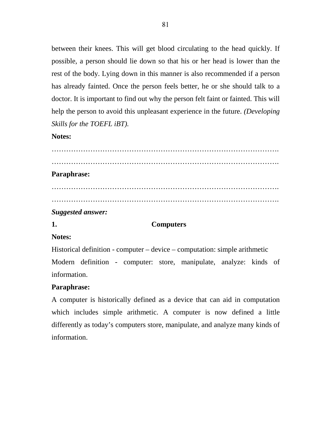between their knees. This will get blood circulating to the head quickly. If possible, a person should lie down so that his or her head is lower than the rest of the body. Lying down in this manner is also recommended if a person has already fainted. Once the person feels better, he or she should talk to a doctor. It is important to find out why the person felt faint or fainted. This will help the person to avoid this unpleasant experience in the future. *(Developing Skills for the TOEFL iBT).* 

### **Notes:**

………………………………………………………………………………….  $\mathcal{L}^{\text{max}}$ **Paraphrase:**  …………………………………………………………………………………. ………………………………………………………………………………….

### *Suggested answer:*

## **1. Computers**

## **Notes:**

Historical definition - computer – device – computation: simple arithmetic Modern definition - computer: store, manipulate, analyze: kinds of information.

## **Paraphrase:**

A computer is historically defined as a device that can aid in computation which includes simple arithmetic. A computer is now defined a little differently as today's computers store, manipulate, and analyze many kinds of information.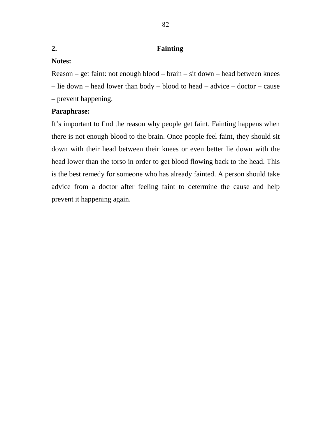## **2. Fainting**

# **Notes:**

Reason – get faint: not enough blood – brain – sit down – head between knees – lie down – head lower than body – blood to head – advice – doctor – cause – prevent happening.

# **Paraphrase:**

It's important to find the reason why people get faint. Fainting happens when there is not enough blood to the brain. Once people feel faint, they should sit down with their head between their knees or even better lie down with the head lower than the torso in order to get blood flowing back to the head. This is the best remedy for someone who has already fainted. A person should take advice from a doctor after feeling faint to determine the cause and help prevent it happening again.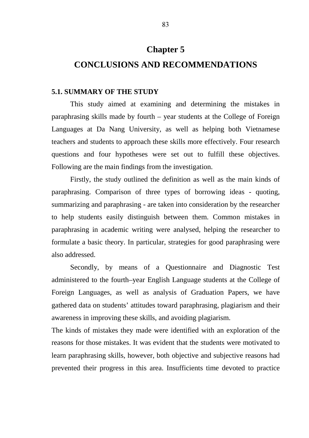# **Chapter 5**

## **CONCLUSIONS AND RECOMMENDATIONS**

#### **5.1. SUMMARY OF THE STUDY**

 This study aimed at examining and determining the mistakes in paraphrasing skills made by fourth – year students at the College of Foreign Languages at Da Nang University, as well as helping both Vietnamese teachers and students to approach these skills more effectively. Four research questions and four hypotheses were set out to fulfill these objectives. Following are the main findings from the investigation.

 Firstly, the study outlined the definition as well as the main kinds of paraphrasing. Comparison of three types of borrowing ideas - quoting, summarizing and paraphrasing - are taken into consideration by the researcher to help students easily distinguish between them. Common mistakes in paraphrasing in academic writing were analysed, helping the researcher to formulate a basic theory. In particular, strategies for good paraphrasing were also addressed.

 Secondly, by means of a Questionnaire and Diagnostic Test administered to the fourth–year English Language students at the College of Foreign Languages, as well as analysis of Graduation Papers, we have gathered data on students' attitudes toward paraphrasing, plagiarism and their awareness in improving these skills, and avoiding plagiarism.

The kinds of mistakes they made were identified with an exploration of the reasons for those mistakes. It was evident that the students were motivated to learn paraphrasing skills, however, both objective and subjective reasons had prevented their progress in this area. Insufficients time devoted to practice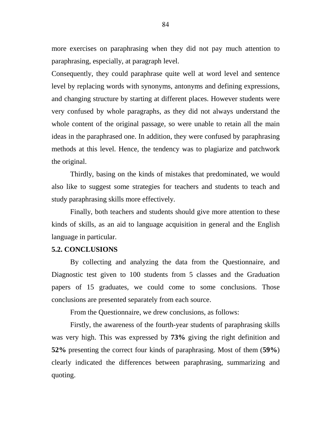more exercises on paraphrasing when they did not pay much attention to paraphrasing, especially, at paragraph level.

Consequently, they could paraphrase quite well at word level and sentence level by replacing words with synonyms, antonyms and defining expressions, and changing structure by starting at different places. However students were very confused by whole paragraphs, as they did not always understand the whole content of the original passage, so were unable to retain all the main ideas in the paraphrased one. In addition, they were confused by paraphrasing methods at this level. Hence, the tendency was to plagiarize and patchwork the original.

 Thirdly, basing on the kinds of mistakes that predominated, we would also like to suggest some strategies for teachers and students to teach and study paraphrasing skills more effectively.

 Finally, both teachers and students should give more attention to these kinds of skills, as an aid to language acquisition in general and the English language in particular.

#### **5.2. CONCLUSIONS**

By collecting and analyzing the data from the Questionnaire, and Diagnostic test given to 100 students from 5 classes and the Graduation papers of 15 graduates, we could come to some conclusions. Those conclusions are presented separately from each source.

From the Questionnaire, we drew conclusions, as follows:

Firstly, the awareness of the fourth-year students of paraphrasing skills was very high. This was expressed by **73%** giving the right definition and **52%** presenting the correct four kinds of paraphrasing. Most of them (**59%**) clearly indicated the differences between paraphrasing, summarizing and quoting.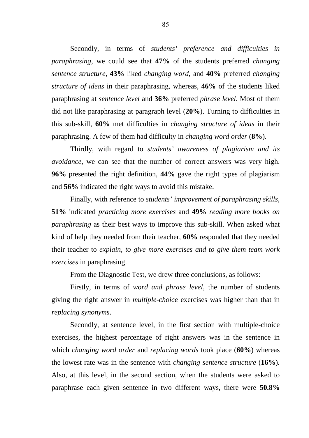Secondly, in terms of *students' preference and difficulties in paraphrasing*, we could see that **47%** of the students preferred *changing sentence structure*, **43%** liked *changing word*, and **40%** preferred *changing structure of ideas* in their paraphrasing, whereas, **46%** of the students liked paraphrasing at *sentence level* and **36%** preferred *phrase level.* Most of them did not like paraphrasing at paragraph level (**20%**). Turning to difficulties in this sub-skill, **60%** met difficulties in *changing structure of ideas* in their paraphrasing. A few of them had difficulty in *changing word order* (**8%**).

Thirdly, with regard to *students' awareness of plagiarism and its avoidance,* we can see that the number of correct answers was very high. **96%** presented the right definition, **44%** gave the right types of plagiarism and **56%** indicated the right ways to avoid this mistake.

Finally, with reference to *students' improvement of paraphrasing skills*, **51%** indicated *practicing more exercises* and **49%** *reading more books on paraphrasing* as their best ways to improve this sub-skill. When asked what kind of help they needed from their teacher, **60%** responded that they needed their teacher to *explain, to give more exercises and to give them team-work exercises* in paraphrasing.

From the Diagnostic Test, we drew three conclusions, as follows:

 Firstly, in terms of *word and phrase level*, the number of students giving the right answer in *multiple-choice* exercises was higher than that in *replacing synonyms*.

Secondly, at sentence level, in the first section with multiple-choice exercises, the highest percentage of right answers was in the sentence in which *changing word order* and *replacing words* took place (**60%**) whereas the lowest rate was in the sentence with *changing sentence structure* (**16%**)*.* Also, at this level, in the second section, when the students were asked to paraphrase each given sentence in two different ways, there were **50.8%**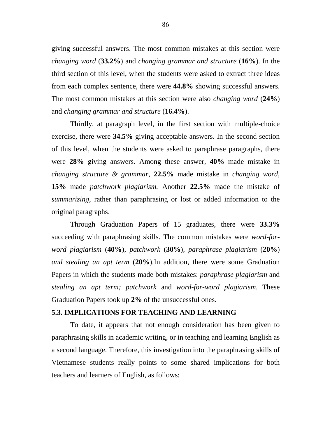giving successful answers. The most common mistakes at this section were *changing word* (**33.2%**) and *changing grammar and structure* (**16%**). In the third section of this level, when the students were asked to extract three ideas from each complex sentence, there were **44.8%** showing successful answers. The most common mistakes at this section were also *changing word* (**24%**) and *changing grammar and structure* (**16.4%**).

Thirdly, at paragraph level, in the first section with multiple-choice exercise, there were **34.5%** giving acceptable answers. In the second section of this level, when the students were asked to paraphrase paragraphs, there were **28%** giving answers. Among these answer, **40%** made mistake in *changing structure & grammar*, **22.5%** made mistake in *changing word*, **15%** made *patchwork plagiarism.* Another **22.5%** made the mistake of *summarizing,* rather than paraphrasing or lost or added information to the original paragraphs.

Through Graduation Papers of 15 graduates, there were **33.3%** succeeding with paraphrasing skills. The common mistakes were *word-forword plagiarism* (**40%**), *patchwork* (**30%**)*, paraphrase plagiarism* (**20%**) *and stealing an apt term* (**20%**)*.*In addition, there were some Graduation Papers in which the students made both mistakes: *paraphrase plagiarism* and *stealing an apt term; patchwork* and *word-for-word plagiarism*. These Graduation Papers took up **2%** of the unsuccessful ones.

#### **5.3. IMPLICATIONS FOR TEACHING AND LEARNING**

To date, it appears that not enough consideration has been given to paraphrasing skills in academic writing, or in teaching and learning English as a second language. Therefore, this investigation into the paraphrasing skills of Vietnamese students really points to some shared implications for both teachers and learners of English, as follows: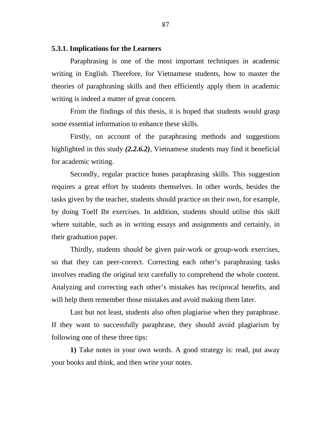#### **5.3.1. Implications for the Learners**

Paraphrasing is one of the most important techniques in academic writing in English. Therefore, for Vietnamese students, how to master the theories of paraphrasing skills and then efficiently apply them in academic writing is indeed a matter of great concern.

From the findings of this thesis, it is hoped that students would grasp some essential information to enhance these skills.

Firstly, on account of the paraphrasing methods and suggestions highlighted in this study *(2.2.6.2),* Vietnamese students may find it beneficial for academic writing.

Secondly, regular practice hones paraphrasing skills. This suggestion requires a great effort by students themselves. In other words, besides the tasks given by the teacher, students should practice on their own, for example, by doing Toelf Ibt exercises. In addition, students should utilise this skill where suitable, such as in writing essays and assignments and certainly, in their graduation paper.

Thirdly, students should be given pair-work or group-work exercises, so that they can peer-correct. Correcting each other's paraphrasing tasks involves reading the original text carefully to comprehend the whole content. Analyzing and correcting each other's mistakes has reciprocal benefits, and will help them remember those mistakes and avoid making them later.

Last but not least, students also often plagiarise when they paraphrase. If they want to successfully paraphrase, they should avoid plagiarism by following one of these three tips:

**1)** Take notes in your own words. A good strategy is: read, put away your books and think, and then write your notes.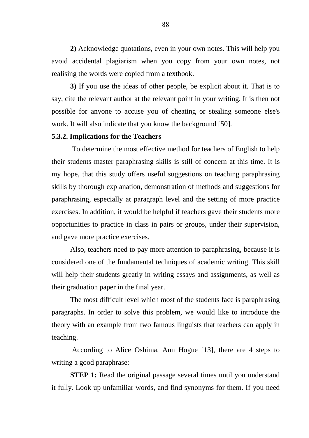**2)** Acknowledge quotations, even in your own notes. This will help you avoid accidental plagiarism when you copy from your own notes, not realising the words were copied from a textbook.

**3)** If you use the ideas of other people, be explicit about it. That is to say, cite the relevant author at the relevant point in your writing. It is then not possible for anyone to accuse you of cheating or stealing someone else's work. It will also indicate that you know the background [50].

#### **5.3.2. Implications for the Teachers**

 To determine the most effective method for teachers of English to help their students master paraphrasing skills is still of concern at this time. It is my hope, that this study offers useful suggestions on teaching paraphrasing skills by thorough explanation, demonstration of methods and suggestions for paraphrasing, especially at paragraph level and the setting of more practice exercises. In addition, it would be helpful if teachers gave their students more opportunities to practice in class in pairs or groups, under their supervision, and gave more practice exercises.

Also, teachers need to pay more attention to paraphrasing, because it is considered one of the fundamental techniques of academic writing. This skill will help their students greatly in writing essays and assignments, as well as their graduation paper in the final year.

The most difficult level which most of the students face is paraphrasing paragraphs. In order to solve this problem, we would like to introduce the theory with an example from two famous linguists that teachers can apply in teaching.

 According to Alice Oshima, Ann Hogue [13], there are 4 steps to writing a good paraphrase:

**STEP 1:** Read the original passage several times until you understand it fully. Look up unfamiliar words, and find synonyms for them. If you need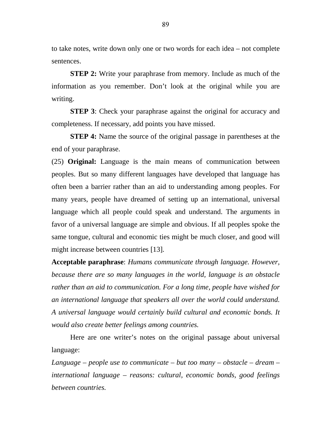to take notes, write down only one or two words for each idea – not complete sentences.

**STEP 2:** Write your paraphrase from memory. Include as much of the information as you remember. Don't look at the original while you are writing.

**STEP 3**: Check your paraphrase against the original for accuracy and completeness. If necessary, add points you have missed.

**STEP 4:** Name the source of the original passage in parentheses at the end of your paraphrase.

(25) **Original:** Language is the main means of communication between peoples. But so many different languages have developed that language has often been a barrier rather than an aid to understanding among peoples. For many years, people have dreamed of setting up an international, universal language which all people could speak and understand. The arguments in favor of a universal language are simple and obvious. If all peoples spoke the same tongue, cultural and economic ties might be much closer, and good will might increase between countries [13].

**Acceptable paraphrase**: *Humans communicate through language. However, because there are so many languages in the world, language is an obstacle rather than an aid to communication. For a long time, people have wished for an international language that speakers all over the world could understand. A universal language would certainly build cultural and economic bonds. It would also create better feelings among countries.*

Here are one writer's notes on the original passage about universal language:

*Language – people use to communicate – but too many – obstacle – dream – international language – reasons: cultural, economic bonds, good feelings between countries.*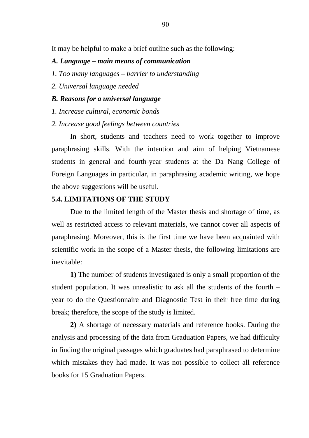It may be helpful to make a brief outline such as the following:

#### *A. Language – main means of communication*

- *1. Too many languages barrier to understanding*
- *2. Universal language needed*

#### *B. Reasons for a universal language*

*1. Increase cultural, economic bonds* 

#### *2. Increase good feelings between countries*

 In short, students and teachers need to work together to improve paraphrasing skills. With the intention and aim of helping Vietnamese students in general and fourth-year students at the Da Nang College of Foreign Languages in particular, in paraphrasing academic writing, we hope the above suggestions will be useful.

#### **5.4. LIMITATIONS OF THE STUDY**

 Due to the limited length of the Master thesis and shortage of time, as well as restricted access to relevant materials, we cannot cover all aspects of paraphrasing. Moreover, this is the first time we have been acquainted with scientific work in the scope of a Master thesis, the following limitations are inevitable:

**1)** The number of students investigated is only a small proportion of the student population. It was unrealistic to ask all the students of the fourth – year to do the Questionnaire and Diagnostic Test in their free time during break; therefore, the scope of the study is limited.

**2)** A shortage of necessary materials and reference books. During the analysis and processing of the data from Graduation Papers, we had difficulty in finding the original passages which graduates had paraphrased to determine which mistakes they had made. It was not possible to collect all reference books for 15 Graduation Papers.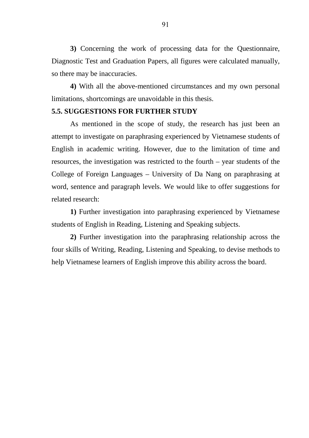**3)** Concerning the work of processing data for the Questionnaire, Diagnostic Test and Graduation Papers, all figures were calculated manually, so there may be inaccuracies.

**4)** With all the above-mentioned circumstances and my own personal limitations, shortcomings are unavoidable in this thesis.

#### **5.5. SUGGESTIONS FOR FURTHER STUDY**

As mentioned in the scope of study, the research has just been an attempt to investigate on paraphrasing experienced by Vietnamese students of English in academic writing. However, due to the limitation of time and resources, the investigation was restricted to the fourth – year students of the College of Foreign Languages – University of Da Nang on paraphrasing at word, sentence and paragraph levels. We would like to offer suggestions for related research:

**1)** Further investigation into paraphrasing experienced by Vietnamese students of English in Reading, Listening and Speaking subjects.

**2)** Further investigation into the paraphrasing relationship across the four skills of Writing, Reading, Listening and Speaking, to devise methods to help Vietnamese learners of English improve this ability across the board.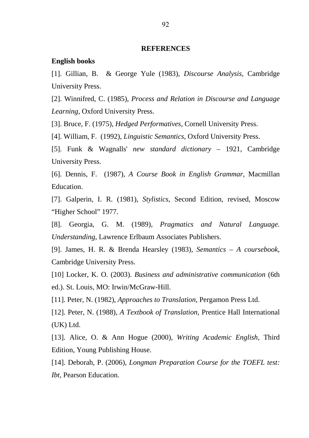#### **REFERENCES**

#### **English books**

[1]. Gillian, B. & George Yule (1983), *Discourse Analysis,* Cambridge University Press.

[2]. Winnifred, C. (1985), *Process and Relation in Discourse and Language Learning,* Oxford University Press.

[3]. Bruce, F. (1975), *Hedged Performatives,* Cornell University Press.

[4]. William, F. (1992), *Linguistic Semantics,* Oxford University Press.

[5]. Funk & Wagnalls' *new standard dictionary* – 1921, Cambridge University Press.

[6]. Dennis, F. (1987), *A Course Book in English Grammar,* Macmillan Education.

[7]. Galperin, I. R. (1981), *Stylistics,* Second Edition, revised, Moscow "Higher School" 1977.

[8]. Georgia, G. M. (1989), *Pragmatics and Natural Language. Understanding,* Lawrence Erlbaum Associates Publishers.

[9]. James, H. R. & Brenda Hearsley (1983), *Semantics – A coursebook,*  Cambridge University Press.

[10] Locker, K. O. (2003). *Business and administrative communication* (6th ed.). St. Louis, MO: Irwin/McGraw-Hill.

[11]. Peter, N. (1982), *Approaches to Translation,* Pergamon Press Ltd.

[12]. Peter, N. (1988), *A Textbook of Translation,* Prentice Hall International (UK) Ltd.

[13]. Alice, O. & Ann Hogue (2000), *Writing Academic English,* Third Edition, Young Publishing House.

[14]. Deborah, P. (2006), *Longman Preparation Course for the TOEFL test: Ibt,* Pearson Education.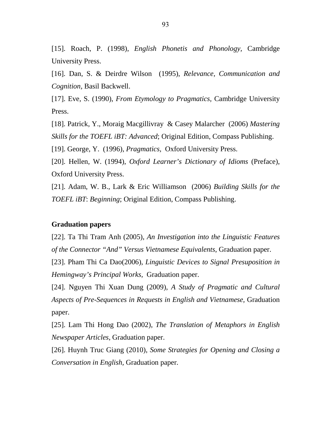[15]. Roach, P. (1998), *English Phonetis and Phonology,* Cambridge University Press.

[16]. Dan, S. & Deirdre Wilson (1995), *Relevance, Communication and Cognition,* Basil Backwell.

[17]. Eve, S. (1990), *From Etymology to Pragmatics,* Cambridge University Press.

[18]. Patrick, Y., Moraig Macgillivray & Casey Malarcher (2006) *Mastering Skills for the TOEFL iBT: Advanced*; Original Edition, Compass Publishing.

[19]. George, Y. (1996), *Pragmatics,* Oxford University Press.

[20]. Hellen, W. (1994), *Oxford Learner's Dictionary of Idioms* (Preface), Oxford University Press.

[21]. Adam, W. B., Lark & Eric Williamson (2006) *Building Skills for the TOEFL iBT*: *Beginning*; Original Edition, Compass Publishing.

#### **Graduation papers**

[22]. Ta Thi Tram Anh (2005), *An Investigation into the Linguistic Features of the Connector "And" Versus Vietnamese Equivalents*, Graduation paper.

[23]. Pham Thi Ca Dao(2006), *Linguistic Devices to Signal Presuposition in Hemingway's Principal Works,* Graduation paper.

[24]. Nguyen Thi Xuan Dung (2009), *A Study of Pragmatic and Cultural Aspects of Pre-Sequences in Requests in English and Vietnamese,* Graduation paper.

[25]. Lam Thi Hong Dao (2002), *The Translation of Metaphors in English Newspaper Articles*, Graduation paper.

[26]. Huynh Truc Giang (2010), *Some Strategies for Opening and Closing a Conversation in English,* Graduation paper.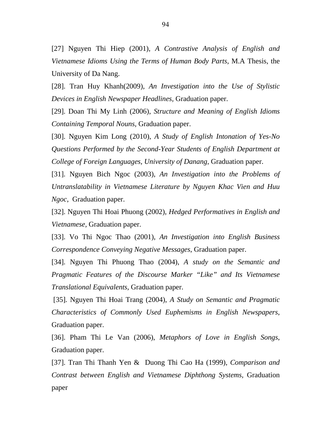[27] Nguyen Thi Hiep (2001), *A Contrastive Analysis of English and Vietnamese Idioms Using the Terms of Human Body Parts,* M.A Thesis, the University of Da Nang.

[28]. Tran Huy Khanh(2009), *An Investigation into the Use of Stylistic Devices in English Newspaper Headlines,* Graduation paper.

[29]. Doan Thi My Linh (2006), *Structure and Meaning of English Idioms Containing Temporal Nouns,* Graduation paper.

[30]. Nguyen Kim Long (2010), *A Study of English Intonation of Yes-No Questions Performed by the Second-Year Students of English Department at College of Foreign Languages, University of Danang,* Graduation paper.

[31]. Nguyen Bich Ngoc (2003), *An Investigation into the Problems of Untranslatability in Vietnamese Literature by Nguyen Khac Vien and Huu Ngoc*, Graduation paper.

[32]. Nguyen Thi Hoai Phuong (2002), *Hedged Performatives in English and Vietnamese,* Graduation paper.

[33]. Vo Thi Ngoc Thao (2001), *An Investigation into English Business Correspondence Conveying Negative Messages*, Graduation paper.

[34]. Nguyen Thi Phuong Thao (2004), *A study on the Semantic and Pragmatic Features of the Discourse Marker "Like" and Its Vietnamese Translational Equivalents,* Graduation paper.

 [35]. Nguyen Thi Hoai Trang (2004), *A Study on Semantic and Pragmatic Characteristics of Commonly Used Euphemisms in English Newspapers*, Graduation paper.

[36]. Pham Thi Le Van (2006), *Metaphors of Love in English Songs*, Graduation paper.

[37]. Tran Thi Thanh Yen & Duong Thi Cao Ha (1999), *Comparison and Contrast between English and Vietnamese Diphthong Systems,* Graduation paper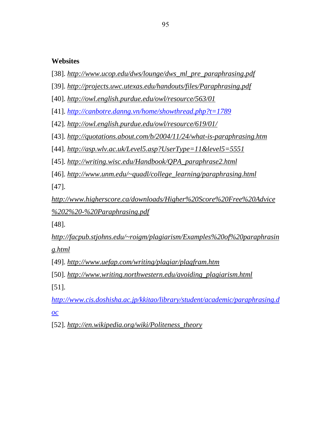## **Websites**

- [38]. *http://www.ucop.edu/dws/lounge/dws\_ml\_pre\_paraphrasing.pdf*
- [39]. *http://projects.uwc.utexas.edu/handouts/files/Paraphrasing.pdf*
- [40]. *http://owl.english.purdue.edu/owl/resource/563/01*

[41]. *http://canbotre.danng.vn/home/showthread.php?t=1789*

- [42]. *http://owl.english.purdue.edu/owl/resource/619/01/*
- [43]. *http://quotations.about.com/b/2004/11/24/what-is-paraphrasing.htm*
- [44]. *http://asp.wlv.ac.uk/Level5.asp?UserType=11&level5=5551*

[45]. *http://writing.wisc.edu/Handbook/QPA\_paraphrase2.html*

[46]. *http://www.unm.edu/~quadl/college\_learning/paraphrasing.html*

[47].

*http://www.higherscore.ca/downloads/Higher%20Score%20Free%20Advice %202%20-%20Paraphrasing.pdf*

[48].

*http://facpub.stjohns.edu/~roigm/plagiarism/Examples%20of%20paraphrasin g.html*

- [49]. *http://www.uefap.com/writing/plagiar/plagfram.htm*
- [50]. *http://www.writing.northwestern.edu/avoiding\_plagiarism.html* [51].

*http://www.cis.doshisha.ac.jp/kkitao/library/student/academic/paraphrasing.d oc*

[52]. *http://en.wikipedia.org/wiki/Politeness\_theory*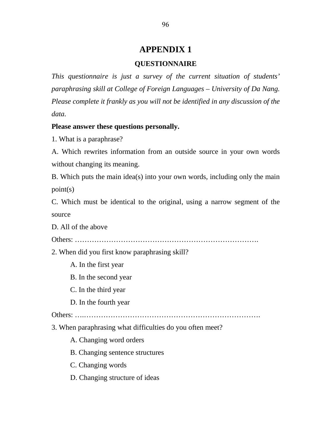# **APPENDIX 1**

## **QUESTIONNAIRE**

*This questionnaire is just a survey of the current situation of students' paraphrasing skill at College of Foreign Languages – University of Da Nang. Please complete it frankly as you will not be identified in any discussion of the data.*

## **Please answer these questions personally.**

1. What is a paraphrase?

A. Which rewrites information from an outside source in your own words without changing its meaning.

B. Which puts the main idea(s) into your own words, including only the main point(s)

C. Which must be identical to the original, using a narrow segment of the source

D. All of the above

Others: ………………………………………………………………….

2. When did you first know paraphrasing skill?

A. In the first year

B. In the second year

C. In the third year

D. In the fourth year

Others: ….……………………………………………………………….

3. When paraphrasing what difficulties do you often meet?

A. Changing word orders

B. Changing sentence structures

C. Changing words

D. Changing structure of ideas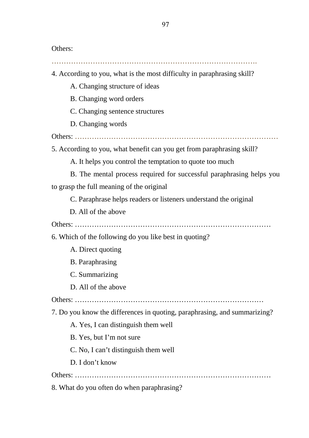Others:

- 4. According to you, what is the most difficulty in paraphrasing skill?
	- A. Changing structure of ideas
	- B. Changing word orders
	- C. Changing sentence structures
	- D. Changing words

Others: …………………………………………………………………………

5. According to you, what benefit can you get from paraphrasing skill?

- A. It helps you control the temptation to quote too much
- B. The mental process required for successful paraphrasing helps you

to grasp the full meaning of the original

C. Paraphrase helps readers or listeners understand the original

D. All of the above

Others: ………………………………………………………………………

6. Which of the following do you like best in quoting?

- A. Direct quoting
- B. Paraphrasing
- C. Summarizing
- D. All of the above

Others: ……………………………………………………………………

7. Do you know the differences in quoting, paraphrasing, and summarizing?

- A. Yes, I can distinguish them well
- B. Yes, but I'm not sure
- C. No, I can't distinguish them well
- D. I don't know

Others: ………………………………………………………………………

8. What do you often do when paraphrasing?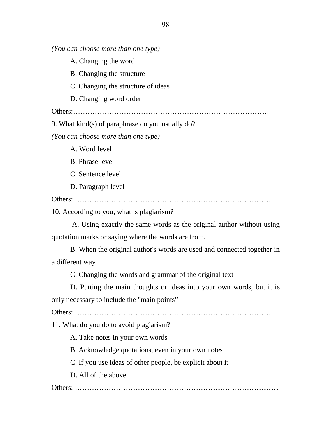*(You can choose more than one type)* 

A. Changing the word

B. Changing the structure

C. Changing the structure of ideas

D. Changing word order

Others:………………………………………………………………………

9. What kind(s) of paraphrase do you usually do?

*(You can choose more than one type)* 

A. Word level

B. Phrase level

C. Sentence level

D. Paragraph level

Others: ………………………………………………………………………

10. According to you, what is plagiarism?

 A. Using exactly the same words as the original author without using quotation marks or saying where the words are from.

B. When the original author's words are used and connected together in a different way

C. Changing the words and grammar of the original text

D. Putting the main thoughts or ideas into your own words, but it is only necessary to include the "main points"

Others: ………………………………………………………………………

11. What do you do to avoid plagiarism?

A. Take notes in your own words

B. Acknowledge quotations, even in your own notes

C. If you use ideas of other people, be explicit about it

D. All of the above

Others: …………………………………………………………………………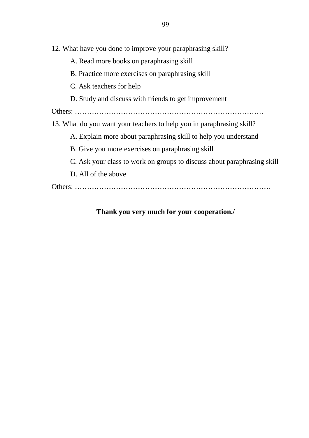12. What have you done to improve your paraphrasing skill?

- A. Read more books on paraphrasing skill
- B. Practice more exercises on paraphrasing skill
- C. Ask teachers for help
- D. Study and discuss with friends to get improvement

Others: ……………………………………………………………………

13. What do you want your teachers to help you in paraphrasing skill?

- A. Explain more about paraphrasing skill to help you understand
- B. Give you more exercises on paraphrasing skill
- C. Ask your class to work on groups to discuss about paraphrasing skill
- D. All of the above

Others: ………………………………………………………………………

# **Thank you very much for your cooperation./**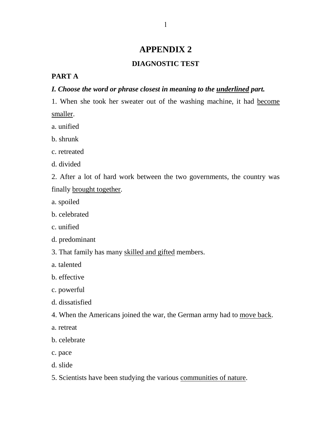# **APPENDIX 2**

#### **DIAGNOSTIC TEST**

#### **PART A**

## *I. Choose the word or phrase closest in meaning to the underlined part.*

1. When she took her sweater out of the washing machine, it had become smaller.

- a. unified
- b. shrunk
- c. retreated
- d. divided
- 2. After a lot of hard work between the two governments, the country was finally brought together.
- a. spoiled
- b. celebrated
- c. unified
- d. predominant
- 3. That family has many skilled and gifted members.
- a. talented
- b. effective
- c. powerful
- d. dissatisfied
- 4. When the Americans joined the war, the German army had to move back.
- a. retreat
- b. celebrate
- c. pace
- d. slide
- 5. Scientists have been studying the various communities of nature.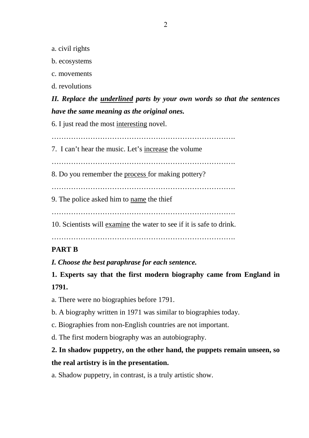a. civil rights

b. ecosystems

c. movements

d. revolutions

*II. Replace the underlined parts by your own words so that the sentences have the same meaning as the original ones.* 

6. I just read the most interesting novel.

………………………………………………………………….

7. I can't hear the music. Let's increase the volume

………………………………………………………………….

8. Do you remember the process for making pottery?

………………………………………………………………….

9. The police asked him to name the thief

………………………………………………………………….

10. Scientists will examine the water to see if it is safe to drink.

………………………………………………………………….

# **PART B**

*I. Choose the best paraphrase for each sentence.* 

**1. Experts say that the first modern biography came from England in 1791.** 

a. There were no biographies before 1791.

- b. A biography written in 1971 was similar to biographies today.
- c. Biographies from non-English countries are not important.
- d. The first modern biography was an autobiography.

# **2. In shadow puppetry, on the other hand, the puppets remain unseen, so the real artistry is in the presentation.**

a. Shadow puppetry, in contrast, is a truly artistic show.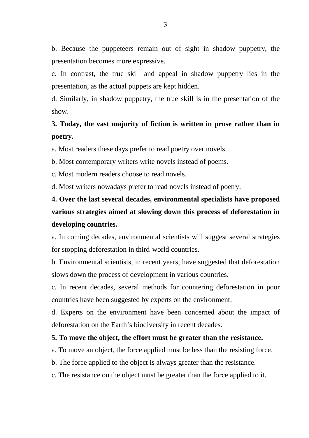b. Because the puppeteers remain out of sight in shadow puppetry, the presentation becomes more expressive.

c. In contrast, the true skill and appeal in shadow puppetry lies in the presentation, as the actual puppets are kept hidden.

d. Similarly, in shadow puppetry, the true skill is in the presentation of the show.

# **3. Today, the vast majority of fiction is written in prose rather than in poetry.**

a. Most readers these days prefer to read poetry over novels.

b. Most contemporary writers write novels instead of poems.

c. Most modern readers choose to read novels.

d. Most writers nowadays prefer to read novels instead of poetry.

# **4. Over the last several decades, environmental specialists have proposed various strategies aimed at slowing down this process of deforestation in developing countries.**

a. In coming decades, environmental scientists will suggest several strategies for stopping deforestation in third-world countries.

b. Environmental scientists, in recent years, have suggested that deforestation slows down the process of development in various countries.

c. In recent decades, several methods for countering deforestation in poor countries have been suggested by experts on the environment.

d. Experts on the environment have been concerned about the impact of deforestation on the Earth's biodiversity in recent decades.

#### **5. To move the object, the effort must be greater than the resistance.**

a. To move an object, the force applied must be less than the resisting force.

b. The force applied to the object is always greater than the resistance.

c. The resistance on the object must be greater than the force applied to it.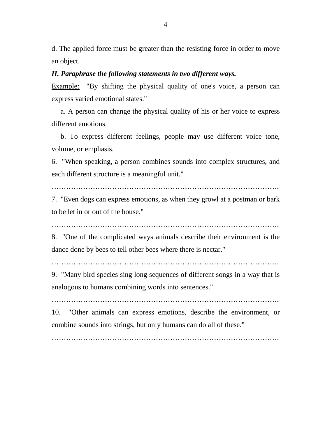d. The applied force must be greater than the resisting force in order to move an object.

#### *II. Paraphrase the following statements in two different ways.*

Example: "By shifting the physical quality of one's voice, a person can express varied emotional states."

 a. A person can change the physical quality of his or her voice to express different emotions.

 b. To express different feelings, people may use different voice tone, volume, or emphasis.

6. "When speaking, a person combines sounds into complex structures, and each different structure is a meaningful unit."

………………………………………………………………………………….

7. "Even dogs can express emotions, as when they growl at a postman or bark to be let in or out of the house."

………………………………………………………………………………….

8. "One of the complicated ways animals describe their environment is the dance done by bees to tell other bees where there is nectar."

………………………………………………………………………………….

9. "Many bird species sing long sequences of different songs in a way that is analogous to humans combining words into sentences."

. The same state of the state of the state of the state of the state of the state of the state of the state of the state of the state of the state of the state of the state of the state of the state of the state of the st

10. "Other animals can express emotions, describe the environment, or combine sounds into strings, but only humans can do all of these."

………………………………………………………………………………….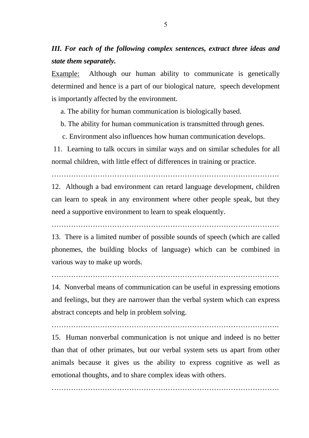# *III. For each of the following complex sentences, extract three ideas and state them separately.*

Example: Although our human ability to communicate is genetically determined and hence is a part of our biological nature, speech development is importantly affected by the environment.

a. The ability for human communication is biologically based.

b. The ability for human communication is transmitted through genes.

c. Environment also influences how human communication develops.

 11. Learning to talk occurs in similar ways and on similar schedules for all normal children, with little effect of differences in training or practice.

………………………………………………………………………………….

12. Although a bad environment can retard language development, children can learn to speak in any environment where other people speak, but they need a supportive environment to learn to speak eloquently.

………………………………………………………………………………….

13. There is a limited number of possible sounds of speech (which are called phonemes, the building blocks of language) which can be combined in various way to make up words.

14. Nonverbal means of communication can be useful in expressing emotions and feelings, but they are narrower than the verbal system which can express abstract concepts and help in problem solving.

………………………………………………………………………………….

15. Human nonverbal communication is not unique and indeed is no better than that of other primates, but our verbal system sets us apart from other animals because it gives us the ability to express cognitive as well as emotional thoughts, and to share complex ideas with others.

………………………………………………………………………………….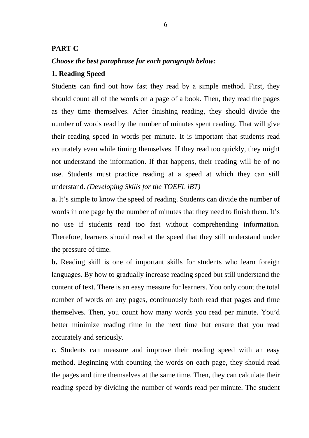### **PART C**

### *Choose the best paraphrase for each paragraph below:*

### **1. Reading Speed**

Students can find out how fast they read by a simple method. First, they should count all of the words on a page of a book. Then, they read the pages as they time themselves. After finishing reading, they should divide the number of words read by the number of minutes spent reading. That will give their reading speed in words per minute. It is important that students read accurately even while timing themselves. If they read too quickly, they might not understand the information. If that happens, their reading will be of no use. Students must practice reading at a speed at which they can still understand. *(Developing Skills for the TOEFL iBT)* 

**a.** It's simple to know the speed of reading. Students can divide the number of words in one page by the number of minutes that they need to finish them. It's no use if students read too fast without comprehending information. Therefore, learners should read at the speed that they still understand under the pressure of time.

**b.** Reading skill is one of important skills for students who learn foreign languages. By how to gradually increase reading speed but still understand the content of text. There is an easy measure for learners. You only count the total number of words on any pages, continuously both read that pages and time themselves. Then, you count how many words you read per minute. You'd better minimize reading time in the next time but ensure that you read accurately and seriously.

**c.** Students can measure and improve their reading speed with an easy method. Beginning with counting the words on each page, they should read the pages and time themselves at the same time. Then, they can calculate their reading speed by dividing the number of words read per minute. The student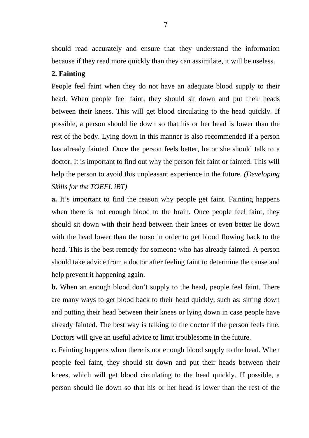should read accurately and ensure that they understand the information because if they read more quickly than they can assimilate, it will be useless.

# **2. Fainting**

People feel faint when they do not have an adequate blood supply to their head. When people feel faint, they should sit down and put their heads between their knees. This will get blood circulating to the head quickly. If possible, a person should lie down so that his or her head is lower than the rest of the body. Lying down in this manner is also recommended if a person has already fainted. Once the person feels better, he or she should talk to a doctor. It is important to find out why the person felt faint or fainted. This will help the person to avoid this unpleasant experience in the future. *(Developing Skills for the TOEFL iBT)* 

**a.** It's important to find the reason why people get faint. Fainting happens when there is not enough blood to the brain. Once people feel faint, they should sit down with their head between their knees or even better lie down with the head lower than the torso in order to get blood flowing back to the head. This is the best remedy for someone who has already fainted. A person should take advice from a doctor after feeling faint to determine the cause and help prevent it happening again.

**b.** When an enough blood don't supply to the head, people feel faint. There are many ways to get blood back to their head quickly, such as: sitting down and putting their head between their knees or lying down in case people have already fainted. The best way is talking to the doctor if the person feels fine. Doctors will give an useful advice to limit troublesome in the future.

**c.** Fainting happens when there is not enough blood supply to the head. When people feel faint, they should sit down and put their heads between their knees, which will get blood circulating to the head quickly. If possible, a person should lie down so that his or her head is lower than the rest of the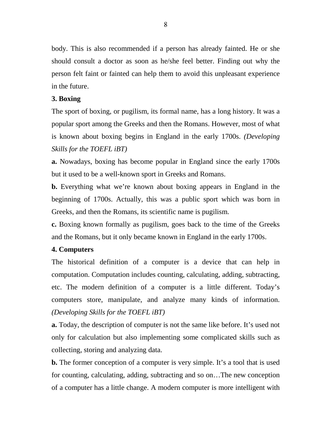body. This is also recommended if a person has already fainted. He or she should consult a doctor as soon as he/she feel better. Finding out why the person felt faint or fainted can help them to avoid this unpleasant experience in the future.

# **3. Boxing**

The sport of boxing, or pugilism, its formal name, has a long history. It was a popular sport among the Greeks and then the Romans. However, most of what is known about boxing begins in England in the early 1700s. *(Developing Skills for the TOEFL iBT)* 

**a.** Nowadays, boxing has become popular in England since the early 1700s but it used to be a well-known sport in Greeks and Romans.

**b.** Everything what we're known about boxing appears in England in the beginning of 1700s. Actually, this was a public sport which was born in Greeks, and then the Romans, its scientific name is pugilism.

**c.** Boxing known formally as pugilism, goes back to the time of the Greeks and the Romans, but it only became known in England in the early 1700s.

# **4. Computers**

The historical definition of a computer is a device that can help in computation. Computation includes counting, calculating, adding, subtracting, etc. The modern definition of a computer is a little different. Today's computers store, manipulate, and analyze many kinds of information. *(Developing Skills for the TOEFL iBT)* 

**a.** Today, the description of computer is not the same like before. It's used not only for calculation but also implementing some complicated skills such as collecting, storing and analyzing data.

**b.** The former conception of a computer is very simple. It's a tool that is used for counting, calculating, adding, subtracting and so on…The new conception of a computer has a little change. A modern computer is more intelligent with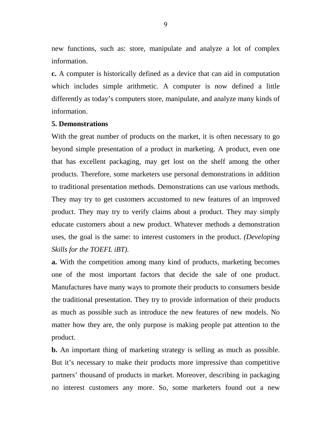new functions, such as: store, manipulate and analyze a lot of complex information.

**c.** A computer is historically defined as a device that can aid in computation which includes simple arithmetic. A computer is now defined a little differently as today's computers store, manipulate, and analyze many kinds of information.

### **5. Demonstrations**

With the great number of products on the market, it is often necessary to go beyond simple presentation of a product in marketing. A product, even one that has excellent packaging, may get lost on the shelf among the other products. Therefore, some marketers use personal demonstrations in addition to traditional presentation methods. Demonstrations can use various methods. They may try to get customers accustomed to new features of an improved product. They may try to verify claims about a product. They may simply educate customers about a new product. Whatever methods a demonstration uses, the goal is the same: to interest customers in the product. *(Developing Skills for the TOEFL iBT).* 

**a.** With the competition among many kind of products, marketing becomes one of the most important factors that decide the sale of one product. Manufactures have many ways to promote their products to consumers beside the traditional presentation. They try to provide information of their products as much as possible such as introduce the new features of new models. No matter how they are, the only purpose is making people pat attention to the product.

**b.** An important thing of marketing strategy is selling as much as possible. But it's necessary to make their products more impressive than competitive partners' thousand of products in market. Moreover, describing in packaging no interest customers any more. So, some marketers found out a new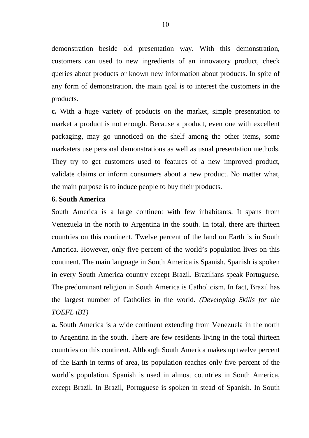demonstration beside old presentation way. With this demonstration, customers can used to new ingredients of an innovatory product, check queries about products or known new information about products. In spite of any form of demonstration, the main goal is to interest the customers in the products.

**c.** With a huge variety of products on the market, simple presentation to market a product is not enough. Because a product, even one with excellent packaging, may go unnoticed on the shelf among the other items, some marketers use personal demonstrations as well as usual presentation methods. They try to get customers used to features of a new improved product, validate claims or inform consumers about a new product. No matter what, the main purpose is to induce people to buy their products.

### **6. South America**

South America is a large continent with few inhabitants. It spans from Venezuela in the north to Argentina in the south. In total, there are thirteen countries on this continent. Twelve percent of the land on Earth is in South America. However, only five percent of the world's population lives on this continent. The main language in South America is Spanish. Spanish is spoken in every South America country except Brazil. Brazilians speak Portuguese. The predominant religion in South America is Catholicism. In fact, Brazil has the largest number of Catholics in the world. *(Developing Skills for the TOEFL iBT)* 

**a.** South America is a wide continent extending from Venezuela in the north to Argentina in the south. There are few residents living in the total thirteen countries on this continent. Although South America makes up twelve percent of the Earth in terms of area, its population reaches only five percent of the world's population. Spanish is used in almost countries in South America, except Brazil. In Brazil, Portuguese is spoken in stead of Spanish. In South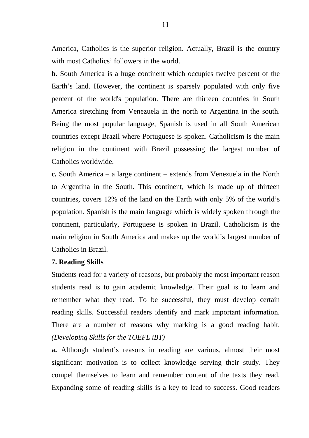America, Catholics is the superior religion. Actually, Brazil is the country with most Catholics' followers in the world.

**b.** South America is a huge continent which occupies twelve percent of the Earth's land. However, the continent is sparsely populated with only five percent of the world's population. There are thirteen countries in South America stretching from Venezuela in the north to Argentina in the south. Being the most popular language, Spanish is used in all South American countries except Brazil where Portuguese is spoken. Catholicism is the main religion in the continent with Brazil possessing the largest number of Catholics worldwide.

**c.** South America – a large continent – extends from Venezuela in the North to Argentina in the South. This continent, which is made up of thirteen countries, covers 12% of the land on the Earth with only 5% of the world's population. Spanish is the main language which is widely spoken through the continent, particularly, Portuguese is spoken in Brazil. Catholicism is the main religion in South America and makes up the world's largest number of Catholics in Brazil.

# **7. Reading Skills**

Students read for a variety of reasons, but probably the most important reason students read is to gain academic knowledge. Their goal is to learn and remember what they read. To be successful, they must develop certain reading skills. Successful readers identify and mark important information. There are a number of reasons why marking is a good reading habit. *(Developing Skills for the TOEFL iBT)* 

**a.** Although student's reasons in reading are various, almost their most significant motivation is to collect knowledge serving their study. They compel themselves to learn and remember content of the texts they read. Expanding some of reading skills is a key to lead to success. Good readers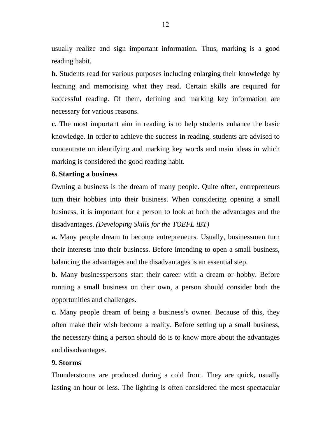usually realize and sign important information. Thus, marking is a good reading habit.

**b.** Students read for various purposes including enlarging their knowledge by learning and memorising what they read. Certain skills are required for successful reading. Of them, defining and marking key information are necessary for various reasons.

**c.** The most important aim in reading is to help students enhance the basic knowledge. In order to achieve the success in reading, students are advised to concentrate on identifying and marking key words and main ideas in which marking is considered the good reading habit.

# **8. Starting a business**

Owning a business is the dream of many people. Quite often, entrepreneurs turn their hobbies into their business. When considering opening a small business, it is important for a person to look at both the advantages and the disadvantages. *(Developing Skills for the TOEFL iBT)* 

**a.** Many people dream to become entrepreneurs. Usually, businessmen turn their interests into their business. Before intending to open a small business, balancing the advantages and the disadvantages is an essential step.

**b.** Many businesspersons start their career with a dream or hobby. Before running a small business on their own, a person should consider both the opportunities and challenges.

**c.** Many people dream of being a business's owner. Because of this, they often make their wish become a reality. Before setting up a small business, the necessary thing a person should do is to know more about the advantages and disadvantages.

## **9. Storms**

Thunderstorms are produced during a cold front. They are quick, usually lasting an hour or less. The lighting is often considered the most spectacular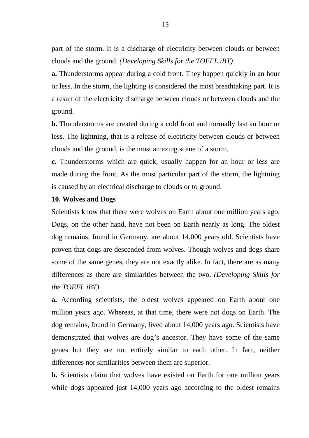part of the storm. It is a discharge of electricity between clouds or between clouds and the ground. *(Developing Skills for the TOEFL iBT)* 

**a.** Thunderstorms appear during a cold front. They happen quickly in an hour or less. In the storm, the lighting is considered the most breathtaking part. It is a result of the electricity discharge between clouds or between clouds and the ground.

**b.** Thunderstorms are created during a cold front and normally last an hour or less. The lightning, that is a release of electricity between clouds or between clouds and the ground, is the most amazing scene of a storm.

**c.** Thunderstorms which are quick, usually happen for an hour or less are made during the front. As the most particular part of the storm, the lightning is caused by an electrical discharge to clouds or to ground.

#### **10. Wolves and Dogs**

Scientists know that there were wolves on Earth about one million years ago. Dogs, on the other hand, have not been on Earth nearly as long. The oldest dog remains, found in Germany, are about 14,000 years old. Scientists have proven that dogs are descended from wolves. Though wolves and dogs share some of the same genes, they are not exactly alike. In fact, there are as many differences as there are similarities between the two. *(Developing Skills for the TOEFL iBT)* 

**a.** According scientists, the oldest wolves appeared on Earth about one million years ago. Whereas, at that time, there were not dogs on Earth. The dog remains, found in Germany, lived about 14,000 years ago. Scientists have demonstrated that wolves are dog's ancestor. They have some of the same genes but they are not entirely similar to each other. In fact, neither differences nor similarities between them are superior.

**b.** Scientists claim that wolves have existed on Earth for one million years while dogs appeared just 14,000 years ago according to the oldest remains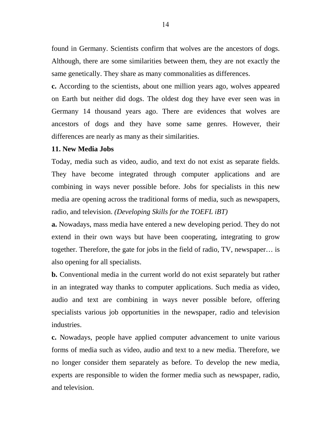found in Germany. Scientists confirm that wolves are the ancestors of dogs. Although, there are some similarities between them, they are not exactly the same genetically. They share as many commonalities as differences.

**c.** According to the scientists, about one million years ago, wolves appeared on Earth but neither did dogs. The oldest dog they have ever seen was in Germany 14 thousand years ago. There are evidences that wolves are ancestors of dogs and they have some same genres. However, their differences are nearly as many as their similarities.

### **11. New Media Jobs**

Today, media such as video, audio, and text do not exist as separate fields. They have become integrated through computer applications and are combining in ways never possible before. Jobs for specialists in this new media are opening across the traditional forms of media, such as newspapers, radio, and television. *(Developing Skills for the TOEFL iBT)* 

**a.** Nowadays, mass media have entered a new developing period. They do not extend in their own ways but have been cooperating, integrating to grow together. Therefore, the gate for jobs in the field of radio, TV, newspaper… is also opening for all specialists.

**b.** Conventional media in the current world do not exist separately but rather in an integrated way thanks to computer applications. Such media as video, audio and text are combining in ways never possible before, offering specialists various job opportunities in the newspaper, radio and television industries.

**c.** Nowadays, people have applied computer advancement to unite various forms of media such as video, audio and text to a new media. Therefore, we no longer consider them separately as before. To develop the new media, experts are responsible to widen the former media such as newspaper, radio, and television.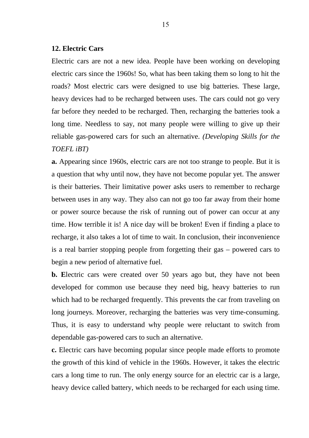### **12. Electric Cars**

Electric cars are not a new idea. People have been working on developing electric cars since the 1960s! So, what has been taking them so long to hit the roads? Most electric cars were designed to use big batteries. These large, heavy devices had to be recharged between uses. The cars could not go very far before they needed to be recharged. Then, recharging the batteries took a long time. Needless to say, not many people were willing to give up their reliable gas-powered cars for such an alternative. *(Developing Skills for the TOEFL iBT)* 

**a.** Appearing since 1960s, electric cars are not too strange to people. But it is a question that why until now, they have not become popular yet. The answer is their batteries. Their limitative power asks users to remember to recharge between uses in any way. They also can not go too far away from their home or power source because the risk of running out of power can occur at any time. How terrible it is! A nice day will be broken! Even if finding a place to recharge, it also takes a lot of time to wait. In conclusion, their inconvenience is a real barrier stopping people from forgetting their gas – powered cars to begin a new period of alternative fuel.

**b. E**lectric cars were created over 50 years ago but, they have not been developed for common use because they need big, heavy batteries to run which had to be recharged frequently. This prevents the car from traveling on long journeys. Moreover, recharging the batteries was very time-consuming. Thus, it is easy to understand why people were reluctant to switch from dependable gas-powered cars to such an alternative.

**c.** Electric cars have becoming popular since people made efforts to promote the growth of this kind of vehicle in the 1960s. However, it takes the electric cars a long time to run. The only energy source for an electric car is a large, heavy device called battery, which needs to be recharged for each using time.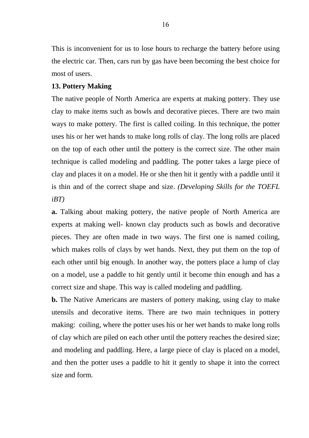This is inconvenient for us to lose hours to recharge the battery before using the electric car. Then, cars run by gas have been becoming the best choice for most of users.

# **13. Pottery Making**

The native people of North America are experts at making pottery. They use clay to make items such as bowls and decorative pieces. There are two main ways to make pottery. The first is called coiling. In this technique, the potter uses his or her wet hands to make long rolls of clay. The long rolls are placed on the top of each other until the pottery is the correct size. The other main technique is called modeling and paddling. The potter takes a large piece of clay and places it on a model. He or she then hit it gently with a paddle until it is thin and of the correct shape and size. *(Developing Skills for the TOEFL iBT)* 

**a.** Talking about making pottery, the native people of North America are experts at making well- known clay products such as bowls and decorative pieces. They are often made in two ways. The first one is named coiling, which makes rolls of clays by wet hands. Next, they put them on the top of each other until big enough. In another way, the potters place a lump of clay on a model, use a paddle to hit gently until it become thin enough and has a correct size and shape. This way is called modeling and paddling.

**b.** The Native Americans are masters of pottery making, using clay to make utensils and decorative items. There are two main techniques in pottery making: coiling, where the potter uses his or her wet hands to make long rolls of clay which are piled on each other until the pottery reaches the desired size; and modeling and paddling. Here, a large piece of clay is placed on a model, and then the potter uses a paddle to hit it gently to shape it into the correct size and form.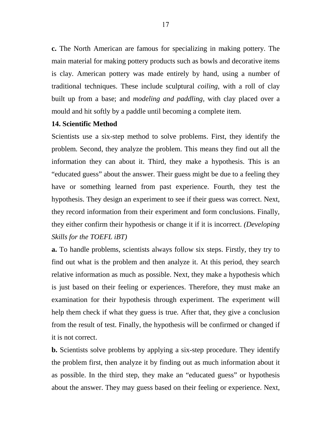**c.** The North American are famous for specializing in making pottery. The main material for making pottery products such as bowls and decorative items is clay. American pottery was made entirely by hand, using a number of traditional techniques. These include sculptural *coiling*, with a roll of clay built up from a base; and *modeling and paddling,* with clay placed over a mould and hit softly by a paddle until becoming a complete item.

## **14. Scientific Method**

Scientists use a six-step method to solve problems. First, they identify the problem. Second, they analyze the problem. This means they find out all the information they can about it. Third, they make a hypothesis. This is an "educated guess" about the answer. Their guess might be due to a feeling they have or something learned from past experience. Fourth, they test the hypothesis. They design an experiment to see if their guess was correct. Next, they record information from their experiment and form conclusions. Finally, they either confirm their hypothesis or change it if it is incorrect. *(Developing Skills for the TOEFL iBT)* 

**a.** To handle problems, scientists always follow six steps. Firstly, they try to find out what is the problem and then analyze it. At this period, they search relative information as much as possible. Next, they make a hypothesis which is just based on their feeling or experiences. Therefore, they must make an examination for their hypothesis through experiment. The experiment will help them check if what they guess is true. After that, they give a conclusion from the result of test. Finally, the hypothesis will be confirmed or changed if it is not correct.

**b.** Scientists solve problems by applying a six-step procedure. They identify the problem first, then analyze it by finding out as much information about it as possible. In the third step, they make an "educated guess" or hypothesis about the answer. They may guess based on their feeling or experience. Next,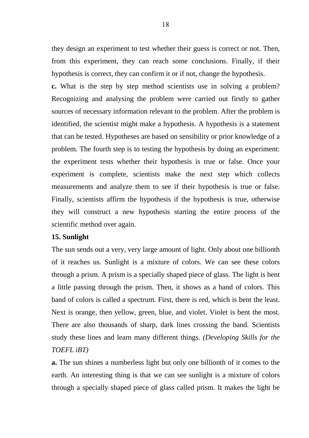they design an experiment to test whether their guess is correct or not. Then, from this experiment, they can reach some conclusions. Finally, if their hypothesis is correct, they can confirm it or if not, change the hypothesis.

**c.** What is the step by step method scientists use in solving a problem? Recognizing and analysing the problem were carried out firstly to gather sources of necessary information relevant to the problem. After the problem is identified, the scientist might make a hypothesis. A hypothesis is a statement that can be tested. Hypotheses are based on sensibility or prior knowledge of a problem. The fourth step is to testing the hypothesis by doing an experiment: the experiment tests whether their hypothesis is true or false. Once your experiment is complete, scientists make the next step which collects measurements and analyze them to see if their hypothesis is true or false. Finally, scientists affirm the hypothesis if the hypothesis is true, otherwise they will construct a new hypothesis starting the entire process of the scientific method over again.

## **15. Sunlight**

The sun sends out a very, very large amount of light. Only about one billionth of it reaches us. Sunlight is a mixture of colors. We can see these colors through a prism. A prism is a specially shaped piece of glass. The light is bent a little passing through the prism. Then, it shows as a band of colors. This band of colors is called a spectrum. First, there is red, which is bent the least. Next is orange, then yellow, green, blue, and violet. Violet is bent the most. There are also thousands of sharp, dark lines crossing the band. Scientists study these lines and learn many different things. *(Developing Skills for the TOEFL iBT)* 

**a.** The sun shines a numberless light but only one billionth of it comes to the earth. An interesting thing is that we can see sunlight is a mixture of colors through a specially shaped piece of glass called prism. It makes the light be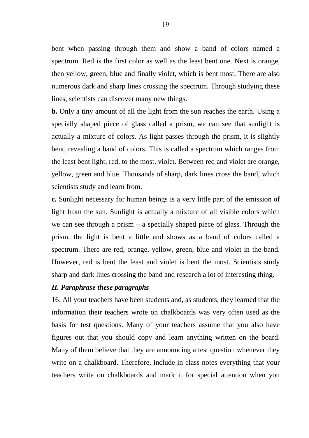bent when passing through them and show a band of colors named a spectrum. Red is the first color as well as the least bent one. Next is orange, then yellow, green, blue and finally violet, which is bent most. There are also numerous dark and sharp lines crossing the spectrum. Through studying these lines, scientists can discover many new things.

**b.** Only a tiny amount of all the light from the sun reaches the earth. Using a specially shaped piece of glass called a prism, we can see that sunlight is actually a mixture of colors. As light passes through the prism, it is slightly bent, revealing a band of colors. This is called a spectrum which ranges from the least bent light, red, to the most, violet. Between red and violet are orange, yellow, green and blue. Thousands of sharp, dark lines cross the band, which scientists study and learn from.

**c.** Sunlight necessary for human beings is a very little part of the emission of light from the sun. Sunlight is actually a mixture of all visible colors which we can see through a prism  $-$  a specially shaped piece of glass. Through the prism, the light is bent a little and shows as a band of colors called a spectrum. There are red, orange, yellow, green, blue and violet in the band. However, red is bent the least and violet is bent the most. Scientists study sharp and dark lines crossing the band and research a lot of interesting thing.

## *II. Paraphrase these paragraphs*

16. All your teachers have been students and, as students, they learned that the information their teachers wrote on chalkboards was very often used as the basis for test questions. Many of your teachers assume that you also have figures out that you should copy and learn anything written on the board. Many of them believe that they are announcing a test question whenever they write on a chalkboard. Therefore, include in class notes everything that your teachers write on chalkboards and mark it for special attention when you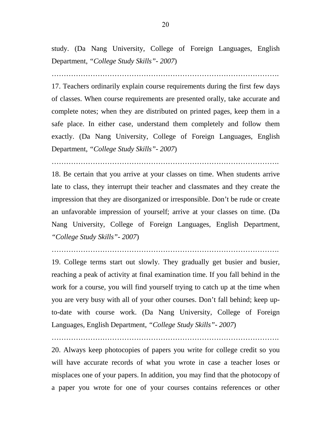study. (Da Nang University, College of Foreign Languages, English Department, *"College Study Skills"- 2007*)

………………………………………………………………………………….

17. Teachers ordinarily explain course requirements during the first few days of classes. When course requirements are presented orally, take accurate and complete notes; when they are distributed on printed pages, keep them in a safe place. In either case, understand them completely and follow them exactly. (Da Nang University, College of Foreign Languages, English Department, *"College Study Skills"- 2007*)

………………………………………………………………………………….

18. Be certain that you arrive at your classes on time. When students arrive late to class, they interrupt their teacher and classmates and they create the impression that they are disorganized or irresponsible. Don't be rude or create an unfavorable impression of yourself; arrive at your classes on time. (Da Nang University, College of Foreign Languages, English Department, *"College Study Skills"- 2007*)

………………………………………………………………………………….

19. College terms start out slowly. They gradually get busier and busier, reaching a peak of activity at final examination time. If you fall behind in the work for a course, you will find yourself trying to catch up at the time when you are very busy with all of your other courses. Don't fall behind; keep upto-date with course work. (Da Nang University, College of Foreign Languages, English Department, *"College Study Skills"- 2007*)

20. Always keep photocopies of papers you write for college credit so you will have accurate records of what you wrote in case a teacher loses or misplaces one of your papers. In addition, you may find that the photocopy of a paper you wrote for one of your courses contains references or other

………………………………………………………………………………….